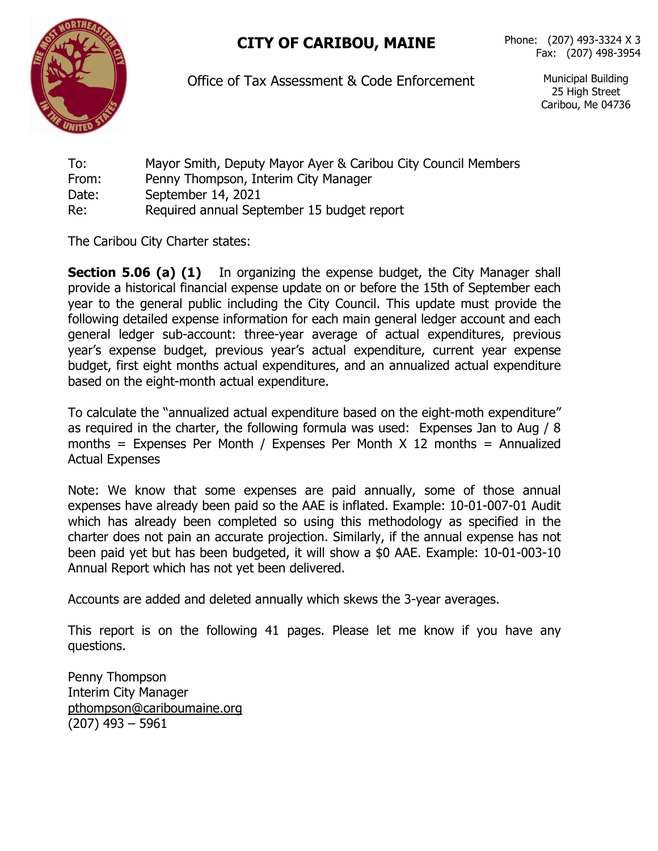## **CITY OF CARIBOU, MAINE** Phone: (207) 493-3324 <sup>X</sup> <sup>3</sup>



Office of Tax Assessment & Code Enforcement Municipal Building

25 High Street Caribou, Me 04736

To: Mayor Smith, Deputy Mayor Ayer & Caribou City Council Members From: Penny Thompson, Interim City Manager Date: September 14, 2021 Re: Required annual September 15 budget report

The Caribou City Charter states:

**Section 5.06 (a) (1)** In organizing the expense budget, the City Manager shall provide a historical financial expense update on or before the 15th of September each year to the general public including the City Council. This update must provide the following detailed expense information for each main general ledger account and each general ledger sub-account: three-year average of actual expenditures, previous year's expense budget, previous year's actual expenditure, current year expense budget, first eight months actual expenditures, and an annualized actual expenditure based on the eight-month actual expenditure.

To calculate the "annualized actual expenditure based on the eight-moth expenditure" as required in the charter, the following formula was used: Expenses Jan to Aug / 8 months = Expenses Per Month / Expenses Per Month  $X$  12 months = Annualized Actual Expenses

Note: We know that some expenses are paid annually, some of those annual expenses have already been paid so the AAE is inflated. Example: 10-01-007-01 Audit which has already been completed so using this methodology as specified in the charter does not pain an accurate projection. Similarly, if the annual expense has not been paid yet but has been budgeted, it will show a \$0 AAE. Example: 10-01-003-10 Annual Report which has not yet been delivered.

Accounts are added and deleted annually which skews the 3-year averages.

This report is on the following 41 pages. Please let me know if you have any questions.

Penny Thompson Interim City Manager [pthompson@cariboumaine.org](mailto:pthompson@cariboumaine.org) (207) 493 – 5961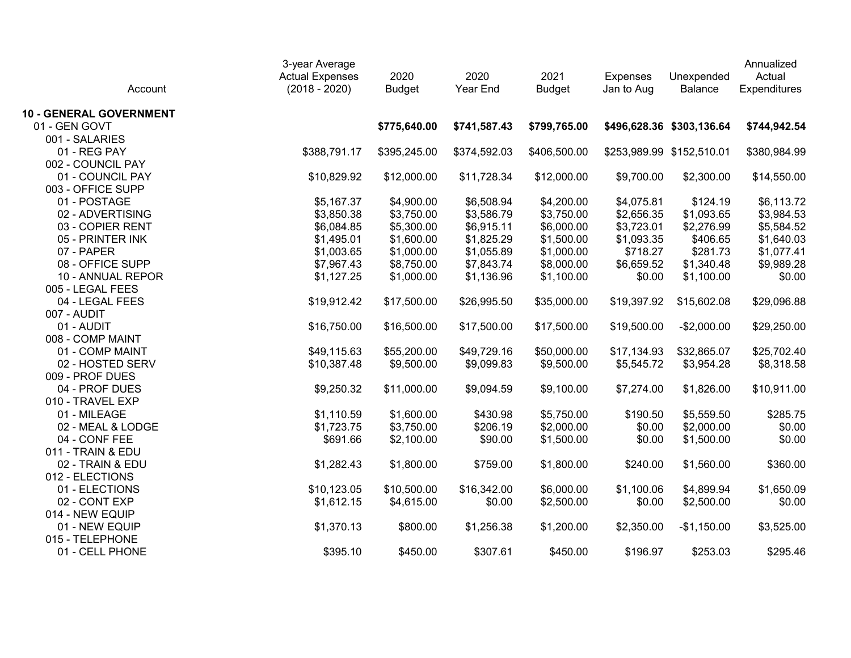| Account                        | 3-year Average<br><b>Actual Expenses</b><br>$(2018 - 2020)$ | 2020<br><b>Budget</b> | 2020<br>Year End | 2021<br><b>Budget</b> | <b>Expenses</b><br>Jan to Aug | Unexpended<br>Balance     | Annualized<br>Actual<br>Expenditures |
|--------------------------------|-------------------------------------------------------------|-----------------------|------------------|-----------------------|-------------------------------|---------------------------|--------------------------------------|
| <b>10 - GENERAL GOVERNMENT</b> |                                                             |                       |                  |                       |                               |                           |                                      |
| 01 - GEN GOVT                  |                                                             | \$775,640.00          | \$741,587.43     | \$799,765.00          |                               | \$496,628.36 \$303,136.64 | \$744,942.54                         |
| 001 - SALARIES                 |                                                             |                       |                  |                       |                               |                           |                                      |
| 01 - REG PAY                   | \$388,791.17                                                | \$395,245.00          | \$374,592.03     | \$406,500.00          |                               | \$253,989.99 \$152,510.01 | \$380,984.99                         |
| 002 - COUNCIL PAY              |                                                             |                       |                  |                       |                               |                           |                                      |
| 01 - COUNCIL PAY               | \$10,829.92                                                 | \$12,000.00           | \$11,728.34      | \$12,000.00           | \$9,700.00                    | \$2,300.00                | \$14,550.00                          |
| 003 - OFFICE SUPP              |                                                             |                       |                  |                       |                               |                           |                                      |
| 01 - POSTAGE                   | \$5,167.37                                                  | \$4,900.00            | \$6,508.94       | \$4,200.00            | \$4,075.81                    | \$124.19                  | \$6,113.72                           |
| 02 - ADVERTISING               | \$3,850.38                                                  | \$3,750.00            | \$3,586.79       | \$3,750.00            | \$2,656.35                    | \$1,093.65                | \$3,984.53                           |
| 03 - COPIER RENT               | \$6,084.85                                                  | \$5,300.00            | \$6,915.11       | \$6,000.00            | \$3,723.01                    | \$2,276.99                | \$5,584.52                           |
| 05 - PRINTER INK               | \$1,495.01                                                  | \$1,600.00            | \$1,825.29       | \$1,500.00            | \$1,093.35                    | \$406.65                  | \$1,640.03                           |
| 07 - PAPER                     | \$1,003.65                                                  | \$1,000.00            | \$1,055.89       | \$1,000.00            | \$718.27                      | \$281.73                  | \$1,077.41                           |
| 08 - OFFICE SUPP               | \$7,967.43                                                  | \$8,750.00            | \$7,843.74       | \$8,000.00            | \$6,659.52                    | \$1,340.48                | \$9,989.28                           |
| 10 - ANNUAL REPOR              | \$1,127.25                                                  | \$1,000.00            | \$1,136.96       | \$1,100.00            | \$0.00                        | \$1,100.00                | \$0.00                               |
| 005 - LEGAL FEES               |                                                             |                       |                  |                       |                               |                           |                                      |
| 04 - LEGAL FEES                | \$19,912.42                                                 | \$17,500.00           | \$26,995.50      | \$35,000.00           | \$19,397.92                   | \$15,602.08               | \$29,096.88                          |
| 007 - AUDIT                    |                                                             |                       |                  |                       |                               |                           |                                      |
| 01 - AUDIT                     | \$16,750.00                                                 | \$16,500.00           | \$17,500.00      | \$17,500.00           | \$19,500.00                   | $-$2,000.00$              | \$29,250.00                          |
| 008 - COMP MAINT               |                                                             |                       |                  |                       |                               |                           |                                      |
| 01 - COMP MAINT                | \$49,115.63                                                 | \$55,200.00           | \$49,729.16      | \$50,000.00           | \$17,134.93                   | \$32,865.07               | \$25,702.40                          |
| 02 - HOSTED SERV               | \$10,387.48                                                 | \$9,500.00            | \$9,099.83       | \$9,500.00            | \$5,545.72                    | \$3,954.28                | \$8,318.58                           |
| 009 - PROF DUES                |                                                             |                       |                  |                       |                               |                           |                                      |
| 04 - PROF DUES                 | \$9,250.32                                                  | \$11,000.00           | \$9,094.59       | \$9,100.00            | \$7,274.00                    | \$1,826.00                | \$10,911.00                          |
| 010 - TRAVEL EXP               |                                                             |                       |                  |                       |                               |                           |                                      |
| 01 - MILEAGE                   | \$1,110.59                                                  | \$1,600.00            | \$430.98         | \$5,750.00            | \$190.50                      | \$5,559.50                | \$285.75                             |
| 02 - MEAL & LODGE              | \$1,723.75                                                  | \$3,750.00            | \$206.19         | \$2,000.00            | \$0.00                        | \$2,000.00                | \$0.00                               |
| 04 - CONF FEE                  | \$691.66                                                    | \$2,100.00            | \$90.00          | \$1,500.00            | \$0.00                        | \$1,500.00                | \$0.00                               |
| 011 - TRAIN & EDU              |                                                             |                       |                  |                       |                               |                           |                                      |
| 02 - TRAIN & EDU               | \$1,282.43                                                  | \$1,800.00            | \$759.00         | \$1,800.00            | \$240.00                      | \$1,560.00                | \$360.00                             |
| 012 - ELECTIONS                |                                                             |                       |                  |                       |                               |                           |                                      |
| 01 - ELECTIONS                 | \$10,123.05                                                 | \$10,500.00           | \$16,342.00      | \$6,000.00            | \$1,100.06                    | \$4,899.94                | \$1,650.09                           |
| 02 - CONT EXP                  | \$1,612.15                                                  | \$4,615.00            | \$0.00           | \$2,500.00            | \$0.00                        | \$2,500.00                | \$0.00                               |
| 014 - NEW EQUIP                |                                                             |                       |                  |                       |                               |                           |                                      |
| 01 - NEW EQUIP                 | \$1,370.13                                                  | \$800.00              | \$1,256.38       | \$1,200.00            | \$2,350.00                    | $-$1,150.00$              | \$3,525.00                           |
| 015 - TELEPHONE                |                                                             |                       |                  |                       |                               |                           |                                      |
| 01 - CELL PHONE                | \$395.10                                                    | \$450.00              | \$307.61         | \$450.00              | \$196.97                      | \$253.03                  | \$295.46                             |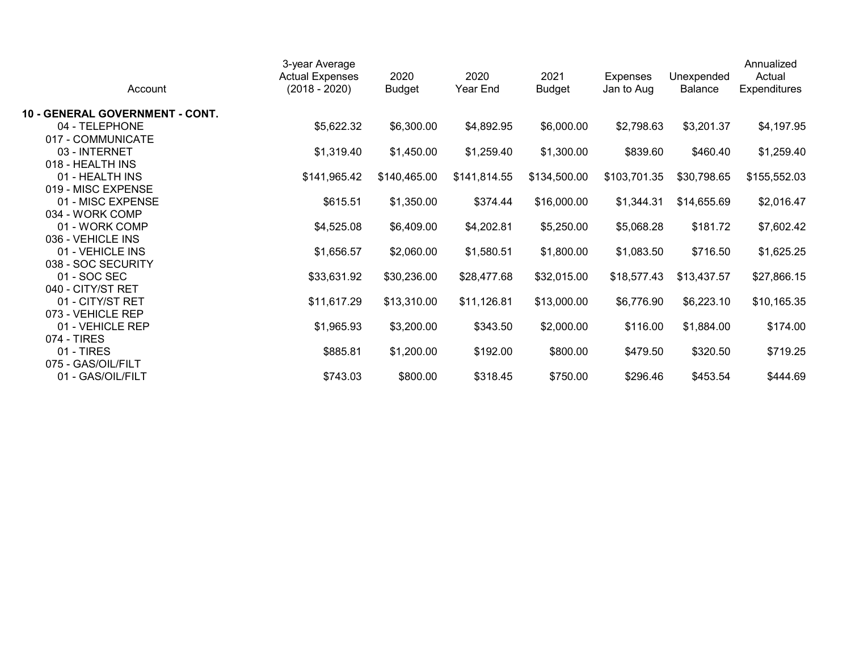| Account                         | 3-year Average<br><b>Actual Expenses</b><br>$(2018 - 2020)$ | 2020<br><b>Budget</b> | 2020<br>Year End | 2021<br><b>Budget</b> | <b>Expenses</b><br>Jan to Aug | Unexpended<br><b>Balance</b> | Annualized<br>Actual<br>Expenditures |
|---------------------------------|-------------------------------------------------------------|-----------------------|------------------|-----------------------|-------------------------------|------------------------------|--------------------------------------|
| 10 - GENERAL GOVERNMENT - CONT. |                                                             |                       |                  |                       |                               |                              |                                      |
| 04 - TELEPHONE                  | \$5,622.32                                                  | \$6,300.00            | \$4,892.95       | \$6,000.00            | \$2,798.63                    | \$3,201.37                   | \$4,197.95                           |
| 017 - COMMUNICATE               |                                                             |                       |                  |                       |                               |                              |                                      |
| 03 - INTERNET                   | \$1,319.40                                                  | \$1,450.00            | \$1,259.40       | \$1,300.00            | \$839.60                      | \$460.40                     | \$1,259.40                           |
| 018 - HEALTH INS                |                                                             |                       |                  |                       |                               |                              |                                      |
| 01 - HEALTH INS                 | \$141,965.42                                                | \$140,465.00          | \$141,814.55     | \$134,500.00          | \$103,701.35                  | \$30,798.65                  | \$155,552.03                         |
| 019 - MISC EXPENSE              |                                                             |                       |                  |                       |                               |                              |                                      |
| 01 - MISC EXPENSE               | \$615.51                                                    | \$1,350.00            | \$374.44         | \$16,000.00           | \$1,344.31                    | \$14,655.69                  | \$2,016.47                           |
| 034 - WORK COMP                 |                                                             |                       |                  |                       |                               |                              |                                      |
| 01 - WORK COMP                  | \$4,525.08                                                  | \$6,409.00            | \$4,202.81       | \$5,250.00            | \$5,068.28                    | \$181.72                     | \$7,602.42                           |
| 036 - VEHICLE INS               |                                                             |                       |                  |                       |                               |                              |                                      |
| 01 - VEHICLE INS                | \$1,656.57                                                  | \$2,060.00            | \$1,580.51       | \$1,800.00            | \$1,083.50                    | \$716.50                     | \$1,625.25                           |
| 038 - SOC SECURITY              |                                                             |                       |                  |                       |                               |                              |                                      |
| 01 - SOC SEC                    | \$33,631.92                                                 | \$30,236.00           | \$28,477.68      | \$32,015.00           | \$18,577.43                   | \$13,437.57                  | \$27,866.15                          |
| 040 - CITY/ST RET               |                                                             |                       |                  |                       |                               |                              |                                      |
| 01 - CITY/ST RET                | \$11,617.29                                                 | \$13,310.00           | \$11,126.81      | \$13,000.00           | \$6,776.90                    | \$6,223.10                   | \$10,165.35                          |
| 073 - VEHICLE REP               |                                                             |                       |                  |                       |                               |                              |                                      |
| 01 - VEHICLE REP                | \$1,965.93                                                  | \$3,200.00            | \$343.50         | \$2,000.00            | \$116.00                      | \$1,884.00                   | \$174.00                             |
| 074 - TIRES                     |                                                             |                       |                  |                       |                               |                              |                                      |
| 01 - TIRES                      | \$885.81                                                    | \$1,200.00            | \$192.00         | \$800.00              | \$479.50                      | \$320.50                     | \$719.25                             |
| 075 - GAS/OIL/FILT              |                                                             |                       |                  |                       |                               |                              |                                      |
| 01 - GAS/OIL/FILT               | \$743.03                                                    | \$800.00              | \$318.45         | \$750.00              | \$296.46                      | \$453.54                     | \$444.69                             |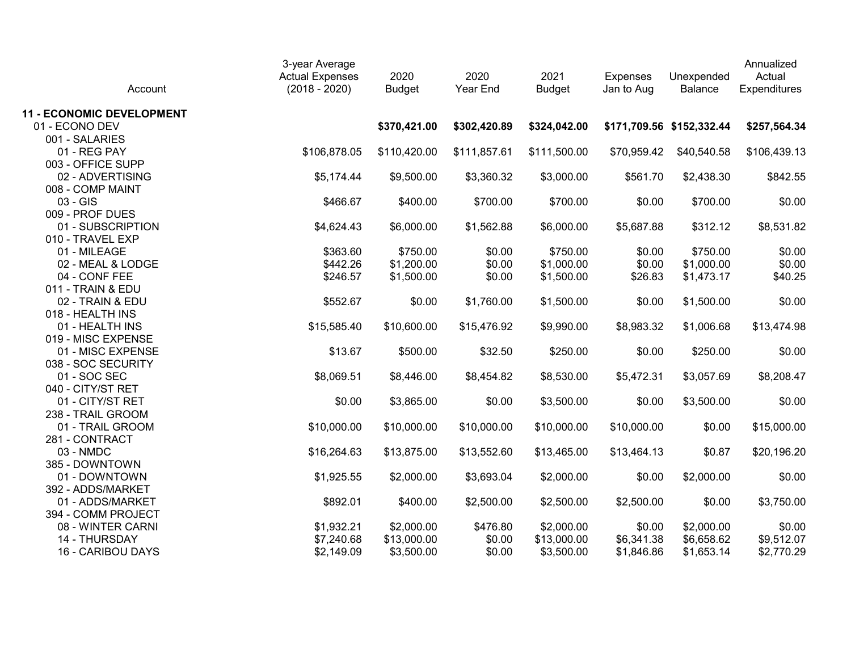| Account                          | 3-year Average<br><b>Actual Expenses</b><br>$(2018 - 2020)$ | 2020<br><b>Budget</b> | 2020<br>Year End | 2021<br><b>Budget</b> | <b>Expenses</b><br>Jan to Aug | Unexpended<br><b>Balance</b> | Annualized<br>Actual<br>Expenditures |
|----------------------------------|-------------------------------------------------------------|-----------------------|------------------|-----------------------|-------------------------------|------------------------------|--------------------------------------|
| <b>11 - ECONOMIC DEVELOPMENT</b> |                                                             |                       |                  |                       |                               |                              |                                      |
| 01 - ECONO DEV                   |                                                             | \$370,421.00          | \$302,420.89     | \$324,042.00          |                               | \$171,709.56 \$152,332.44    | \$257,564.34                         |
| 001 - SALARIES                   |                                                             |                       |                  |                       |                               |                              |                                      |
| 01 - REG PAY                     | \$106,878.05                                                | \$110,420.00          | \$111,857.61     | \$111,500.00          | \$70,959.42                   | \$40,540.58                  | \$106,439.13                         |
| 003 - OFFICE SUPP                |                                                             |                       |                  |                       |                               |                              |                                      |
| 02 - ADVERTISING                 | \$5,174.44                                                  | \$9,500.00            | \$3,360.32       | \$3,000.00            | \$561.70                      | \$2,438.30                   | \$842.55                             |
| 008 - COMP MAINT                 |                                                             |                       |                  |                       |                               |                              |                                      |
| 03 - GIS                         | \$466.67                                                    | \$400.00              | \$700.00         | \$700.00              | \$0.00                        | \$700.00                     | \$0.00                               |
| 009 - PROF DUES                  |                                                             |                       |                  |                       |                               |                              |                                      |
| 01 - SUBSCRIPTION                | \$4,624.43                                                  | \$6,000.00            | \$1,562.88       | \$6,000.00            | \$5,687.88                    | \$312.12                     | \$8,531.82                           |
| 010 - TRAVEL EXP                 |                                                             |                       |                  |                       |                               |                              |                                      |
| 01 - MILEAGE                     | \$363.60                                                    | \$750.00              | \$0.00           | \$750.00              | \$0.00                        | \$750.00                     | \$0.00                               |
| 02 - MEAL & LODGE                | \$442.26                                                    | \$1,200.00            | \$0.00           | \$1,000.00            | \$0.00                        | \$1,000.00                   | \$0.00                               |
| 04 - CONF FEE                    | \$246.57                                                    | \$1,500.00            | \$0.00           | \$1,500.00            | \$26.83                       | \$1,473.17                   | \$40.25                              |
| 011 - TRAIN & EDU                |                                                             |                       |                  |                       |                               |                              |                                      |
| 02 - TRAIN & EDU                 | \$552.67                                                    | \$0.00                | \$1,760.00       | \$1,500.00            | \$0.00                        | \$1,500.00                   | \$0.00                               |
| 018 - HEALTH INS                 |                                                             |                       |                  |                       |                               |                              |                                      |
| 01 - HEALTH INS                  | \$15,585.40                                                 | \$10,600.00           | \$15,476.92      | \$9,990.00            | \$8,983.32                    | \$1,006.68                   | \$13,474.98                          |
| 019 - MISC EXPENSE               |                                                             |                       |                  |                       |                               |                              |                                      |
| 01 - MISC EXPENSE                | \$13.67                                                     | \$500.00              | \$32.50          | \$250.00              | \$0.00                        | \$250.00                     | \$0.00                               |
| 038 - SOC SECURITY               |                                                             |                       |                  |                       |                               |                              |                                      |
| 01 - SOC SEC                     | \$8,069.51                                                  | \$8,446.00            | \$8,454.82       | \$8,530.00            | \$5,472.31                    | \$3,057.69                   | \$8,208.47                           |
| 040 - CITY/ST RET                |                                                             |                       |                  |                       |                               |                              |                                      |
| 01 - CITY/ST RET                 | \$0.00                                                      | \$3,865.00            | \$0.00           | \$3,500.00            | \$0.00                        | \$3,500.00                   | \$0.00                               |
| 238 - TRAIL GROOM                |                                                             |                       |                  |                       |                               |                              |                                      |
| 01 - TRAIL GROOM                 | \$10,000.00                                                 | \$10,000.00           | \$10,000.00      | \$10,000.00           | \$10,000.00                   | \$0.00                       | \$15,000.00                          |
| 281 - CONTRACT                   |                                                             |                       |                  |                       |                               |                              |                                      |
| 03 - NMDC                        | \$16,264.63                                                 | \$13,875.00           | \$13,552.60      | \$13,465.00           | \$13,464.13                   | \$0.87                       | \$20,196.20                          |
| 385 - DOWNTOWN                   |                                                             |                       |                  |                       |                               |                              |                                      |
| 01 - DOWNTOWN                    | \$1,925.55                                                  | \$2,000.00            | \$3,693.04       | \$2,000.00            | \$0.00                        | \$2,000.00                   | \$0.00                               |
| 392 - ADDS/MARKET                |                                                             |                       |                  |                       |                               |                              |                                      |
| 01 - ADDS/MARKET                 | \$892.01                                                    | \$400.00              | \$2,500.00       | \$2,500.00            | \$2,500.00                    | \$0.00                       | \$3,750.00                           |
| 394 - COMM PROJECT               |                                                             |                       |                  |                       |                               |                              |                                      |
| 08 - WINTER CARNI                | \$1,932.21                                                  | \$2,000.00            | \$476.80         | \$2,000.00            | \$0.00                        | \$2,000.00                   | \$0.00                               |
| 14 - THURSDAY                    | \$7,240.68                                                  | \$13,000.00           | \$0.00           | \$13,000.00           | \$6,341.38                    | \$6,658.62                   | \$9,512.07                           |
| 16 - CARIBOU DAYS                | \$2,149.09                                                  | \$3,500.00            | \$0.00           | \$3,500.00            | \$1,846.86                    | \$1,653.14                   | \$2,770.29                           |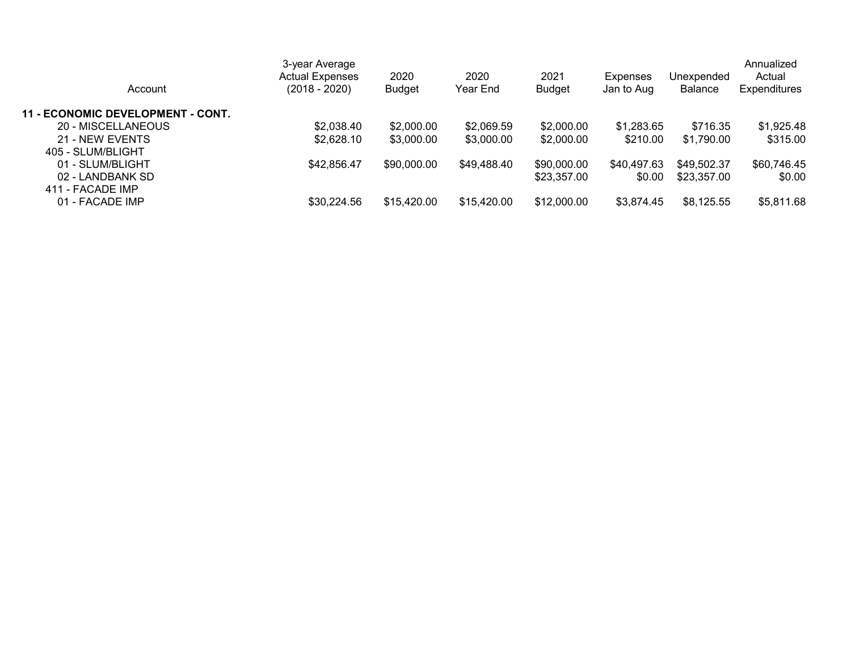| Account                                  | 3-year Average<br><b>Actual Expenses</b><br>$(2018 - 2020)$ | 2020<br><b>Budget</b> | 2020<br>Year End | 2021<br>Budget | <b>Expenses</b><br>Jan to Aug | Unexpended<br><b>Balance</b> | Annualized<br>Actual<br>Expenditures |
|------------------------------------------|-------------------------------------------------------------|-----------------------|------------------|----------------|-------------------------------|------------------------------|--------------------------------------|
| <b>11 - ECONOMIC DEVELOPMENT - CONT.</b> |                                                             |                       |                  |                |                               |                              |                                      |
| 20 - MISCELLANEOUS                       | \$2,038.40                                                  | \$2,000.00            | \$2,069.59       | \$2,000.00     | \$1,283.65                    | \$716.35                     | \$1,925.48                           |
| 21 - NEW EVENTS                          | \$2,628.10                                                  | \$3,000.00            | \$3,000.00       | \$2,000.00     | \$210.00                      | \$1.790.00                   | \$315.00                             |
| 405 - SLUM/BLIGHT                        |                                                             |                       |                  |                |                               |                              |                                      |
| 01 - SLUM/BLIGHT                         | \$42,856.47                                                 | \$90,000.00           | \$49,488.40      | \$90,000.00    | \$40,497.63                   | \$49,502.37                  | \$60,746.45                          |
| 02 - LANDBANK SD                         |                                                             |                       |                  | \$23,357.00    | \$0.00                        | \$23,357.00                  | \$0.00                               |
| 411 - FACADE IMP                         |                                                             |                       |                  |                |                               |                              |                                      |
| 01 - FACADE IMP                          | \$30,224.56                                                 | \$15,420.00           | \$15,420.00      | \$12,000.00    | \$3,874.45                    | \$8,125.55                   | \$5,811.68                           |
|                                          |                                                             |                       |                  |                |                               |                              |                                      |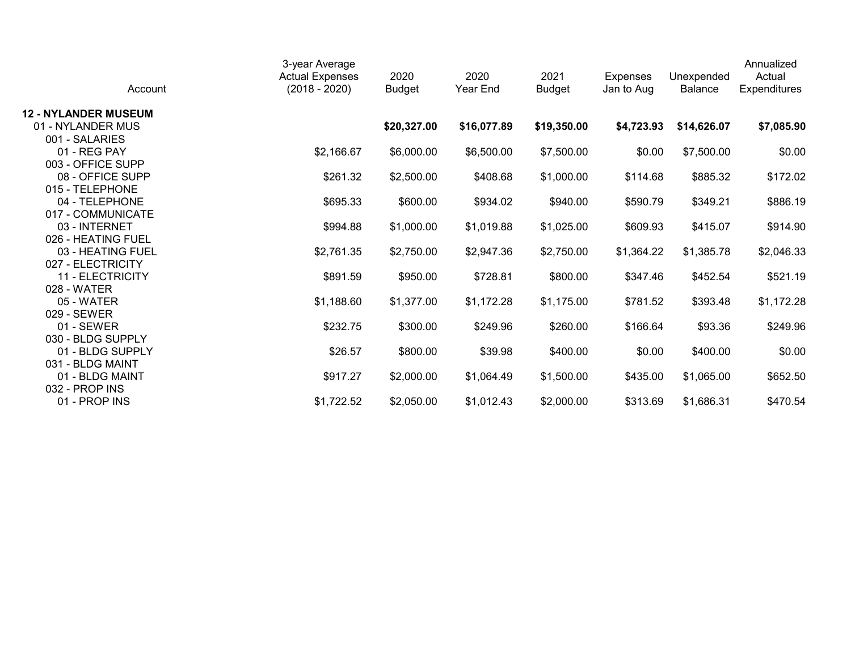| Account                     | 3-year Average<br><b>Actual Expenses</b><br>$(2018 - 2020)$ | 2020<br><b>Budget</b> | 2020<br>Year End | 2021<br><b>Budget</b> | <b>Expenses</b><br>Jan to Aug | Unexpended<br><b>Balance</b> | Annualized<br>Actual<br>Expenditures |
|-----------------------------|-------------------------------------------------------------|-----------------------|------------------|-----------------------|-------------------------------|------------------------------|--------------------------------------|
| <b>12 - NYLANDER MUSEUM</b> |                                                             |                       |                  |                       |                               |                              |                                      |
| 01 - NYLANDER MUS           |                                                             | \$20,327.00           | \$16,077.89      | \$19,350.00           | \$4,723.93                    | \$14,626.07                  | \$7,085.90                           |
| 001 - SALARIES              |                                                             |                       |                  |                       |                               |                              |                                      |
| 01 - REG PAY                | \$2,166.67                                                  | \$6,000.00            | \$6,500.00       | \$7,500.00            | \$0.00                        | \$7,500.00                   | \$0.00                               |
| 003 - OFFICE SUPP           |                                                             |                       |                  |                       |                               |                              |                                      |
| 08 - OFFICE SUPP            | \$261.32                                                    | \$2,500.00            | \$408.68         | \$1,000.00            | \$114.68                      | \$885.32                     | \$172.02                             |
| 015 - TELEPHONE             |                                                             |                       |                  |                       |                               |                              |                                      |
| 04 - TELEPHONE              | \$695.33                                                    | \$600.00              | \$934.02         | \$940.00              | \$590.79                      | \$349.21                     | \$886.19                             |
| 017 - COMMUNICATE           |                                                             |                       |                  |                       |                               |                              |                                      |
| 03 - INTERNET               | \$994.88                                                    | \$1,000.00            | \$1,019.88       | \$1,025.00            | \$609.93                      | \$415.07                     | \$914.90                             |
| 026 - HEATING FUEL          |                                                             |                       |                  |                       |                               |                              |                                      |
| 03 - HEATING FUEL           | \$2,761.35                                                  | \$2,750.00            | \$2,947.36       | \$2,750.00            | \$1,364.22                    | \$1,385.78                   | \$2,046.33                           |
| 027 - ELECTRICITY           |                                                             |                       |                  |                       |                               |                              |                                      |
| 11 - ELECTRICITY            | \$891.59                                                    | \$950.00              | \$728.81         | \$800.00              | \$347.46                      | \$452.54                     | \$521.19                             |
| 028 - WATER                 |                                                             |                       |                  |                       |                               |                              |                                      |
| 05 - WATER<br>029 - SEWER   | \$1,188.60                                                  | \$1,377.00            | \$1,172.28       | \$1,175.00            | \$781.52                      | \$393.48                     | \$1,172.28                           |
| 01 - SEWER                  | \$232.75                                                    | \$300.00              | \$249.96         | \$260.00              | \$166.64                      | \$93.36                      | \$249.96                             |
| 030 - BLDG SUPPLY           |                                                             |                       |                  |                       |                               |                              |                                      |
| 01 - BLDG SUPPLY            | \$26.57                                                     | \$800.00              | \$39.98          | \$400.00              | \$0.00                        | \$400.00                     | \$0.00                               |
| 031 - BLDG MAINT            |                                                             |                       |                  |                       |                               |                              |                                      |
| 01 - BLDG MAINT             | \$917.27                                                    | \$2,000.00            | \$1,064.49       | \$1,500.00            | \$435.00                      | \$1,065.00                   | \$652.50                             |
| 032 - PROP INS              |                                                             |                       |                  |                       |                               |                              |                                      |
| 01 - PROP INS               | \$1,722.52                                                  | \$2,050.00            | \$1,012.43       | \$2,000.00            | \$313.69                      | \$1,686.31                   | \$470.54                             |
|                             |                                                             |                       |                  |                       |                               |                              |                                      |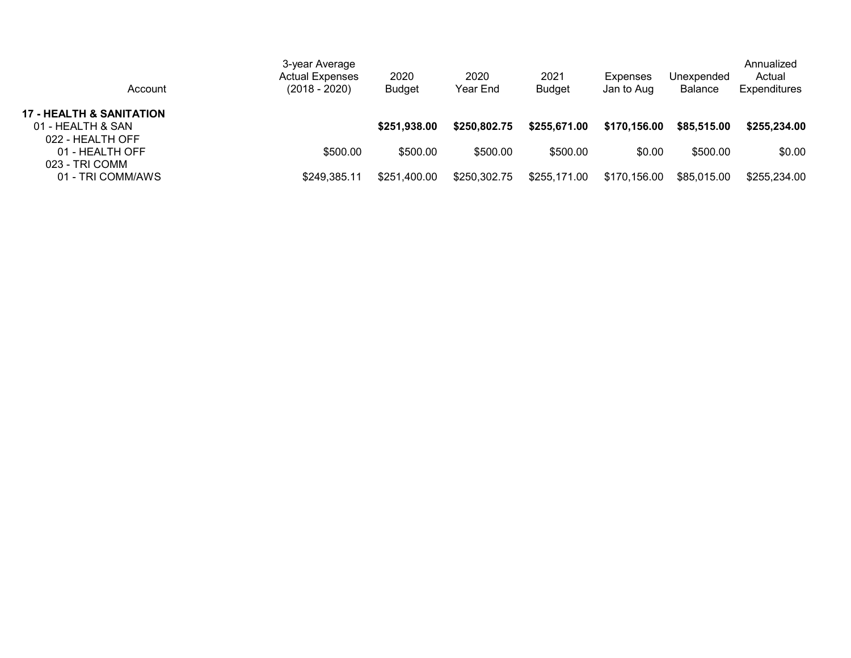| Account                                                                      | 3-year Average<br><b>Actual Expenses</b><br>$(2018 - 2020)$ | 2020<br><b>Budget</b> | 2020<br>Year End | 2021<br><b>Budget</b> | Expenses<br>Jan to Aug | Unexpended<br><b>Balance</b> | Annualized<br>Actual<br><b>Expenditures</b> |
|------------------------------------------------------------------------------|-------------------------------------------------------------|-----------------------|------------------|-----------------------|------------------------|------------------------------|---------------------------------------------|
| <b>17 - HEALTH &amp; SANITATION</b><br>01 - HEALTH & SAN<br>022 - HEALTH OFF |                                                             | \$251,938.00          | \$250,802.75     | \$255,671.00          | \$170,156.00           | \$85,515.00                  | \$255,234.00                                |
| 01 - HEALTH OFF<br>023 - TRI COMM                                            | \$500.00                                                    | \$500.00              | \$500.00         | \$500.00              | \$0.00                 | \$500.00                     | \$0.00                                      |
| 01 - TRI COMM/AWS                                                            | \$249,385.11                                                | \$251,400.00          | \$250,302.75     | \$255,171.00          | \$170,156.00           | \$85,015.00                  | \$255,234.00                                |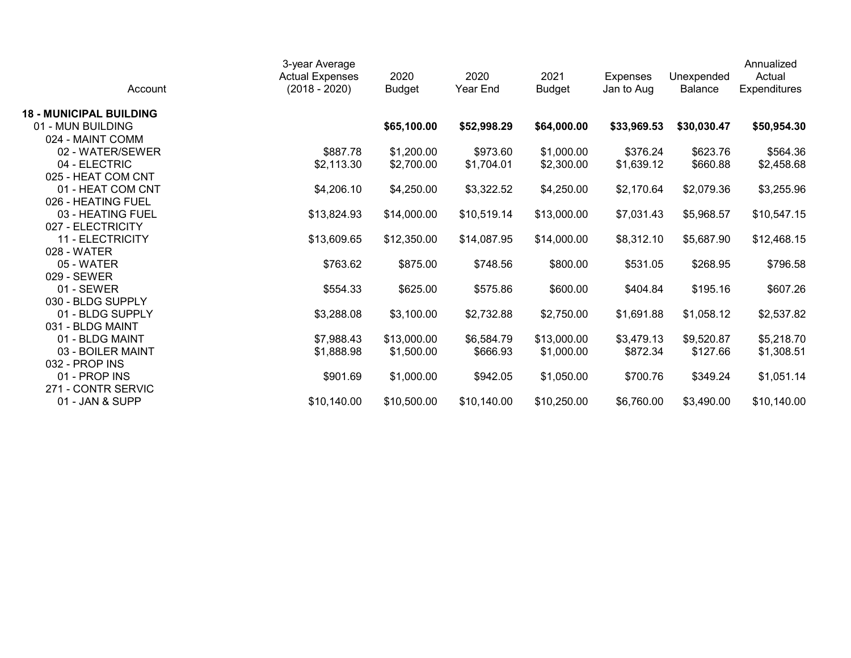| Account                        | 3-year Average<br><b>Actual Expenses</b><br>$(2018 - 2020)$ | 2020<br><b>Budget</b> | 2020<br>Year End | 2021<br><b>Budget</b> | Expenses<br>Jan to Aug | Unexpended<br><b>Balance</b> | Annualized<br>Actual<br>Expenditures |
|--------------------------------|-------------------------------------------------------------|-----------------------|------------------|-----------------------|------------------------|------------------------------|--------------------------------------|
| <b>18 - MUNICIPAL BUILDING</b> |                                                             |                       |                  |                       |                        |                              |                                      |
| 01 - MUN BUILDING              |                                                             | \$65,100.00           | \$52,998.29      | \$64,000.00           | \$33,969.53            | \$30,030.47                  | \$50,954.30                          |
| 024 - MAINT COMM               |                                                             |                       |                  |                       |                        |                              |                                      |
| 02 - WATER/SEWER               | \$887.78                                                    | \$1,200.00            | \$973.60         | \$1,000.00            | \$376.24               | \$623.76                     | \$564.36                             |
| 04 - ELECTRIC                  | \$2,113.30                                                  | \$2,700.00            | \$1,704.01       | \$2,300.00            | \$1,639.12             | \$660.88                     | \$2,458.68                           |
| 025 - HEAT COM CNT             |                                                             |                       |                  |                       |                        |                              |                                      |
| 01 - HEAT COM CNT              | \$4,206.10                                                  | \$4,250.00            | \$3,322.52       | \$4,250.00            | \$2,170.64             | \$2,079.36                   | \$3,255.96                           |
| 026 - HEATING FUEL             |                                                             |                       |                  |                       |                        |                              |                                      |
| 03 - HEATING FUEL              | \$13,824.93                                                 | \$14,000.00           | \$10,519.14      | \$13,000.00           | \$7,031.43             | \$5,968.57                   | \$10,547.15                          |
| 027 - ELECTRICITY              |                                                             |                       |                  |                       |                        |                              |                                      |
| 11 - ELECTRICITY               | \$13,609.65                                                 | \$12,350.00           | \$14,087.95      | \$14,000.00           | \$8,312.10             | \$5,687.90                   | \$12,468.15                          |
| 028 - WATER                    |                                                             |                       |                  |                       |                        |                              |                                      |
| 05 - WATER                     | \$763.62                                                    | \$875.00              | \$748.56         | \$800.00              | \$531.05               | \$268.95                     | \$796.58                             |
| 029 - SEWER                    |                                                             |                       |                  |                       |                        |                              |                                      |
| 01 - SEWER                     | \$554.33                                                    | \$625.00              | \$575.86         | \$600.00              | \$404.84               | \$195.16                     | \$607.26                             |
| 030 - BLDG SUPPLY              |                                                             |                       |                  |                       |                        |                              |                                      |
| 01 - BLDG SUPPLY               | \$3,288.08                                                  | \$3,100.00            | \$2,732.88       | \$2,750.00            | \$1,691.88             | \$1,058.12                   | \$2,537.82                           |
| 031 - BLDG MAINT               |                                                             |                       |                  |                       |                        |                              |                                      |
| 01 - BLDG MAINT                | \$7,988.43                                                  | \$13,000.00           | \$6,584.79       | \$13,000.00           | \$3,479.13             | \$9,520.87                   | \$5,218.70                           |
| 03 - BOILER MAINT              | \$1,888.98                                                  | \$1,500.00            | \$666.93         | \$1,000.00            | \$872.34               | \$127.66                     | \$1,308.51                           |
| 032 - PROP INS                 |                                                             |                       |                  |                       |                        |                              |                                      |
| 01 - PROP INS                  | \$901.69                                                    | \$1,000.00            | \$942.05         | \$1,050.00            | \$700.76               | \$349.24                     | \$1,051.14                           |
| 271 - CONTR SERVIC             |                                                             |                       |                  |                       |                        |                              |                                      |
| 01 - JAN & SUPP                | \$10,140.00                                                 | \$10,500.00           | \$10,140.00      | \$10,250.00           | \$6,760.00             | \$3,490.00                   | \$10,140.00                          |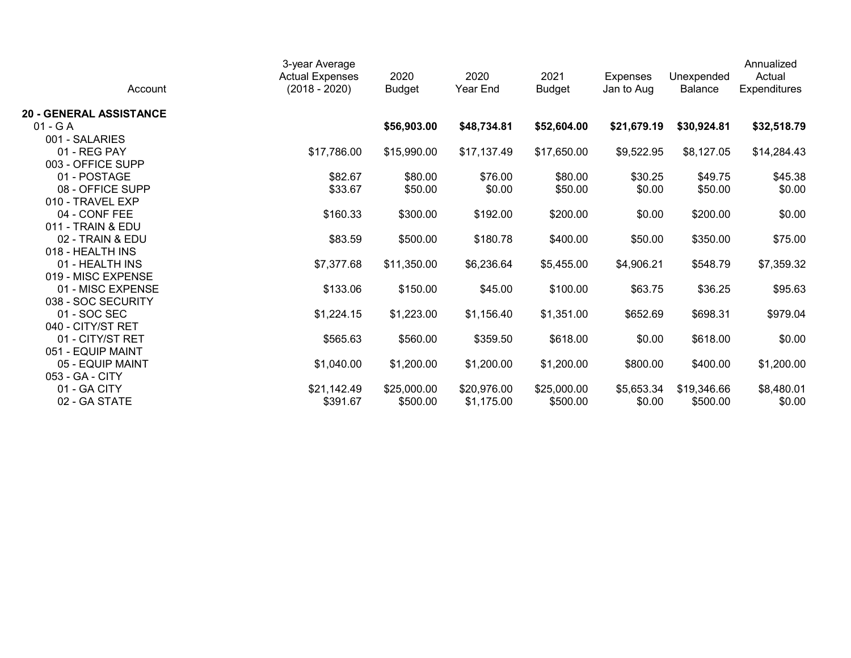| Account                        | 3-year Average<br><b>Actual Expenses</b><br>$(2018 - 2020)$ | 2020<br><b>Budget</b> | 2020<br>Year End | 2021<br><b>Budget</b> | <b>Expenses</b><br>Jan to Aug | Unexpended<br>Balance | Annualized<br>Actual<br>Expenditures |
|--------------------------------|-------------------------------------------------------------|-----------------------|------------------|-----------------------|-------------------------------|-----------------------|--------------------------------------|
| <b>20 - GENERAL ASSISTANCE</b> |                                                             |                       |                  |                       |                               |                       |                                      |
| $01 - G A$                     |                                                             | \$56,903.00           | \$48,734.81      | \$52,604.00           | \$21,679.19                   | \$30,924.81           | \$32,518.79                          |
| 001 - SALARIES                 |                                                             |                       |                  |                       |                               |                       |                                      |
| 01 - REG PAY                   | \$17,786.00                                                 | \$15,990.00           | \$17,137.49      | \$17,650.00           | \$9,522.95                    | \$8,127.05            | \$14,284.43                          |
| 003 - OFFICE SUPP              |                                                             |                       |                  |                       |                               |                       |                                      |
| 01 - POSTAGE                   | \$82.67                                                     | \$80.00               | \$76.00          | \$80.00               | \$30.25                       | \$49.75               | \$45.38                              |
| 08 - OFFICE SUPP               | \$33.67                                                     | \$50.00               | \$0.00           | \$50.00               | \$0.00                        | \$50.00               | \$0.00                               |
| 010 - TRAVEL EXP               |                                                             |                       |                  |                       |                               |                       |                                      |
| 04 - CONF FEE                  | \$160.33                                                    | \$300.00              | \$192.00         | \$200.00              | \$0.00                        | \$200.00              | \$0.00                               |
| 011 - TRAIN & EDU              |                                                             |                       |                  |                       |                               |                       |                                      |
| 02 - TRAIN & EDU               | \$83.59                                                     | \$500.00              | \$180.78         | \$400.00              | \$50.00                       | \$350.00              | \$75.00                              |
| 018 - HEALTH INS               |                                                             |                       |                  |                       |                               |                       |                                      |
| 01 - HEALTH INS                | \$7,377.68                                                  | \$11,350.00           | \$6,236.64       | \$5,455.00            | \$4,906.21                    | \$548.79              | \$7,359.32                           |
| 019 - MISC EXPENSE             |                                                             |                       |                  |                       |                               |                       |                                      |
| 01 - MISC EXPENSE              | \$133.06                                                    | \$150.00              | \$45.00          | \$100.00              | \$63.75                       | \$36.25               | \$95.63                              |
| 038 - SOC SECURITY             |                                                             |                       |                  |                       |                               |                       |                                      |
| 01 - SOC SEC                   | \$1,224.15                                                  | \$1,223.00            | \$1,156.40       | \$1,351.00            | \$652.69                      | \$698.31              | \$979.04                             |
| 040 - CITY/ST RET              |                                                             |                       |                  |                       |                               |                       |                                      |
| 01 - CITY/ST RET               | \$565.63                                                    | \$560.00              | \$359.50         | \$618.00              | \$0.00                        | \$618.00              | \$0.00                               |
| 051 - EQUIP MAINT              |                                                             |                       |                  |                       |                               |                       |                                      |
| 05 - EQUIP MAINT               | \$1,040.00                                                  | \$1,200.00            | \$1,200.00       | \$1,200.00            | \$800.00                      | \$400.00              | \$1,200.00                           |
| 053 - GA - CITY                |                                                             |                       |                  |                       |                               |                       |                                      |
| 01 - GA CITY                   | \$21,142.49                                                 | \$25,000.00           | \$20,976.00      | \$25,000.00           | \$5,653.34                    | \$19,346.66           | \$8,480.01                           |
| 02 - GA STATE                  | \$391.67                                                    | \$500.00              | \$1,175.00       | \$500.00              | \$0.00                        | \$500.00              | \$0.00                               |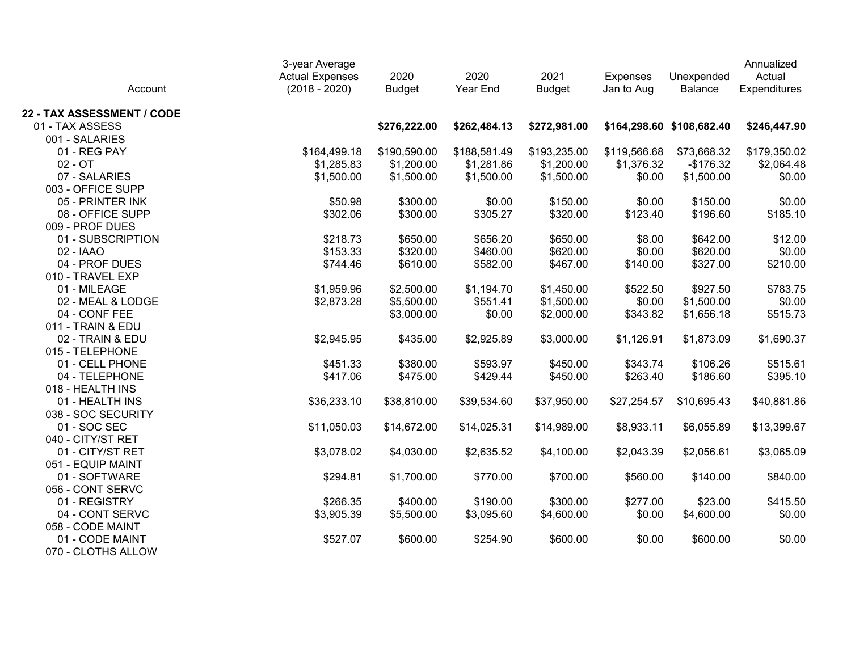| Account                    | 3-year Average<br><b>Actual Expenses</b><br>$(2018 - 2020)$ | 2020<br><b>Budget</b> | 2020<br>Year End | 2021<br><b>Budget</b> | <b>Expenses</b><br>Jan to Aug | Unexpended<br><b>Balance</b> | Annualized<br>Actual<br>Expenditures |
|----------------------------|-------------------------------------------------------------|-----------------------|------------------|-----------------------|-------------------------------|------------------------------|--------------------------------------|
| 22 - TAX ASSESSMENT / CODE |                                                             |                       |                  |                       |                               |                              |                                      |
| 01 - TAX ASSESS            |                                                             | \$276,222.00          | \$262,484.13     | \$272,981.00          |                               | \$164,298.60 \$108,682.40    | \$246,447.90                         |
| 001 - SALARIES             |                                                             |                       |                  |                       |                               |                              |                                      |
| 01 - REG PAY               | \$164,499.18                                                | \$190,590.00          | \$188,581.49     | \$193,235.00          | \$119,566.68                  | \$73,668.32                  | \$179,350.02                         |
| $02 - OT$                  | \$1,285.83                                                  | \$1,200.00            | \$1,281.86       | \$1,200.00            | \$1,376.32                    | $-$176.32$                   | \$2,064.48                           |
| 07 - SALARIES              | \$1,500.00                                                  | \$1,500.00            | \$1,500.00       | \$1,500.00            | \$0.00                        | \$1,500.00                   | \$0.00                               |
| 003 - OFFICE SUPP          |                                                             |                       |                  |                       |                               |                              |                                      |
| 05 - PRINTER INK           | \$50.98                                                     | \$300.00              | \$0.00           | \$150.00              | \$0.00                        | \$150.00                     | \$0.00                               |
| 08 - OFFICE SUPP           | \$302.06                                                    | \$300.00              | \$305.27         | \$320.00              | \$123.40                      | \$196.60                     | \$185.10                             |
| 009 - PROF DUES            |                                                             |                       |                  |                       |                               |                              |                                      |
| 01 - SUBSCRIPTION          | \$218.73                                                    | \$650.00              | \$656.20         | \$650.00              | \$8.00                        | \$642.00                     | \$12.00                              |
| 02 - IAAO                  | \$153.33                                                    | \$320.00              | \$460.00         | \$620.00              | \$0.00                        | \$620.00                     | \$0.00                               |
| 04 - PROF DUES             | \$744.46                                                    | \$610.00              | \$582.00         | \$467.00              | \$140.00                      | \$327.00                     | \$210.00                             |
| 010 - TRAVEL EXP           |                                                             |                       |                  |                       |                               |                              |                                      |
| 01 - MILEAGE               | \$1,959.96                                                  | \$2,500.00            | \$1,194.70       | \$1,450.00            | \$522.50                      | \$927.50                     | \$783.75                             |
| 02 - MEAL & LODGE          | \$2,873.28                                                  | \$5,500.00            | \$551.41         | \$1,500.00            | \$0.00                        | \$1,500.00                   | \$0.00                               |
| 04 - CONF FEE              |                                                             | \$3,000.00            | \$0.00           | \$2,000.00            | \$343.82                      | \$1,656.18                   | \$515.73                             |
| 011 - TRAIN & EDU          |                                                             |                       |                  |                       |                               |                              |                                      |
| 02 - TRAIN & EDU           | \$2,945.95                                                  | \$435.00              | \$2,925.89       | \$3,000.00            | \$1,126.91                    | \$1,873.09                   | \$1,690.37                           |
| 015 - TELEPHONE            |                                                             |                       |                  |                       |                               |                              |                                      |
| 01 - CELL PHONE            | \$451.33                                                    | \$380.00              | \$593.97         | \$450.00              | \$343.74                      | \$106.26                     | \$515.61                             |
| 04 - TELEPHONE             | \$417.06                                                    | \$475.00              | \$429.44         | \$450.00              | \$263.40                      | \$186.60                     | \$395.10                             |
| 018 - HEALTH INS           |                                                             |                       |                  |                       |                               |                              |                                      |
| 01 - HEALTH INS            | \$36,233.10                                                 | \$38,810.00           | \$39,534.60      | \$37,950.00           | \$27,254.57                   | \$10,695.43                  | \$40,881.86                          |
| 038 - SOC SECURITY         |                                                             |                       |                  |                       |                               |                              |                                      |
| 01 - SOC SEC               | \$11,050.03                                                 | \$14,672.00           | \$14,025.31      | \$14,989.00           | \$8,933.11                    | \$6,055.89                   | \$13,399.67                          |
| 040 - CITY/ST RET          |                                                             |                       |                  |                       |                               |                              |                                      |
| 01 - CITY/ST RET           | \$3,078.02                                                  | \$4,030.00            | \$2,635.52       | \$4,100.00            | \$2,043.39                    | \$2,056.61                   | \$3,065.09                           |
| 051 - EQUIP MAINT          |                                                             |                       |                  |                       |                               |                              |                                      |
| 01 - SOFTWARE              | \$294.81                                                    | \$1,700.00            | \$770.00         | \$700.00              | \$560.00                      | \$140.00                     | \$840.00                             |
| 056 - CONT SERVC           |                                                             |                       |                  |                       |                               |                              |                                      |
| 01 - REGISTRY              | \$266.35                                                    | \$400.00              | \$190.00         | \$300.00              | \$277.00                      | \$23.00                      | \$415.50                             |
| 04 - CONT SERVC            | \$3,905.39                                                  | \$5,500.00            | \$3,095.60       | \$4,600.00            | \$0.00                        | \$4,600.00                   | \$0.00                               |
| 058 - CODE MAINT           |                                                             |                       |                  |                       |                               |                              |                                      |
| 01 - CODE MAINT            | \$527.07                                                    | \$600.00              | \$254.90         | \$600.00              | \$0.00                        | \$600.00                     | \$0.00                               |
| 070 - CLOTHS ALLOW         |                                                             |                       |                  |                       |                               |                              |                                      |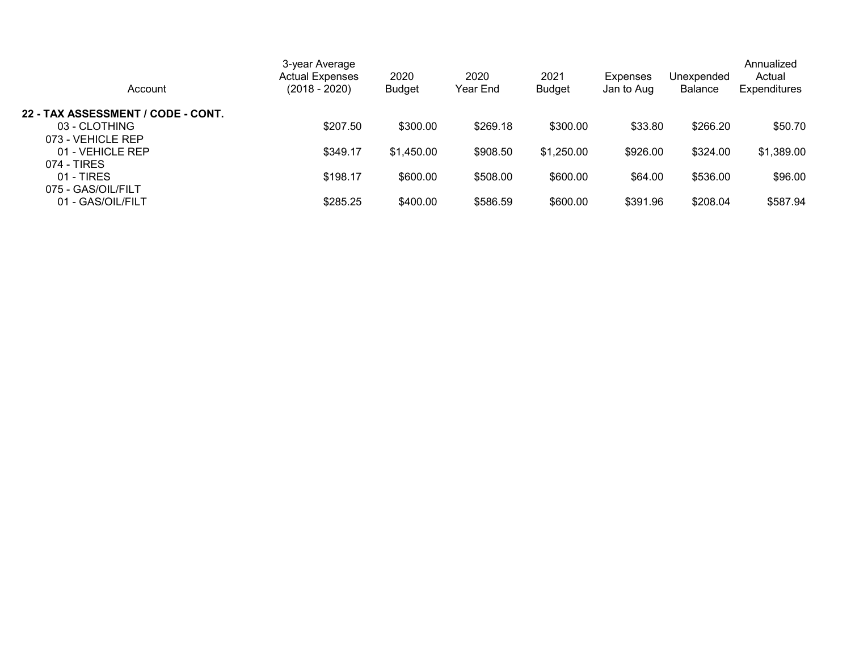| Account                            | 3-year Average<br><b>Actual Expenses</b><br>$(2018 - 2020)$ | 2020<br><b>Budget</b> | 2020<br>Year End | 2021<br>Budget | <b>Expenses</b><br>Jan to Aug | Unexpended<br><b>Balance</b> | Annualized<br>Actual<br><b>Expenditures</b> |
|------------------------------------|-------------------------------------------------------------|-----------------------|------------------|----------------|-------------------------------|------------------------------|---------------------------------------------|
| 22 - TAX ASSESSMENT / CODE - CONT. |                                                             |                       |                  |                |                               |                              |                                             |
| 03 - CLOTHING                      | \$207.50                                                    | \$300.00              | \$269.18         | \$300.00       | \$33.80                       | \$266.20                     | \$50.70                                     |
| 073 - VEHICLE REP                  |                                                             |                       |                  |                |                               |                              |                                             |
| 01 - VEHICLE REP                   | \$349.17                                                    | \$1,450.00            | \$908.50         | \$1,250.00     | \$926.00                      | \$324.00                     | \$1,389.00                                  |
| 074 - TIRES                        |                                                             |                       |                  |                |                               |                              |                                             |
| $01 - TIRES$                       | \$198.17                                                    | \$600.00              | \$508.00         | \$600.00       | \$64.00                       | \$536.00                     | \$96.00                                     |
| 075 - GAS/OIL/FILT                 |                                                             |                       |                  |                |                               |                              |                                             |
| 01 - GAS/OIL/FILT                  | \$285.25                                                    | \$400.00              | \$586.59         | \$600.00       | \$391.96                      | \$208.04                     | \$587.94                                    |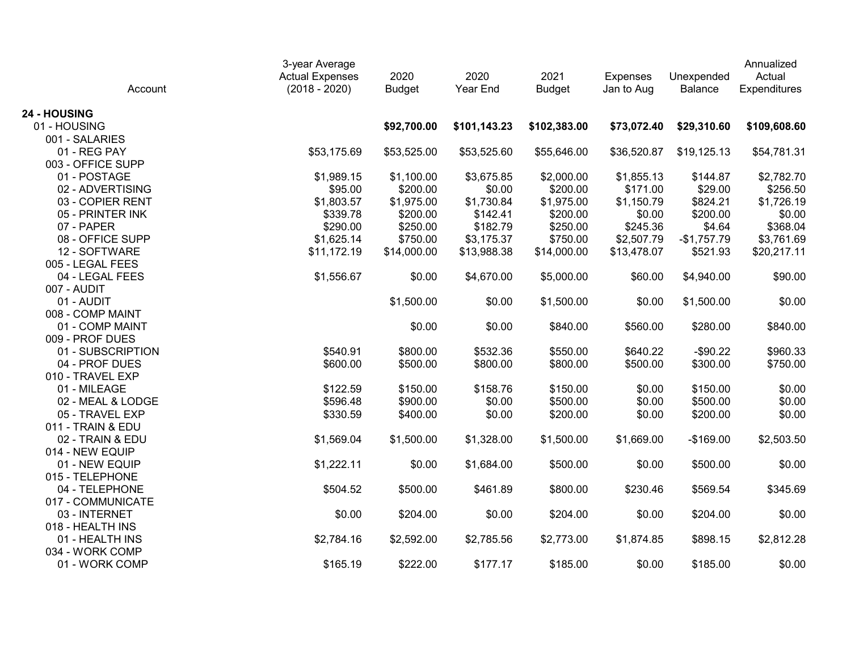| Account           | 3-year Average<br><b>Actual Expenses</b><br>$(2018 - 2020)$ | 2020<br><b>Budget</b> | 2020<br>Year End | 2021<br><b>Budget</b> | <b>Expenses</b><br>Jan to Aug | Unexpended<br>Balance | Annualized<br>Actual<br>Expenditures |
|-------------------|-------------------------------------------------------------|-----------------------|------------------|-----------------------|-------------------------------|-----------------------|--------------------------------------|
| 24 - HOUSING      |                                                             |                       |                  |                       |                               |                       |                                      |
| 01 - HOUSING      |                                                             | \$92,700.00           | \$101,143.23     | \$102,383.00          | \$73,072.40                   | \$29,310.60           | \$109,608.60                         |
| 001 - SALARIES    |                                                             |                       |                  |                       |                               |                       |                                      |
| 01 - REG PAY      | \$53,175.69                                                 | \$53,525.00           | \$53,525.60      | \$55,646.00           | \$36,520.87                   | \$19,125.13           | \$54,781.31                          |
| 003 - OFFICE SUPP |                                                             |                       |                  |                       |                               |                       |                                      |
| 01 - POSTAGE      | \$1,989.15                                                  | \$1,100.00            | \$3,675.85       | \$2,000.00            | \$1,855.13                    | \$144.87              | \$2,782.70                           |
| 02 - ADVERTISING  | \$95.00                                                     | \$200.00              | \$0.00           | \$200.00              | \$171.00                      | \$29.00               | \$256.50                             |
| 03 - COPIER RENT  | \$1,803.57                                                  | \$1,975.00            | \$1,730.84       | \$1,975.00            | \$1,150.79                    | \$824.21              | \$1,726.19                           |
| 05 - PRINTER INK  | \$339.78                                                    | \$200.00              | \$142.41         | \$200.00              | \$0.00                        | \$200.00              | \$0.00                               |
| 07 - PAPER        | \$290.00                                                    | \$250.00              | \$182.79         | \$250.00              | \$245.36                      | \$4.64                | \$368.04                             |
| 08 - OFFICE SUPP  | \$1,625.14                                                  | \$750.00              | \$3,175.37       | \$750.00              | \$2,507.79                    | $-$1,757.79$          | \$3,761.69                           |
| 12 - SOFTWARE     | \$11,172.19                                                 | \$14,000.00           | \$13,988.38      | \$14,000.00           | \$13,478.07                   | \$521.93              | \$20,217.11                          |
| 005 - LEGAL FEES  |                                                             |                       |                  |                       |                               |                       |                                      |
| 04 - LEGAL FEES   | \$1,556.67                                                  | \$0.00                | \$4,670.00       | \$5,000.00            | \$60.00                       | \$4,940.00            | \$90.00                              |
| 007 - AUDIT       |                                                             |                       |                  |                       |                               |                       |                                      |
| 01 - AUDIT        |                                                             | \$1,500.00            | \$0.00           | \$1,500.00            | \$0.00                        | \$1,500.00            | \$0.00                               |
| 008 - COMP MAINT  |                                                             |                       |                  |                       |                               |                       |                                      |
| 01 - COMP MAINT   |                                                             | \$0.00                | \$0.00           | \$840.00              | \$560.00                      | \$280.00              | \$840.00                             |
| 009 - PROF DUES   |                                                             |                       |                  |                       |                               |                       |                                      |
| 01 - SUBSCRIPTION | \$540.91                                                    | \$800.00              | \$532.36         | \$550.00              | \$640.22                      | $-$90.22$             | \$960.33                             |
| 04 - PROF DUES    | \$600.00                                                    | \$500.00              | \$800.00         | \$800.00              | \$500.00                      | \$300.00              | \$750.00                             |
| 010 - TRAVEL EXP  |                                                             |                       |                  |                       |                               |                       |                                      |
| 01 - MILEAGE      | \$122.59                                                    | \$150.00              | \$158.76         | \$150.00              | \$0.00                        | \$150.00              | \$0.00                               |
| 02 - MEAL & LODGE | \$596.48                                                    | \$900.00              | \$0.00           | \$500.00              | \$0.00                        | \$500.00              | \$0.00                               |
| 05 - TRAVEL EXP   | \$330.59                                                    | \$400.00              | \$0.00           | \$200.00              | \$0.00                        | \$200.00              | \$0.00                               |
| 011 - TRAIN & EDU |                                                             |                       |                  |                       |                               |                       |                                      |
| 02 - TRAIN & EDU  | \$1,569.04                                                  | \$1,500.00            | \$1,328.00       | \$1,500.00            | \$1,669.00                    | $-$169.00$            | \$2,503.50                           |
| 014 - NEW EQUIP   |                                                             |                       |                  |                       |                               |                       |                                      |
| 01 - NEW EQUIP    | \$1,222.11                                                  | \$0.00                | \$1,684.00       | \$500.00              | \$0.00                        | \$500.00              | \$0.00                               |
| 015 - TELEPHONE   |                                                             |                       |                  |                       |                               |                       |                                      |
| 04 - TELEPHONE    | \$504.52                                                    | \$500.00              | \$461.89         | \$800.00              | \$230.46                      | \$569.54              | \$345.69                             |
| 017 - COMMUNICATE |                                                             |                       |                  |                       |                               |                       |                                      |
| 03 - INTERNET     | \$0.00                                                      | \$204.00              | \$0.00           | \$204.00              | \$0.00                        | \$204.00              | \$0.00                               |
| 018 - HEALTH INS  |                                                             |                       |                  |                       |                               |                       |                                      |
| 01 - HEALTH INS   | \$2,784.16                                                  | \$2,592.00            | \$2,785.56       | \$2,773.00            | \$1,874.85                    | \$898.15              | \$2,812.28                           |
| 034 - WORK COMP   |                                                             |                       |                  |                       |                               |                       |                                      |
| 01 - WORK COMP    | \$165.19                                                    | \$222.00              | \$177.17         | \$185.00              | \$0.00                        | \$185.00              | \$0.00                               |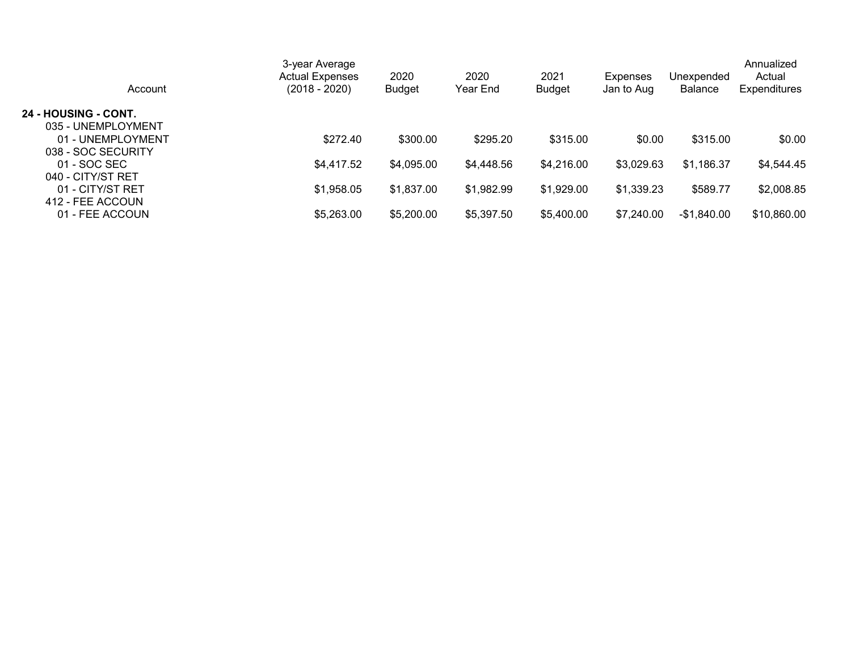| 3-year Average<br><b>Actual Expenses</b><br>(2018 - 2020) | 2020<br><b>Budget</b> | 2020<br>Year End | 2021<br><b>Budget</b> | <b>Expenses</b><br>Jan to Aug | Unexpended<br>Balance | Annualized<br>Actual<br><b>Expenditures</b> |
|-----------------------------------------------------------|-----------------------|------------------|-----------------------|-------------------------------|-----------------------|---------------------------------------------|
|                                                           |                       |                  |                       |                               |                       |                                             |
|                                                           |                       |                  |                       |                               |                       |                                             |
| \$272.40                                                  | \$300.00              | \$295.20         | \$315.00              | \$0.00                        | \$315.00              | \$0.00                                      |
|                                                           |                       |                  |                       |                               |                       |                                             |
| \$4,417.52                                                | \$4,095.00            | \$4,448.56       | \$4,216.00            | \$3,029.63                    | \$1,186.37            | \$4,544.45                                  |
|                                                           |                       |                  |                       |                               |                       |                                             |
| \$1,958.05                                                | \$1,837.00            | \$1,982.99       | \$1,929.00            | \$1,339.23                    | \$589.77              | \$2,008.85                                  |
|                                                           |                       |                  |                       |                               |                       |                                             |
| \$5,263.00                                                | \$5,200.00            | \$5,397.50       | \$5,400.00            | \$7,240.00                    | $-$1,840.00$          | \$10,860.00                                 |
|                                                           |                       |                  |                       |                               |                       |                                             |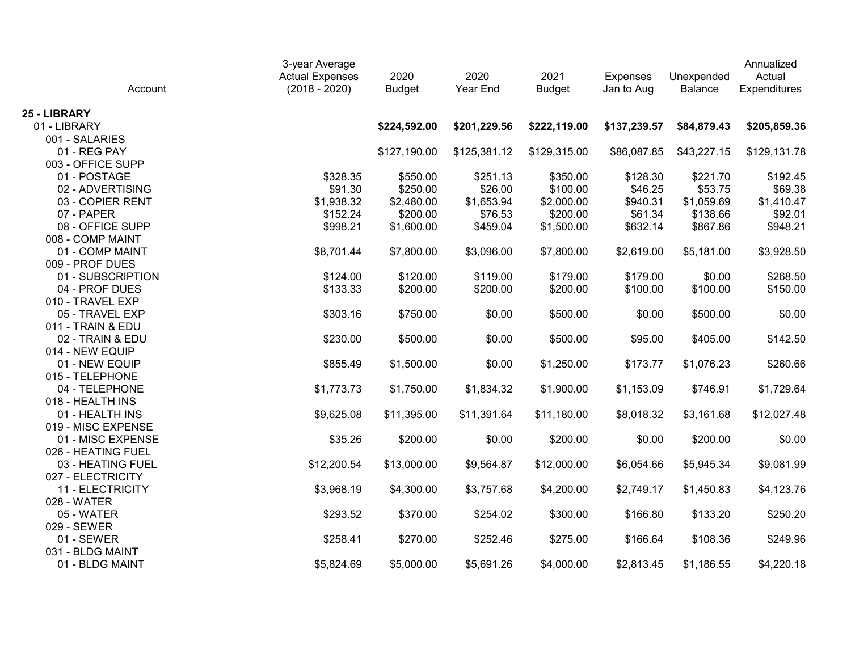| Account            | 3-year Average<br><b>Actual Expenses</b><br>$(2018 - 2020)$ | 2020<br><b>Budget</b> | 2020<br>Year End | 2021<br><b>Budget</b> | <b>Expenses</b><br>Jan to Aug | Unexpended<br>Balance | Annualized<br>Actual<br>Expenditures |
|--------------------|-------------------------------------------------------------|-----------------------|------------------|-----------------------|-------------------------------|-----------------------|--------------------------------------|
| 25 - LIBRARY       |                                                             |                       |                  |                       |                               |                       |                                      |
| 01 - LIBRARY       |                                                             | \$224,592.00          | \$201,229.56     | \$222,119.00          | \$137,239.57                  | \$84,879.43           | \$205,859.36                         |
| 001 - SALARIES     |                                                             |                       |                  |                       |                               |                       |                                      |
| 01 - REG PAY       |                                                             | \$127,190.00          | \$125,381.12     | \$129,315.00          | \$86,087.85                   | \$43,227.15           | \$129,131.78                         |
| 003 - OFFICE SUPP  |                                                             |                       |                  |                       |                               |                       |                                      |
| 01 - POSTAGE       | \$328.35                                                    | \$550.00              | \$251.13         | \$350.00              | \$128.30                      | \$221.70              | \$192.45                             |
| 02 - ADVERTISING   | \$91.30                                                     | \$250.00              | \$26.00          | \$100.00              | \$46.25                       | \$53.75               | \$69.38                              |
| 03 - COPIER RENT   | \$1,938.32                                                  | \$2,480.00            | \$1,653.94       | \$2,000.00            | \$940.31                      | \$1,059.69            | \$1,410.47                           |
| 07 - PAPER         | \$152.24                                                    | \$200.00              | \$76.53          | \$200.00              | \$61.34                       | \$138.66              | \$92.01                              |
| 08 - OFFICE SUPP   | \$998.21                                                    | \$1,600.00            | \$459.04         | \$1,500.00            | \$632.14                      | \$867.86              | \$948.21                             |
| 008 - COMP MAINT   |                                                             |                       |                  |                       |                               |                       |                                      |
| 01 - COMP MAINT    | \$8,701.44                                                  | \$7,800.00            | \$3,096.00       | \$7,800.00            | \$2,619.00                    | \$5,181.00            | \$3,928.50                           |
| 009 - PROF DUES    |                                                             |                       |                  |                       |                               |                       |                                      |
| 01 - SUBSCRIPTION  | \$124.00                                                    | \$120.00              | \$119.00         | \$179.00              | \$179.00                      | \$0.00                | \$268.50                             |
| 04 - PROF DUES     | \$133.33                                                    | \$200.00              | \$200.00         | \$200.00              | \$100.00                      | \$100.00              | \$150.00                             |
| 010 - TRAVEL EXP   |                                                             |                       |                  |                       |                               |                       |                                      |
| 05 - TRAVEL EXP    | \$303.16                                                    | \$750.00              | \$0.00           | \$500.00              | \$0.00                        | \$500.00              | \$0.00                               |
| 011 - TRAIN & EDU  |                                                             |                       |                  |                       |                               |                       |                                      |
| 02 - TRAIN & EDU   | \$230.00                                                    | \$500.00              | \$0.00           | \$500.00              | \$95.00                       | \$405.00              | \$142.50                             |
| 014 - NEW EQUIP    |                                                             |                       |                  |                       |                               |                       |                                      |
| 01 - NEW EQUIP     | \$855.49                                                    | \$1,500.00            | \$0.00           | \$1,250.00            | \$173.77                      | \$1,076.23            | \$260.66                             |
| 015 - TELEPHONE    |                                                             |                       |                  |                       |                               |                       |                                      |
| 04 - TELEPHONE     | \$1,773.73                                                  | \$1,750.00            | \$1,834.32       | \$1,900.00            | \$1,153.09                    | \$746.91              | \$1,729.64                           |
| 018 - HEALTH INS   |                                                             |                       |                  |                       |                               |                       |                                      |
| 01 - HEALTH INS    | \$9,625.08                                                  | \$11,395.00           | \$11,391.64      | \$11,180.00           | \$8,018.32                    | \$3,161.68            | \$12,027.48                          |
| 019 - MISC EXPENSE |                                                             |                       |                  |                       |                               |                       |                                      |
| 01 - MISC EXPENSE  | \$35.26                                                     | \$200.00              | \$0.00           | \$200.00              | \$0.00                        | \$200.00              | \$0.00                               |
| 026 - HEATING FUEL |                                                             |                       |                  |                       |                               |                       |                                      |
| 03 - HEATING FUEL  | \$12,200.54                                                 | \$13,000.00           | \$9,564.87       | \$12,000.00           | \$6,054.66                    | \$5,945.34            | \$9,081.99                           |
| 027 - ELECTRICITY  |                                                             |                       |                  |                       |                               |                       |                                      |
| 11 - ELECTRICITY   | \$3,968.19                                                  | \$4,300.00            | \$3,757.68       | \$4,200.00            | \$2,749.17                    | \$1,450.83            | \$4,123.76                           |
| 028 - WATER        |                                                             |                       |                  |                       |                               |                       |                                      |
| 05 - WATER         | \$293.52                                                    | \$370.00              | \$254.02         | \$300.00              | \$166.80                      | \$133.20              | \$250.20                             |
| 029 - SEWER        |                                                             |                       |                  |                       |                               |                       |                                      |
| 01 - SEWER         | \$258.41                                                    | \$270.00              | \$252.46         | \$275.00              | \$166.64                      | \$108.36              | \$249.96                             |
| 031 - BLDG MAINT   |                                                             |                       |                  |                       |                               |                       |                                      |
| 01 - BLDG MAINT    | \$5,824.69                                                  | \$5,000.00            | \$5,691.26       | \$4,000.00            | \$2,813.45                    | \$1,186.55            | \$4,220.18                           |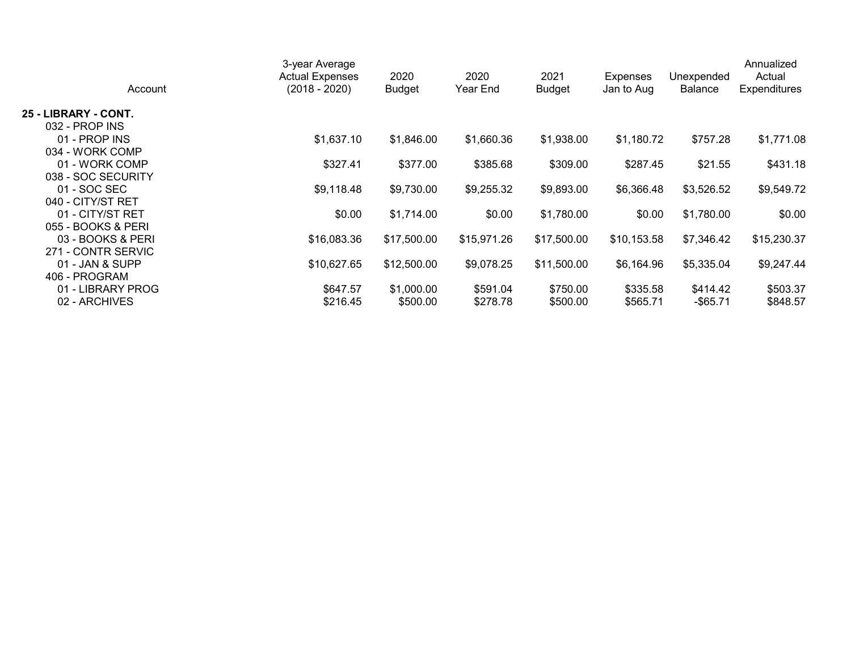| Account              | 3-year Average<br><b>Actual Expenses</b><br>$(2018 - 2020)$ | 2020<br><b>Budget</b> | 2020<br>Year End | 2021<br><b>Budget</b> | Expenses<br>Jan to Aug | Unexpended<br><b>Balance</b> | Annualized<br>Actual<br>Expenditures |
|----------------------|-------------------------------------------------------------|-----------------------|------------------|-----------------------|------------------------|------------------------------|--------------------------------------|
| 25 - LIBRARY - CONT. |                                                             |                       |                  |                       |                        |                              |                                      |
| 032 - PROP INS       |                                                             |                       |                  |                       |                        |                              |                                      |
| 01 - PROP INS        | \$1,637.10                                                  | \$1,846.00            | \$1,660.36       | \$1,938.00            | \$1,180.72             | \$757.28                     | \$1,771.08                           |
| 034 - WORK COMP      |                                                             |                       |                  |                       |                        |                              |                                      |
| 01 - WORK COMP       | \$327.41                                                    | \$377.00              | \$385.68         | \$309.00              | \$287.45               | \$21.55                      | \$431.18                             |
| 038 - SOC SECURITY   |                                                             |                       |                  |                       |                        |                              |                                      |
| 01 - SOC SEC         | \$9,118.48                                                  | \$9,730.00            | \$9,255.32       | \$9,893.00            | \$6,366.48             | \$3,526.52                   | \$9,549.72                           |
| 040 - CITY/ST RET    |                                                             |                       |                  |                       |                        |                              |                                      |
| 01 - CITY/ST RET     | \$0.00                                                      | \$1,714.00            | \$0.00           | \$1,780.00            | \$0.00                 | \$1,780.00                   | \$0.00                               |
| 055 - BOOKS & PERI   |                                                             |                       |                  |                       |                        |                              |                                      |
| 03 - BOOKS & PERI    | \$16,083.36                                                 | \$17,500.00           | \$15,971.26      | \$17,500.00           | \$10,153.58            | \$7,346.42                   | \$15,230.37                          |
| 271 - CONTR SERVIC   |                                                             |                       |                  |                       |                        |                              |                                      |
| 01 - JAN & SUPP      | \$10,627.65                                                 | \$12,500.00           | \$9,078.25       | \$11,500.00           | \$6,164.96             | \$5,335.04                   | \$9,247.44                           |
| 406 - PROGRAM        |                                                             |                       |                  |                       |                        |                              |                                      |
| 01 - LIBRARY PROG    | \$647.57                                                    | \$1,000.00            | \$591.04         | \$750.00              | \$335.58               | \$414.42                     | \$503.37                             |
| 02 - ARCHIVES        | \$216.45                                                    | \$500.00              | \$278.78         | \$500.00              | \$565.71               | $-$ \$65.71                  | \$848.57                             |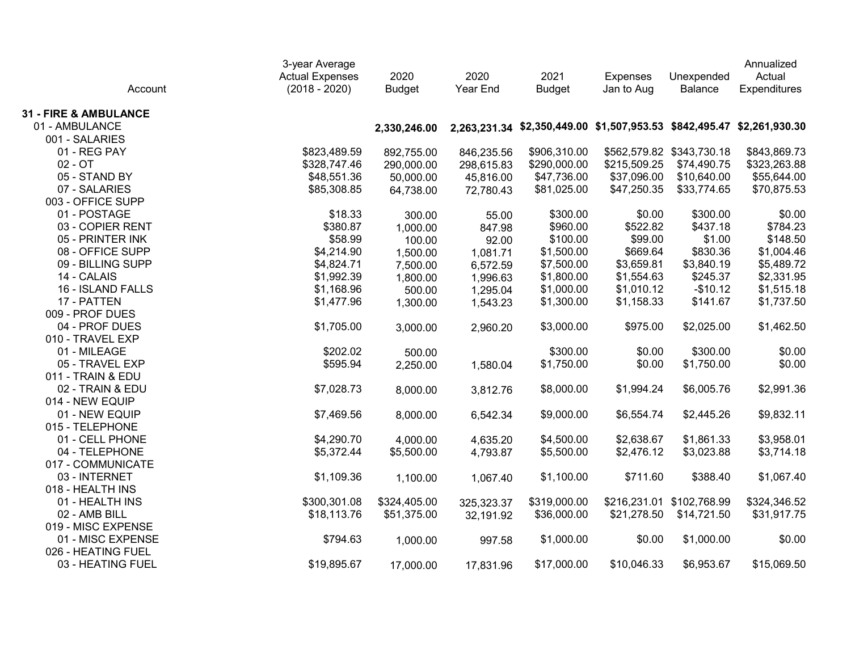| Account                          | 3-year Average<br><b>Actual Expenses</b><br>$(2018 - 2020)$ | 2020<br><b>Budget</b> | 2020<br>Year End | 2021<br><b>Budget</b> | <b>Expenses</b><br>Jan to Aug                                          | Unexpended<br>Balance     | Annualized<br>Actual<br>Expenditures |
|----------------------------------|-------------------------------------------------------------|-----------------------|------------------|-----------------------|------------------------------------------------------------------------|---------------------------|--------------------------------------|
| <b>31 - FIRE &amp; AMBULANCE</b> |                                                             |                       |                  |                       |                                                                        |                           |                                      |
| 01 - AMBULANCE                   |                                                             | 2,330,246.00          |                  |                       | 2,263,231.34 \$2,350,449.00 \$1,507,953.53 \$842,495.47 \$2,261,930.30 |                           |                                      |
| 001 - SALARIES                   |                                                             |                       |                  |                       |                                                                        |                           |                                      |
| 01 - REG PAY                     | \$823,489.59                                                | 892,755.00            | 846,235.56       | \$906,310.00          |                                                                        | \$562,579.82 \$343,730.18 | \$843,869.73                         |
| $02 - OT$                        | \$328,747.46                                                | 290,000.00            | 298,615.83       | \$290,000.00          | \$215,509.25                                                           | \$74,490.75               | \$323,263.88                         |
| 05 - STAND BY                    | \$48,551.36                                                 | 50,000.00             | 45,816.00        | \$47,736.00           | \$37,096.00                                                            | \$10,640.00               | \$55,644.00                          |
| 07 - SALARIES                    | \$85,308.85                                                 | 64,738.00             | 72,780.43        | \$81,025.00           | \$47,250.35                                                            | \$33,774.65               | \$70,875.53                          |
| 003 - OFFICE SUPP                |                                                             |                       |                  |                       |                                                                        |                           |                                      |
| 01 - POSTAGE                     | \$18.33                                                     | 300.00                | 55.00            | \$300.00              | \$0.00                                                                 | \$300.00                  | \$0.00                               |
| 03 - COPIER RENT                 | \$380.87                                                    | 1,000.00              | 847.98           | \$960.00              | \$522.82                                                               | \$437.18                  | \$784.23                             |
| 05 - PRINTER INK                 | \$58.99                                                     | 100.00                | 92.00            | \$100.00              | \$99.00                                                                | \$1.00                    | \$148.50                             |
| 08 - OFFICE SUPP                 | \$4,214.90                                                  | 1,500.00              | 1,081.71         | \$1,500.00            | \$669.64                                                               | \$830.36                  | \$1,004.46                           |
| 09 - BILLING SUPP                | \$4,824.71                                                  | 7,500.00              | 6,572.59         | \$7,500.00            | \$3,659.81                                                             | \$3,840.19                | \$5,489.72                           |
| 14 - CALAIS                      | \$1,992.39                                                  | 1,800.00              | 1,996.63         | \$1,800.00            | \$1,554.63                                                             | \$245.37                  | \$2,331.95                           |
| 16 - ISLAND FALLS                | \$1,168.96                                                  | 500.00                | 1,295.04         | \$1,000.00            | \$1,010.12                                                             | $-$10.12$                 | \$1,515.18                           |
| 17 - PATTEN                      | \$1,477.96                                                  | 1,300.00              | 1,543.23         | \$1,300.00            | \$1,158.33                                                             | \$141.67                  | \$1,737.50                           |
| 009 - PROF DUES                  |                                                             |                       |                  |                       |                                                                        |                           |                                      |
| 04 - PROF DUES                   | \$1,705.00                                                  | 3,000.00              | 2,960.20         | \$3,000.00            | \$975.00                                                               | \$2,025.00                | \$1,462.50                           |
| 010 - TRAVEL EXP                 |                                                             |                       |                  |                       |                                                                        |                           |                                      |
| 01 - MILEAGE                     | \$202.02                                                    | 500.00                |                  | \$300.00              | \$0.00                                                                 | \$300.00                  | \$0.00                               |
| 05 - TRAVEL EXP                  | \$595.94                                                    | 2,250.00              | 1,580.04         | \$1,750.00            | \$0.00                                                                 | \$1,750.00                | \$0.00                               |
| 011 - TRAIN & EDU                |                                                             |                       |                  |                       |                                                                        |                           |                                      |
| 02 - TRAIN & EDU                 | \$7,028.73                                                  | 8,000.00              | 3,812.76         | \$8,000.00            | \$1,994.24                                                             | \$6,005.76                | \$2,991.36                           |
| 014 - NEW EQUIP                  |                                                             |                       |                  |                       |                                                                        |                           |                                      |
| 01 - NEW EQUIP                   | \$7,469.56                                                  | 8,000.00              | 6,542.34         | \$9,000.00            | \$6,554.74                                                             | \$2,445.26                | \$9,832.11                           |
| 015 - TELEPHONE                  |                                                             |                       |                  |                       |                                                                        |                           |                                      |
| 01 - CELL PHONE                  | \$4,290.70                                                  | 4,000.00              | 4,635.20         | \$4,500.00            | \$2,638.67                                                             | \$1,861.33                | \$3,958.01                           |
| 04 - TELEPHONE                   | \$5,372.44                                                  | \$5,500.00            | 4,793.87         | \$5,500.00            | \$2,476.12                                                             | \$3,023.88                | \$3,714.18                           |
| 017 - COMMUNICATE                |                                                             |                       |                  |                       |                                                                        |                           |                                      |
| 03 - INTERNET                    | \$1,109.36                                                  | 1,100.00              | 1,067.40         | \$1,100.00            | \$711.60                                                               | \$388.40                  | \$1,067.40                           |
| 018 - HEALTH INS                 |                                                             |                       |                  |                       |                                                                        |                           |                                      |
| 01 - HEALTH INS                  | \$300,301.08                                                | \$324,405.00          | 325,323.37       | \$319,000.00          |                                                                        | \$216,231.01 \$102,768.99 | \$324,346.52                         |
| 02 - AMB BILL                    | \$18,113.76                                                 | \$51,375.00           | 32,191.92        | \$36,000.00           | \$21,278.50                                                            | \$14,721.50               | \$31,917.75                          |
| 019 - MISC EXPENSE               |                                                             |                       |                  |                       |                                                                        |                           |                                      |
| 01 - MISC EXPENSE                | \$794.63                                                    | 1,000.00              | 997.58           | \$1,000.00            | \$0.00                                                                 | \$1,000.00                | \$0.00                               |
| 026 - HEATING FUEL               |                                                             |                       |                  |                       |                                                                        |                           |                                      |
| 03 - HEATING FUEL                | \$19,895.67                                                 | 17,000.00             | 17,831.96        | \$17,000.00           | \$10,046.33                                                            | \$6,953.67                | \$15,069.50                          |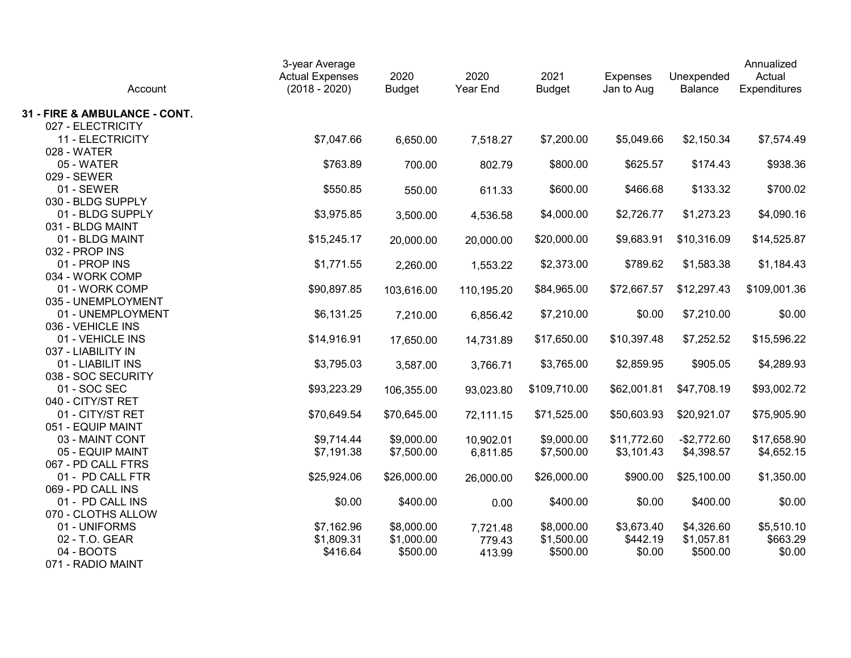| Account                                 | 3-year Average<br><b>Actual Expenses</b><br>$(2018 - 2020)$ | 2020<br><b>Budget</b> | 2020<br>Year End | 2021<br><b>Budget</b> | <b>Expenses</b><br>Jan to Aug | Unexpended<br>Balance | Annualized<br>Actual<br>Expenditures |
|-----------------------------------------|-------------------------------------------------------------|-----------------------|------------------|-----------------------|-------------------------------|-----------------------|--------------------------------------|
| 31 - FIRE & AMBULANCE - CONT.           |                                                             |                       |                  |                       |                               |                       |                                      |
| 027 - ELECTRICITY                       |                                                             |                       |                  |                       |                               |                       |                                      |
| 11 - ELECTRICITY                        | \$7,047.66                                                  | 6,650.00              | 7,518.27         | \$7,200.00            | \$5,049.66                    | \$2,150.34            | \$7,574.49                           |
| 028 - WATER                             |                                                             |                       |                  |                       |                               |                       |                                      |
| 05 - WATER                              | \$763.89                                                    | 700.00                | 802.79           | \$800.00              | \$625.57                      | \$174.43              | \$938.36                             |
| 029 - SEWER                             |                                                             |                       |                  |                       |                               |                       |                                      |
| 01 - SEWER                              | \$550.85                                                    | 550.00                | 611.33           | \$600.00              | \$466.68                      | \$133.32              | \$700.02                             |
| 030 - BLDG SUPPLY                       |                                                             |                       |                  |                       |                               |                       |                                      |
| 01 - BLDG SUPPLY                        | \$3,975.85                                                  | 3,500.00              | 4,536.58         | \$4,000.00            | \$2,726.77                    | \$1,273.23            | \$4,090.16                           |
| 031 - BLDG MAINT                        |                                                             |                       |                  |                       |                               |                       |                                      |
| 01 - BLDG MAINT                         | \$15,245.17                                                 | 20,000.00             | 20,000.00        | \$20,000.00           | \$9,683.91                    | \$10,316.09           | \$14,525.87                          |
| 032 - PROP INS                          |                                                             |                       |                  |                       |                               |                       |                                      |
| 01 - PROP INS                           | \$1,771.55                                                  | 2,260.00              | 1,553.22         | \$2,373.00            | \$789.62                      | \$1,583.38            | \$1,184.43                           |
| 034 - WORK COMP                         |                                                             |                       |                  |                       |                               |                       |                                      |
| 01 - WORK COMP                          | \$90,897.85                                                 | 103,616.00            | 110,195.20       | \$84,965.00           | \$72,667.57                   | \$12,297.43           | \$109,001.36                         |
| 035 - UNEMPLOYMENT                      |                                                             |                       |                  |                       |                               |                       |                                      |
| 01 - UNEMPLOYMENT                       | \$6,131.25                                                  | 7,210.00              | 6,856.42         | \$7,210.00            | \$0.00                        | \$7,210.00            | \$0.00                               |
| 036 - VEHICLE INS                       |                                                             |                       |                  |                       |                               |                       |                                      |
| 01 - VEHICLE INS                        | \$14,916.91                                                 | 17,650.00             | 14,731.89        | \$17,650.00           | \$10,397.48                   | \$7,252.52            | \$15,596.22                          |
| 037 - LIABILITY IN                      |                                                             |                       |                  |                       |                               |                       |                                      |
| 01 - LIABILIT INS<br>038 - SOC SECURITY | \$3,795.03                                                  | 3,587.00              | 3,766.71         | \$3,765.00            | \$2,859.95                    | \$905.05              | \$4,289.93                           |
| 01 - SOC SEC                            | \$93,223.29                                                 |                       |                  | \$109,710.00          | \$62,001.81                   | \$47,708.19           | \$93,002.72                          |
| 040 - CITY/ST RET                       |                                                             | 106,355.00            | 93,023.80        |                       |                               |                       |                                      |
| 01 - CITY/ST RET                        | \$70,649.54                                                 | \$70,645.00           | 72,111.15        | \$71,525.00           | \$50,603.93                   | \$20,921.07           | \$75,905.90                          |
| 051 - EQUIP MAINT                       |                                                             |                       |                  |                       |                               |                       |                                      |
| 03 - MAINT CONT                         | \$9,714.44                                                  | \$9,000.00            | 10,902.01        | \$9,000.00            | \$11,772.60                   | $-$2,772.60$          | \$17,658.90                          |
| 05 - EQUIP MAINT                        | \$7,191.38                                                  | \$7,500.00            | 6,811.85         | \$7,500.00            | \$3,101.43                    | \$4,398.57            | \$4,652.15                           |
| 067 - PD CALL FTRS                      |                                                             |                       |                  |                       |                               |                       |                                      |
| 01 - PD CALL FTR                        | \$25,924.06                                                 | \$26,000.00           | 26,000.00        | \$26,000.00           | \$900.00                      | \$25,100.00           | \$1,350.00                           |
| 069 - PD CALL INS                       |                                                             |                       |                  |                       |                               |                       |                                      |
| 01 - PD CALL INS                        | \$0.00                                                      | \$400.00              | 0.00             | \$400.00              | \$0.00                        | \$400.00              | \$0.00                               |
| 070 - CLOTHS ALLOW                      |                                                             |                       |                  |                       |                               |                       |                                      |
| 01 - UNIFORMS                           | \$7,162.96                                                  | \$8,000.00            | 7,721.48         | \$8,000.00            | \$3,673.40                    | \$4,326.60            | \$5,510.10                           |
| 02 - T.O. GEAR                          | \$1,809.31                                                  | \$1,000.00            | 779.43           | \$1,500.00            | \$442.19                      | \$1,057.81            | \$663.29                             |
| 04 - BOOTS                              | \$416.64                                                    | \$500.00              | 413.99           | \$500.00              | \$0.00                        | \$500.00              | \$0.00                               |
| 071 - RADIO MAINT                       |                                                             |                       |                  |                       |                               |                       |                                      |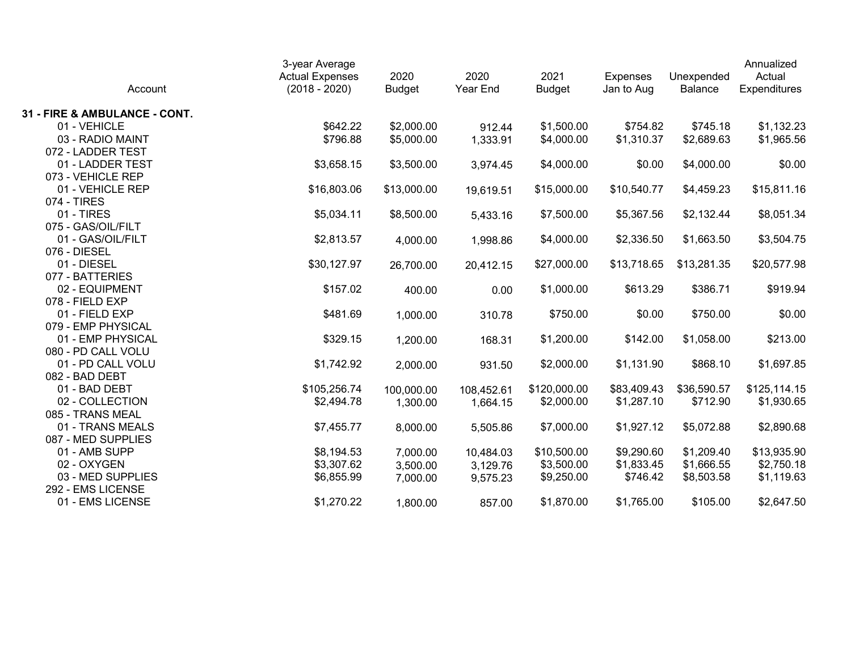| Account                           | 3-year Average<br><b>Actual Expenses</b><br>$(2018 - 2020)$ | 2020<br><b>Budget</b> | 2020<br>Year End | 2021<br><b>Budget</b> | <b>Expenses</b><br>Jan to Aug | Unexpended<br>Balance | Annualized<br>Actual<br>Expenditures |
|-----------------------------------|-------------------------------------------------------------|-----------------------|------------------|-----------------------|-------------------------------|-----------------------|--------------------------------------|
| 31 - FIRE & AMBULANCE - CONT.     |                                                             |                       |                  |                       |                               |                       |                                      |
| 01 - VEHICLE                      | \$642.22                                                    | \$2,000.00            | 912.44           | \$1,500.00            | \$754.82                      | \$745.18              | \$1,132.23                           |
| 03 - RADIO MAINT                  | \$796.88                                                    | \$5,000.00            | 1,333.91         | \$4,000.00            | \$1,310.37                    | \$2,689.63            | \$1,965.56                           |
| 072 - LADDER TEST                 |                                                             |                       |                  |                       |                               |                       |                                      |
| 01 - LADDER TEST                  | \$3,658.15                                                  | \$3,500.00            | 3,974.45         | \$4,000.00            | \$0.00                        | \$4,000.00            | \$0.00                               |
| 073 - VEHICLE REP                 |                                                             |                       |                  |                       |                               |                       |                                      |
| 01 - VEHICLE REP                  | \$16,803.06                                                 | \$13,000.00           | 19,619.51        | \$15,000.00           | \$10,540.77                   | \$4,459.23            | \$15,811.16                          |
| 074 - TIRES                       |                                                             |                       |                  |                       |                               |                       |                                      |
| 01 - TIRES                        | \$5,034.11                                                  | \$8,500.00            | 5,433.16         | \$7,500.00            | \$5,367.56                    | \$2,132.44            | \$8,051.34                           |
| 075 - GAS/OIL/FILT                |                                                             |                       |                  |                       |                               |                       |                                      |
| 01 - GAS/OIL/FILT                 | \$2,813.57                                                  | 4,000.00              | 1,998.86         | \$4,000.00            | \$2,336.50                    | \$1,663.50            | \$3,504.75                           |
| 076 - DIESEL                      |                                                             |                       |                  |                       |                               |                       |                                      |
| 01 - DIESEL                       | \$30,127.97                                                 | 26,700.00             | 20,412.15        | \$27,000.00           | \$13,718.65                   | \$13,281.35           | \$20,577.98                          |
| 077 - BATTERIES<br>02 - EQUIPMENT |                                                             |                       |                  |                       |                               |                       |                                      |
| 078 - FIELD EXP                   | \$157.02                                                    | 400.00                | 0.00             | \$1,000.00            | \$613.29                      | \$386.71              | \$919.94                             |
| 01 - FIELD EXP                    | \$481.69                                                    |                       |                  | \$750.00              | \$0.00                        | \$750.00              | \$0.00                               |
| 079 - EMP PHYSICAL                |                                                             | 1,000.00              | 310.78           |                       |                               |                       |                                      |
| 01 - EMP PHYSICAL                 | \$329.15                                                    | 1,200.00              | 168.31           | \$1,200.00            | \$142.00                      | \$1,058.00            | \$213.00                             |
| 080 - PD CALL VOLU                |                                                             |                       |                  |                       |                               |                       |                                      |
| 01 - PD CALL VOLU                 | \$1,742.92                                                  | 2,000.00              | 931.50           | \$2,000.00            | \$1,131.90                    | \$868.10              | \$1,697.85                           |
| 082 - BAD DEBT                    |                                                             |                       |                  |                       |                               |                       |                                      |
| 01 - BAD DEBT                     | \$105,256.74                                                | 100,000.00            | 108,452.61       | \$120,000.00          | \$83,409.43                   | \$36,590.57           | \$125,114.15                         |
| 02 - COLLECTION                   | \$2,494.78                                                  | 1,300.00              | 1,664.15         | \$2,000.00            | \$1,287.10                    | \$712.90              | \$1,930.65                           |
| 085 - TRANS MEAL                  |                                                             |                       |                  |                       |                               |                       |                                      |
| 01 - TRANS MEALS                  | \$7,455.77                                                  | 8,000.00              | 5,505.86         | \$7,000.00            | \$1,927.12                    | \$5,072.88            | \$2,890.68                           |
| 087 - MED SUPPLIES                |                                                             |                       |                  |                       |                               |                       |                                      |
| 01 - AMB SUPP                     | \$8,194.53                                                  | 7,000.00              | 10,484.03        | \$10,500.00           | \$9,290.60                    | \$1,209.40            | \$13,935.90                          |
| 02 - OXYGEN                       | \$3,307.62                                                  | 3,500.00              | 3,129.76         | \$3,500.00            | \$1,833.45                    | \$1,666.55            | \$2,750.18                           |
| 03 - MED SUPPLIES                 | \$6,855.99                                                  | 7,000.00              | 9,575.23         | \$9,250.00            | \$746.42                      | \$8,503.58            | \$1,119.63                           |
| 292 - EMS LICENSE                 |                                                             |                       |                  |                       |                               |                       |                                      |
| 01 - EMS LICENSE                  | \$1,270.22                                                  | 1,800.00              | 857.00           | \$1,870.00            | \$1,765.00                    | \$105.00              | \$2,647.50                           |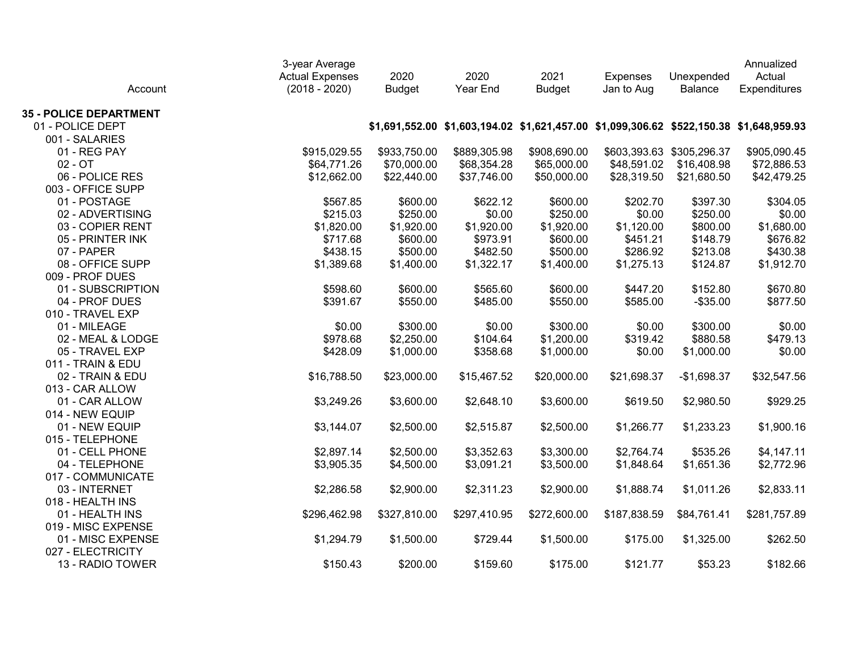| Account                       | 3-year Average<br><b>Actual Expenses</b><br>$(2018 - 2020)$ | 2020<br><b>Budget</b> | 2020<br>Year End                                                                        | 2021<br><b>Budget</b> | <b>Expenses</b><br>Jan to Aug | Unexpended<br>Balance     | Annualized<br>Actual<br>Expenditures |
|-------------------------------|-------------------------------------------------------------|-----------------------|-----------------------------------------------------------------------------------------|-----------------------|-------------------------------|---------------------------|--------------------------------------|
| <b>35 - POLICE DEPARTMENT</b> |                                                             |                       |                                                                                         |                       |                               |                           |                                      |
| 01 - POLICE DEPT              |                                                             |                       | \$1,691,552.00 \$1,603,194.02 \$1,621,457.00 \$1,099,306.62 \$522,150.38 \$1,648,959.93 |                       |                               |                           |                                      |
| 001 - SALARIES                |                                                             |                       |                                                                                         |                       |                               |                           |                                      |
| 01 - REG PAY                  | \$915,029.55                                                | \$933,750.00          | \$889,305.98                                                                            | \$908,690.00          |                               | \$603,393.63 \$305,296.37 | \$905,090.45                         |
| $02 - OT$                     | \$64,771.26                                                 | \$70,000.00           | \$68,354.28                                                                             | \$65,000.00           | \$48,591.02                   | \$16,408.98               | \$72,886.53                          |
| 06 - POLICE RES               | \$12,662.00                                                 | \$22,440.00           | \$37,746.00                                                                             | \$50,000.00           | \$28,319.50                   | \$21,680.50               | \$42,479.25                          |
| 003 - OFFICE SUPP             |                                                             |                       |                                                                                         |                       |                               |                           |                                      |
| 01 - POSTAGE                  | \$567.85                                                    | \$600.00              | \$622.12                                                                                | \$600.00              | \$202.70                      | \$397.30                  | \$304.05                             |
| 02 - ADVERTISING              | \$215.03                                                    | \$250.00              | \$0.00                                                                                  | \$250.00              | \$0.00                        | \$250.00                  | \$0.00                               |
| 03 - COPIER RENT              | \$1,820.00                                                  | \$1,920.00            | \$1,920.00                                                                              | \$1,920.00            | \$1,120.00                    | \$800.00                  | \$1,680.00                           |
| 05 - PRINTER INK              | \$717.68                                                    | \$600.00              | \$973.91                                                                                | \$600.00              | \$451.21                      | \$148.79                  | \$676.82                             |
| 07 - PAPER                    | \$438.15                                                    | \$500.00              | \$482.50                                                                                | \$500.00              | \$286.92                      | \$213.08                  | \$430.38                             |
| 08 - OFFICE SUPP              | \$1,389.68                                                  | \$1,400.00            | \$1,322.17                                                                              | \$1,400.00            | \$1,275.13                    | \$124.87                  | \$1,912.70                           |
| 009 - PROF DUES               |                                                             |                       |                                                                                         |                       |                               |                           |                                      |
| 01 - SUBSCRIPTION             | \$598.60                                                    | \$600.00              | \$565.60                                                                                | \$600.00              | \$447.20                      | \$152.80                  | \$670.80                             |
| 04 - PROF DUES                | \$391.67                                                    | \$550.00              | \$485.00                                                                                | \$550.00              | \$585.00                      | $-$ \$35.00               | \$877.50                             |
| 010 - TRAVEL EXP              |                                                             |                       |                                                                                         |                       |                               |                           |                                      |
| 01 - MILEAGE                  | \$0.00                                                      | \$300.00              | \$0.00                                                                                  | \$300.00              | \$0.00                        | \$300.00                  | \$0.00                               |
| 02 - MEAL & LODGE             | \$978.68                                                    | \$2,250.00            | \$104.64                                                                                | \$1,200.00            | \$319.42                      | \$880.58                  | \$479.13                             |
| 05 - TRAVEL EXP               | \$428.09                                                    | \$1,000.00            | \$358.68                                                                                | \$1,000.00            | \$0.00                        | \$1,000.00                | \$0.00                               |
| 011 - TRAIN & EDU             |                                                             |                       |                                                                                         |                       |                               |                           |                                      |
| 02 - TRAIN & EDU              | \$16,788.50                                                 | \$23,000.00           | \$15,467.52                                                                             | \$20,000.00           | \$21,698.37                   | $-$1,698.37$              | \$32,547.56                          |
| 013 - CAR ALLOW               |                                                             |                       |                                                                                         |                       |                               |                           |                                      |
| 01 - CAR ALLOW                | \$3,249.26                                                  | \$3,600.00            | \$2,648.10                                                                              | \$3,600.00            | \$619.50                      | \$2,980.50                | \$929.25                             |
| 014 - NEW EQUIP               |                                                             |                       |                                                                                         |                       |                               |                           |                                      |
| 01 - NEW EQUIP                | \$3,144.07                                                  | \$2,500.00            | \$2,515.87                                                                              | \$2,500.00            | \$1,266.77                    | \$1,233.23                | \$1,900.16                           |
| 015 - TELEPHONE               |                                                             |                       |                                                                                         |                       |                               |                           |                                      |
| 01 - CELL PHONE               | \$2,897.14                                                  | \$2,500.00            | \$3,352.63                                                                              | \$3,300.00            | \$2,764.74                    | \$535.26                  | \$4,147.11                           |
| 04 - TELEPHONE                | \$3,905.35                                                  | \$4,500.00            | \$3,091.21                                                                              | \$3,500.00            | \$1,848.64                    | \$1,651.36                | \$2,772.96                           |
| 017 - COMMUNICATE             |                                                             |                       |                                                                                         |                       |                               |                           |                                      |
| 03 - INTERNET                 | \$2,286.58                                                  | \$2,900.00            | \$2,311.23                                                                              | \$2,900.00            | \$1,888.74                    | \$1,011.26                | \$2,833.11                           |
| 018 - HEALTH INS              |                                                             |                       |                                                                                         |                       |                               |                           |                                      |
| 01 - HEALTH INS               | \$296,462.98                                                | \$327,810.00          | \$297,410.95                                                                            | \$272,600.00          | \$187,838.59                  | \$84,761.41               | \$281,757.89                         |
| 019 - MISC EXPENSE            |                                                             |                       |                                                                                         |                       |                               |                           |                                      |
| 01 - MISC EXPENSE             | \$1,294.79                                                  | \$1,500.00            | \$729.44                                                                                | \$1,500.00            | \$175.00                      | \$1,325.00                | \$262.50                             |
| 027 - ELECTRICITY             |                                                             |                       |                                                                                         |                       |                               |                           |                                      |
| 13 - RADIO TOWER              | \$150.43                                                    | \$200.00              | \$159.60                                                                                | \$175.00              | \$121.77                      | \$53.23                   | \$182.66                             |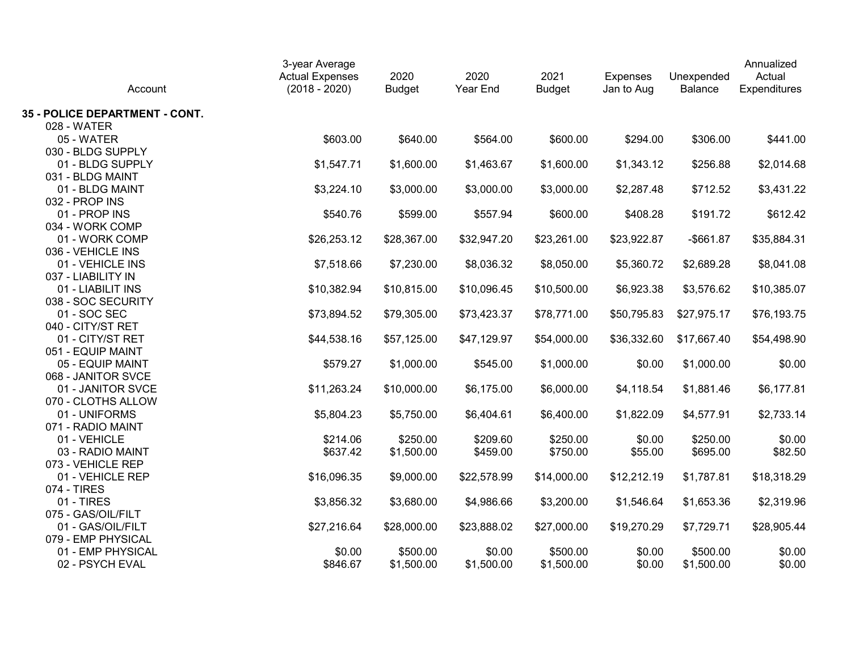| Account                        | 3-year Average<br><b>Actual Expenses</b><br>$(2018 - 2020)$ | 2020<br><b>Budget</b> | 2020<br>Year End | 2021<br><b>Budget</b> | <b>Expenses</b><br>Jan to Aug | Unexpended<br><b>Balance</b> | Annualized<br>Actual<br>Expenditures |
|--------------------------------|-------------------------------------------------------------|-----------------------|------------------|-----------------------|-------------------------------|------------------------------|--------------------------------------|
| 35 - POLICE DEPARTMENT - CONT. |                                                             |                       |                  |                       |                               |                              |                                      |
| 028 - WATER                    |                                                             |                       |                  |                       |                               |                              |                                      |
| 05 - WATER                     | \$603.00                                                    | \$640.00              | \$564.00         | \$600.00              | \$294.00                      | \$306.00                     | \$441.00                             |
| 030 - BLDG SUPPLY              |                                                             |                       |                  |                       |                               |                              |                                      |
| 01 - BLDG SUPPLY               | \$1,547.71                                                  | \$1,600.00            | \$1,463.67       | \$1,600.00            | \$1,343.12                    | \$256.88                     | \$2,014.68                           |
| 031 - BLDG MAINT               |                                                             |                       |                  |                       |                               |                              |                                      |
| 01 - BLDG MAINT                | \$3,224.10                                                  | \$3,000.00            | \$3,000.00       | \$3,000.00            | \$2,287.48                    | \$712.52                     | \$3,431.22                           |
| 032 - PROP INS                 |                                                             |                       |                  |                       |                               |                              |                                      |
| 01 - PROP INS                  | \$540.76                                                    | \$599.00              | \$557.94         | \$600.00              | \$408.28                      | \$191.72                     | \$612.42                             |
| 034 - WORK COMP                |                                                             |                       |                  |                       |                               |                              |                                      |
| 01 - WORK COMP                 | \$26,253.12                                                 | \$28,367.00           | \$32,947.20      | \$23,261.00           | \$23,922.87                   | $-$ \$661.87                 | \$35,884.31                          |
| 036 - VEHICLE INS              |                                                             |                       |                  |                       |                               |                              |                                      |
| 01 - VEHICLE INS               | \$7,518.66                                                  | \$7,230.00            | \$8,036.32       | \$8,050.00            | \$5,360.72                    | \$2,689.28                   | \$8,041.08                           |
| 037 - LIABILITY IN             |                                                             |                       |                  |                       |                               |                              |                                      |
| 01 - LIABILIT INS              | \$10,382.94                                                 | \$10,815.00           | \$10,096.45      | \$10,500.00           | \$6,923.38                    | \$3,576.62                   | \$10,385.07                          |
| 038 - SOC SECURITY             |                                                             |                       |                  |                       |                               |                              |                                      |
| 01 - SOC SEC                   | \$73,894.52                                                 | \$79,305.00           | \$73,423.37      | \$78,771.00           | \$50,795.83                   | \$27,975.17                  | \$76,193.75                          |
| 040 - CITY/ST RET              |                                                             |                       |                  |                       |                               |                              |                                      |
| 01 - CITY/ST RET               | \$44,538.16                                                 | \$57,125.00           | \$47,129.97      | \$54,000.00           | \$36,332.60                   | \$17,667.40                  | \$54,498.90                          |
| 051 - EQUIP MAINT              |                                                             |                       |                  |                       |                               |                              |                                      |
| 05 - EQUIP MAINT               | \$579.27                                                    | \$1,000.00            | \$545.00         | \$1,000.00            | \$0.00                        | \$1,000.00                   | \$0.00                               |
| 068 - JANITOR SVCE             |                                                             |                       |                  |                       |                               |                              |                                      |
| 01 - JANITOR SVCE              | \$11,263.24                                                 | \$10,000.00           | \$6,175.00       | \$6,000.00            | \$4,118.54                    | \$1,881.46                   | \$6,177.81                           |
| 070 - CLOTHS ALLOW             |                                                             |                       |                  |                       |                               |                              |                                      |
| 01 - UNIFORMS                  | \$5,804.23                                                  | \$5,750.00            | \$6,404.61       | \$6,400.00            | \$1,822.09                    | \$4,577.91                   | \$2,733.14                           |
| 071 - RADIO MAINT              |                                                             |                       |                  |                       |                               |                              |                                      |
| 01 - VEHICLE                   | \$214.06                                                    | \$250.00              | \$209.60         | \$250.00              | \$0.00                        | \$250.00                     | \$0.00                               |
| 03 - RADIO MAINT               | \$637.42                                                    | \$1,500.00            | \$459.00         | \$750.00              | \$55.00                       | \$695.00                     | \$82.50                              |
| 073 - VEHICLE REP              |                                                             |                       |                  |                       |                               |                              |                                      |
| 01 - VEHICLE REP               | \$16,096.35                                                 | \$9,000.00            | \$22,578.99      | \$14,000.00           | \$12,212.19                   | \$1,787.81                   | \$18,318.29                          |
| 074 - TIRES<br>01 - TIRES      |                                                             |                       |                  |                       |                               |                              |                                      |
|                                | \$3,856.32                                                  | \$3,680.00            | \$4,986.66       | \$3,200.00            | \$1,546.64                    | \$1,653.36                   | \$2,319.96                           |
| 075 - GAS/OIL/FILT             |                                                             |                       |                  |                       |                               |                              |                                      |
| 01 - GAS/OIL/FILT              | \$27,216.64                                                 | \$28,000.00           | \$23,888.02      | \$27,000.00           | \$19,270.29                   | \$7,729.71                   | \$28,905.44                          |
| 079 - EMP PHYSICAL             |                                                             |                       |                  |                       |                               |                              |                                      |
| 01 - EMP PHYSICAL              | \$0.00                                                      | \$500.00              | \$0.00           | \$500.00              | \$0.00                        | \$500.00                     | \$0.00                               |
| 02 - PSYCH EVAL                | \$846.67                                                    | \$1,500.00            | \$1,500.00       | \$1,500.00            | \$0.00                        | \$1,500.00                   | \$0.00                               |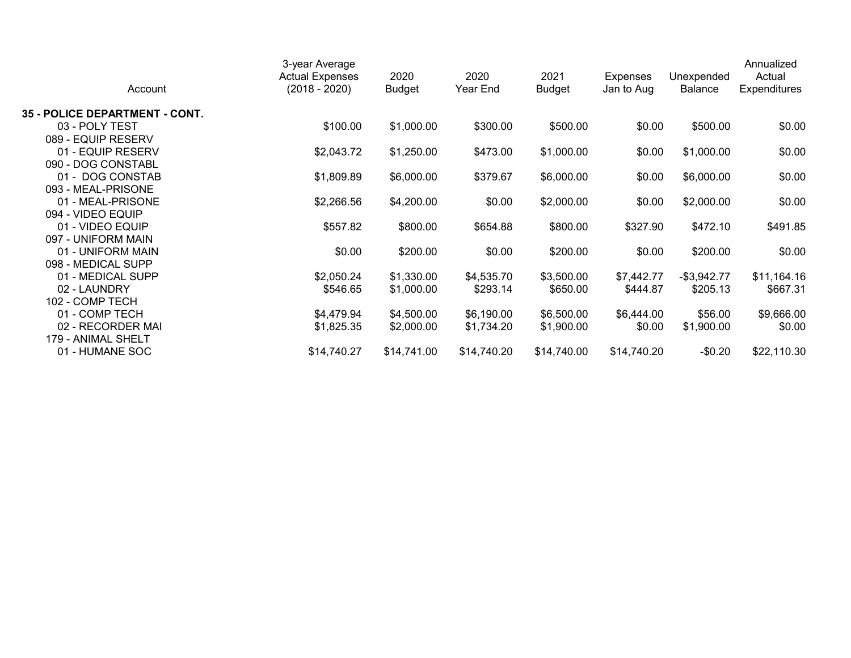|                                       | 3-year Average<br><b>Actual Expenses</b> | 2020          | 2020        | 2021          | <b>Expenses</b> | Unexpended     | Annualized<br>Actual |
|---------------------------------------|------------------------------------------|---------------|-------------|---------------|-----------------|----------------|----------------------|
| Account                               | $(2018 - 2020)$                          | <b>Budget</b> | Year End    | <b>Budget</b> | Jan to Aug      | <b>Balance</b> | <b>Expenditures</b>  |
| <b>35 - POLICE DEPARTMENT - CONT.</b> |                                          |               |             |               |                 |                |                      |
| 03 - POLY TEST                        | \$100.00                                 | \$1,000.00    | \$300.00    | \$500.00      | \$0.00          | \$500.00       | \$0.00               |
| 089 - EQUIP RESERV                    |                                          |               |             |               |                 |                |                      |
| 01 - EQUIP RESERV                     | \$2,043.72                               | \$1,250.00    | \$473.00    | \$1,000.00    | \$0.00          | \$1,000.00     | \$0.00               |
| 090 - DOG CONSTABL                    |                                          |               |             |               |                 |                |                      |
| 01 - DOG CONSTAB                      | \$1,809.89                               | \$6,000.00    | \$379.67    | \$6,000.00    | \$0.00          | \$6,000.00     | \$0.00               |
| 093 - MEAL-PRISONE                    |                                          |               |             |               |                 |                |                      |
| 01 - MEAL-PRISONE                     | \$2,266.56                               | \$4,200.00    | \$0.00      | \$2,000.00    | \$0.00          | \$2,000.00     | \$0.00               |
| 094 - VIDEO EQUIP                     |                                          |               |             |               |                 |                |                      |
| 01 - VIDEO EQUIP                      | \$557.82                                 | \$800.00      | \$654.88    | \$800.00      | \$327.90        | \$472.10       | \$491.85             |
| 097 - UNIFORM MAIN                    |                                          |               |             |               |                 |                |                      |
| 01 - UNIFORM MAIN                     | \$0.00                                   | \$200.00      | \$0.00      | \$200.00      | \$0.00          | \$200.00       | \$0.00               |
| 098 - MEDICAL SUPP                    |                                          |               |             |               |                 |                |                      |
| 01 - MEDICAL SUPP                     | \$2,050.24                               | \$1,330.00    | \$4,535.70  | \$3,500.00    | \$7,442.77      | $-$ \$3,942.77 | \$11,164.16          |
| 02 - LAUNDRY                          | \$546.65                                 | \$1,000.00    | \$293.14    | \$650.00      | \$444.87        | \$205.13       | \$667.31             |
| 102 - COMP TECH                       |                                          |               |             |               |                 |                |                      |
| 01 - COMP TECH                        | \$4,479.94                               | \$4,500.00    | \$6,190.00  | \$6,500.00    | \$6,444.00      | \$56.00        | \$9,666.00           |
| 02 - RECORDER MAI                     | \$1,825.35                               | \$2,000.00    | \$1,734.20  | \$1,900.00    | \$0.00          | \$1,900.00     | \$0.00               |
| 179 - ANIMAL SHELT                    |                                          |               |             |               |                 |                |                      |
| 01 - HUMANE SOC                       | \$14,740.27                              | \$14,741.00   | \$14,740.20 | \$14,740.00   | \$14,740.20     | $-$0.20$       | \$22,110.30          |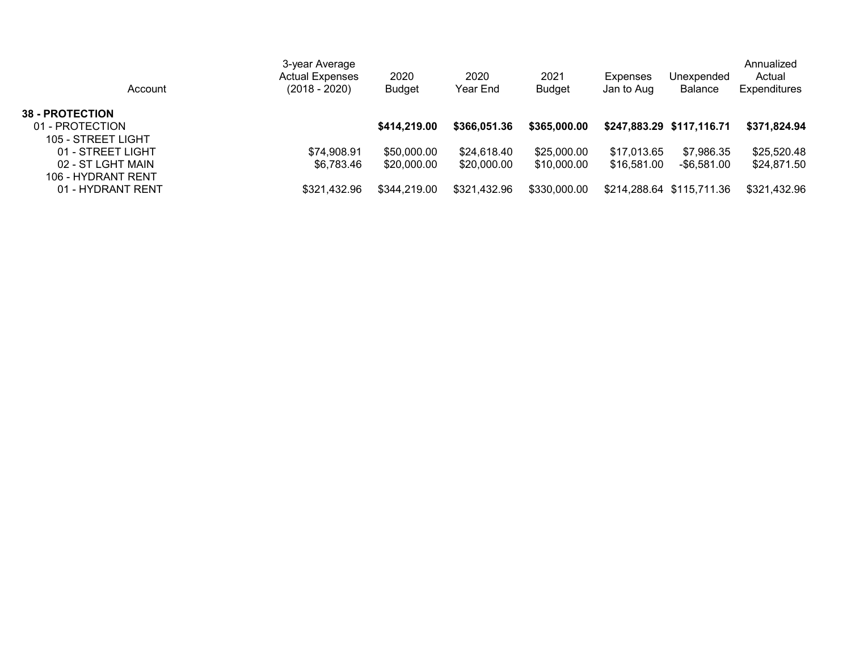| Account                                                         | 3-year Average<br><b>Actual Expenses</b><br>(2018 - 2020) | 2020<br><b>Budget</b>      | 2020<br>Year End           | 2021<br>Budget             | Expenses<br>Jan to Aug     | Unexpended<br><b>Balance</b> | Annualized<br>Actual<br><b>Expenditures</b> |
|-----------------------------------------------------------------|-----------------------------------------------------------|----------------------------|----------------------------|----------------------------|----------------------------|------------------------------|---------------------------------------------|
| <b>38 - PROTECTION</b><br>01 - PROTECTION<br>105 - STREET LIGHT |                                                           | \$414,219,00               | \$366,051.36               | \$365,000.00               |                            | \$247,883.29 \$117,116.71    | \$371,824.94                                |
| 01 - STREET LIGHT<br>02 - ST LGHT MAIN<br>106 - HYDRANT RENT    | \$74,908.91<br>\$6,783.46                                 | \$50,000.00<br>\$20,000.00 | \$24,618.40<br>\$20,000.00 | \$25,000.00<br>\$10,000.00 | \$17,013.65<br>\$16,581.00 | \$7,986.35<br>-\$6.581.00    | \$25,520.48<br>\$24,871.50                  |
| 01 - HYDRANT RENT                                               | \$321,432.96                                              | \$344,219.00               | \$321,432.96               | \$330,000.00               |                            | \$214,288.64 \$115,711.36    | \$321,432.96                                |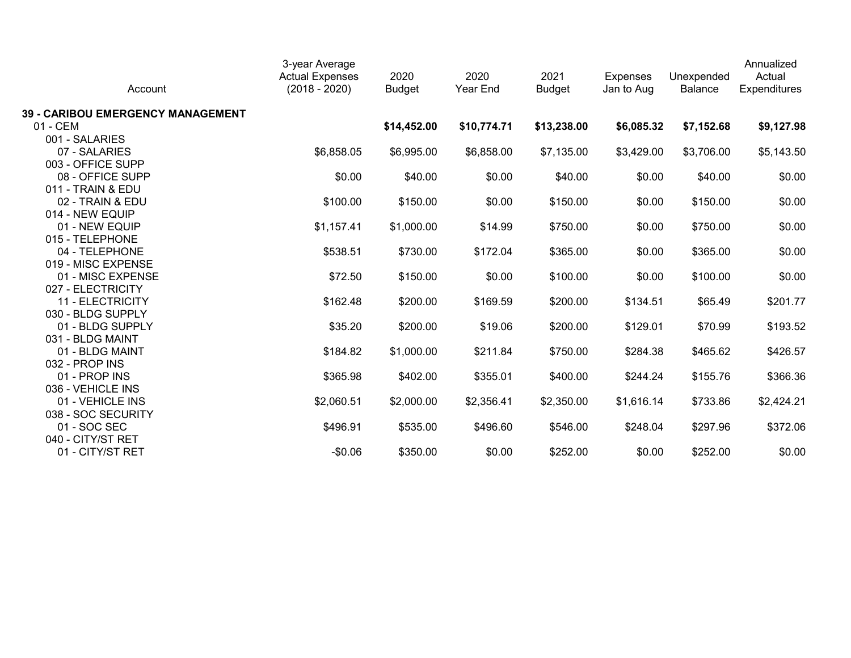| Account                           | 3-year Average<br><b>Actual Expenses</b><br>$(2018 - 2020)$ | 2020<br><b>Budget</b> | 2020<br>Year End | 2021<br><b>Budget</b> | <b>Expenses</b><br>Jan to Aug | Unexpended<br><b>Balance</b> | Annualized<br>Actual<br>Expenditures |
|-----------------------------------|-------------------------------------------------------------|-----------------------|------------------|-----------------------|-------------------------------|------------------------------|--------------------------------------|
| 39 - CARIBOU EMERGENCY MANAGEMENT |                                                             |                       |                  |                       |                               |                              |                                      |
| 01 - CEM                          |                                                             | \$14,452.00           | \$10,774.71      | \$13,238.00           | \$6,085.32                    | \$7,152.68                   | \$9,127.98                           |
| 001 - SALARIES                    |                                                             |                       |                  |                       |                               |                              |                                      |
| 07 - SALARIES                     | \$6,858.05                                                  | \$6,995.00            | \$6,858.00       | \$7,135.00            | \$3,429.00                    | \$3,706.00                   | \$5,143.50                           |
| 003 - OFFICE SUPP                 |                                                             |                       |                  |                       |                               |                              |                                      |
| 08 - OFFICE SUPP                  | \$0.00                                                      | \$40.00               | \$0.00           | \$40.00               | \$0.00                        | \$40.00                      | \$0.00                               |
| 011 - TRAIN & EDU                 |                                                             |                       |                  |                       |                               |                              |                                      |
| 02 - TRAIN & EDU                  | \$100.00                                                    | \$150.00              | \$0.00           | \$150.00              | \$0.00                        | \$150.00                     | \$0.00                               |
| 014 - NEW EQUIP                   |                                                             |                       |                  |                       |                               |                              |                                      |
| 01 - NEW EQUIP                    | \$1,157.41                                                  | \$1,000.00            | \$14.99          | \$750.00              | \$0.00                        | \$750.00                     | \$0.00                               |
| 015 - TELEPHONE                   |                                                             |                       |                  |                       |                               |                              |                                      |
| 04 - TELEPHONE                    | \$538.51                                                    | \$730.00              | \$172.04         | \$365.00              | \$0.00                        | \$365.00                     | \$0.00                               |
| 019 - MISC EXPENSE                |                                                             |                       |                  |                       |                               |                              |                                      |
| 01 - MISC EXPENSE                 | \$72.50                                                     | \$150.00              | \$0.00           | \$100.00              | \$0.00                        | \$100.00                     | \$0.00                               |
| 027 - ELECTRICITY                 |                                                             |                       |                  |                       |                               |                              |                                      |
| 11 - ELECTRICITY                  | \$162.48                                                    | \$200.00              | \$169.59         | \$200.00              | \$134.51                      | \$65.49                      | \$201.77                             |
| 030 - BLDG SUPPLY                 |                                                             |                       |                  |                       |                               |                              |                                      |
| 01 - BLDG SUPPLY                  | \$35.20                                                     | \$200.00              | \$19.06          | \$200.00              | \$129.01                      | \$70.99                      | \$193.52                             |
| 031 - BLDG MAINT                  |                                                             |                       |                  |                       |                               |                              |                                      |
| 01 - BLDG MAINT                   | \$184.82                                                    | \$1,000.00            | \$211.84         | \$750.00              | \$284.38                      | \$465.62                     | \$426.57                             |
| 032 - PROP INS                    |                                                             |                       |                  |                       |                               |                              |                                      |
| 01 - PROP INS                     | \$365.98                                                    | \$402.00              | \$355.01         | \$400.00              | \$244.24                      | \$155.76                     | \$366.36                             |
| 036 - VEHICLE INS                 |                                                             |                       |                  |                       |                               |                              |                                      |
| 01 - VEHICLE INS                  | \$2,060.51                                                  | \$2,000.00            | \$2,356.41       | \$2,350.00            | \$1,616.14                    | \$733.86                     | \$2,424.21                           |
| 038 - SOC SECURITY                |                                                             |                       |                  |                       |                               |                              |                                      |
| 01 - SOC SEC                      | \$496.91                                                    | \$535.00              | \$496.60         | \$546.00              | \$248.04                      | \$297.96                     | \$372.06                             |
| 040 - CITY/ST RET                 |                                                             |                       |                  |                       |                               |                              |                                      |
| 01 - CITY/ST RET                  | $-$0.06$                                                    | \$350.00              | \$0.00           | \$252.00              | \$0.00                        | \$252.00                     | \$0.00                               |
|                                   |                                                             |                       |                  |                       |                               |                              |                                      |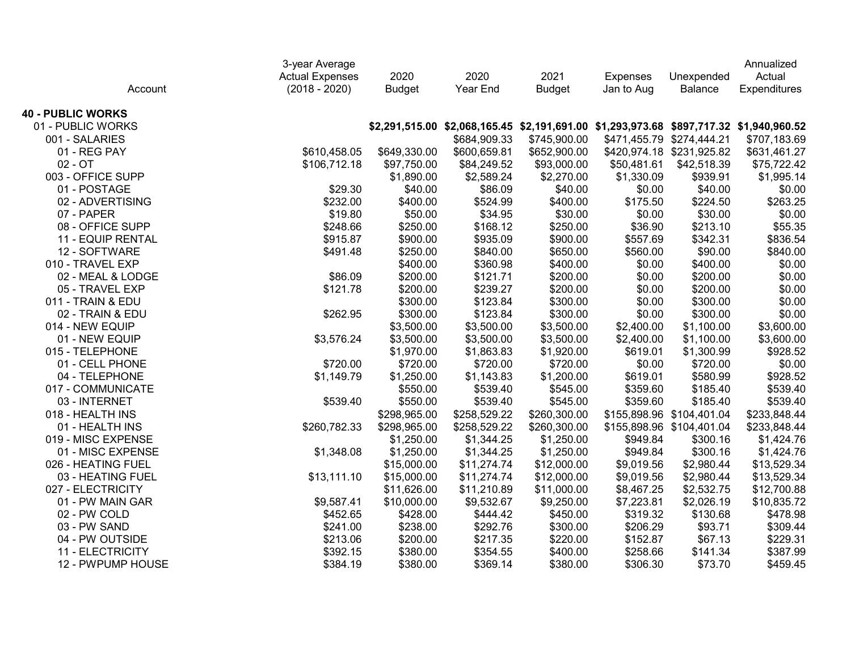|                          | 3-year Average<br><b>Actual Expenses</b> | 2020          | 2020                                                                                    | 2021          | <b>Expenses</b> | Unexpended                | Annualized<br>Actual |
|--------------------------|------------------------------------------|---------------|-----------------------------------------------------------------------------------------|---------------|-----------------|---------------------------|----------------------|
| Account                  | $(2018 - 2020)$                          | <b>Budget</b> | Year End                                                                                | <b>Budget</b> | Jan to Aug      | Balance                   | Expenditures         |
| <b>40 - PUBLIC WORKS</b> |                                          |               |                                                                                         |               |                 |                           |                      |
| 01 - PUBLIC WORKS        |                                          |               | \$2,291,515.00 \$2,068,165.45 \$2,191,691.00 \$1,293,973.68 \$897,717.32 \$1,940,960.52 |               |                 |                           |                      |
| 001 - SALARIES           |                                          |               | \$684,909.33                                                                            | \$745,900.00  |                 | \$471,455.79 \$274,444.21 | \$707,183.69         |
| 01 - REG PAY             | \$610,458.05                             | \$649,330.00  | \$600,659.81                                                                            | \$652,900.00  |                 | \$420,974.18 \$231,925.82 | \$631,461.27         |
| $02 - OT$                | \$106,712.18                             | \$97,750.00   | \$84,249.52                                                                             | \$93,000.00   | \$50,481.61     | \$42,518.39               | \$75,722.42          |
| 003 - OFFICE SUPP        |                                          | \$1,890.00    | \$2,589.24                                                                              | \$2,270.00    | \$1,330.09      | \$939.91                  | \$1,995.14           |
| 01 - POSTAGE             | \$29.30                                  | \$40.00       | \$86.09                                                                                 | \$40.00       | \$0.00          | \$40.00                   | \$0.00               |
| 02 - ADVERTISING         | \$232.00                                 | \$400.00      | \$524.99                                                                                | \$400.00      | \$175.50        | \$224.50                  | \$263.25             |
| 07 - PAPER               | \$19.80                                  | \$50.00       | \$34.95                                                                                 | \$30.00       | \$0.00          | \$30.00                   | \$0.00               |
| 08 - OFFICE SUPP         | \$248.66                                 | \$250.00      | \$168.12                                                                                | \$250.00      | \$36.90         | \$213.10                  | \$55.35              |
| 11 - EQUIP RENTAL        | \$915.87                                 | \$900.00      | \$935.09                                                                                | \$900.00      | \$557.69        | \$342.31                  | \$836.54             |
| 12 - SOFTWARE            | \$491.48                                 | \$250.00      | \$840.00                                                                                | \$650.00      | \$560.00        | \$90.00                   | \$840.00             |
| 010 - TRAVEL EXP         |                                          | \$400.00      | \$360.98                                                                                | \$400.00      | \$0.00          | \$400.00                  | \$0.00               |
| 02 - MEAL & LODGE        | \$86.09                                  | \$200.00      | \$121.71                                                                                | \$200.00      | \$0.00          | \$200.00                  | \$0.00               |
| 05 - TRAVEL EXP          | \$121.78                                 | \$200.00      | \$239.27                                                                                | \$200.00      | \$0.00          | \$200.00                  | \$0.00               |
| 011 - TRAIN & EDU        |                                          | \$300.00      | \$123.84                                                                                | \$300.00      | \$0.00          | \$300.00                  | \$0.00               |
| 02 - TRAIN & EDU         | \$262.95                                 | \$300.00      | \$123.84                                                                                | \$300.00      | \$0.00          | \$300.00                  | \$0.00               |
| 014 - NEW EQUIP          |                                          | \$3,500.00    | \$3,500.00                                                                              | \$3,500.00    | \$2,400.00      | \$1,100.00                | \$3,600.00           |
| 01 - NEW EQUIP           | \$3,576.24                               | \$3,500.00    | \$3,500.00                                                                              | \$3,500.00    | \$2,400.00      | \$1,100.00                | \$3,600.00           |
| 015 - TELEPHONE          |                                          | \$1,970.00    | \$1,863.83                                                                              | \$1,920.00    | \$619.01        | \$1,300.99                | \$928.52             |
| 01 - CELL PHONE          | \$720.00                                 | \$720.00      | \$720.00                                                                                | \$720.00      | \$0.00          | \$720.00                  | \$0.00               |
| 04 - TELEPHONE           | \$1,149.79                               | \$1,250.00    | \$1,143.83                                                                              | \$1,200.00    | \$619.01        | \$580.99                  | \$928.52             |
| 017 - COMMUNICATE        |                                          | \$550.00      | \$539.40                                                                                | \$545.00      | \$359.60        | \$185.40                  | \$539.40             |
| 03 - INTERNET            | \$539.40                                 | \$550.00      | \$539.40                                                                                | \$545.00      | \$359.60        | \$185.40                  | \$539.40             |
| 018 - HEALTH INS         |                                          | \$298,965.00  | \$258,529.22                                                                            | \$260,300.00  |                 | \$155,898.96 \$104,401.04 | \$233,848.44         |
| 01 - HEALTH INS          | \$260,782.33                             | \$298,965.00  | \$258,529.22                                                                            | \$260,300.00  |                 | \$155,898.96 \$104,401.04 | \$233,848.44         |
| 019 - MISC EXPENSE       |                                          | \$1,250.00    | \$1,344.25                                                                              | \$1,250.00    | \$949.84        | \$300.16                  | \$1,424.76           |
| 01 - MISC EXPENSE        | \$1,348.08                               | \$1,250.00    | \$1,344.25                                                                              | \$1,250.00    | \$949.84        | \$300.16                  | \$1,424.76           |
| 026 - HEATING FUEL       |                                          | \$15,000.00   | \$11,274.74                                                                             | \$12,000.00   | \$9,019.56      | \$2,980.44                | \$13,529.34          |
| 03 - HEATING FUEL        | \$13,111.10                              | \$15,000.00   | \$11,274.74                                                                             | \$12,000.00   | \$9,019.56      | \$2,980.44                | \$13,529.34          |
| 027 - ELECTRICITY        |                                          | \$11,626.00   | \$11,210.89                                                                             | \$11,000.00   | \$8,467.25      | \$2,532.75                | \$12,700.88          |
| 01 - PW MAIN GAR         | \$9,587.41                               | \$10,000.00   | \$9,532.67                                                                              | \$9,250.00    | \$7,223.81      | \$2,026.19                | \$10,835.72          |
| 02 - PW COLD             | \$452.65                                 | \$428.00      | \$444.42                                                                                | \$450.00      | \$319.32        | \$130.68                  | \$478.98             |
| 03 - PW SAND             | \$241.00                                 | \$238.00      | \$292.76                                                                                | \$300.00      | \$206.29        | \$93.71                   | \$309.44             |
| 04 - PW OUTSIDE          | \$213.06                                 | \$200.00      | \$217.35                                                                                | \$220.00      | \$152.87        | \$67.13                   | \$229.31             |
| 11 - ELECTRICITY         | \$392.15                                 | \$380.00      | \$354.55                                                                                | \$400.00      | \$258.66        | \$141.34                  | \$387.99             |
| 12 - PWPUMP HOUSE        | \$384.19                                 | \$380.00      | \$369.14                                                                                | \$380.00      | \$306.30        | \$73.70                   | \$459.45             |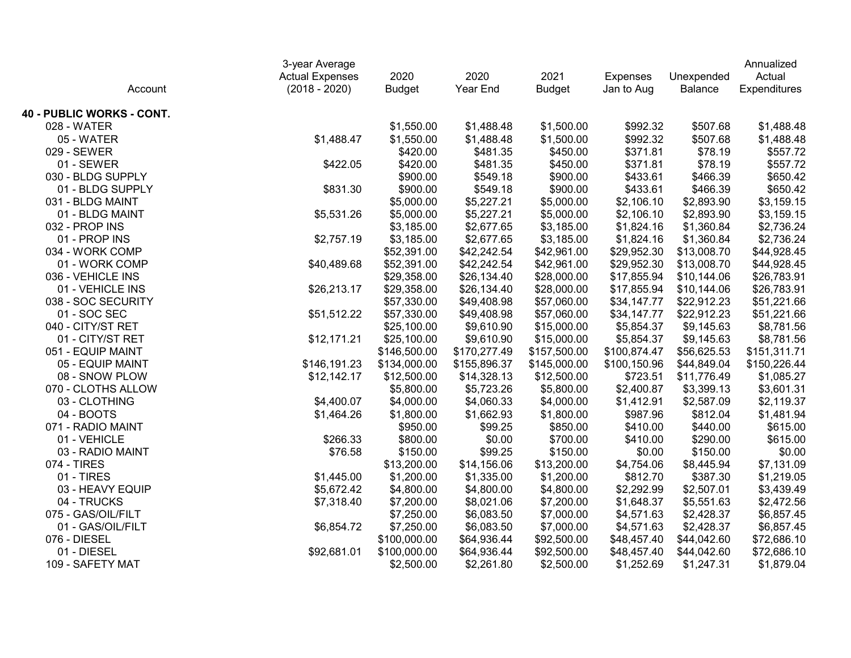|                           |                        | 3-year Average |              |               |                 |             |              |  |
|---------------------------|------------------------|----------------|--------------|---------------|-----------------|-------------|--------------|--|
|                           | <b>Actual Expenses</b> | 2020           | 2020         | 2021          | <b>Expenses</b> | Unexpended  | Actual       |  |
| Account                   | $(2018 - 2020)$        | <b>Budget</b>  | Year End     | <b>Budget</b> | Jan to Aug      | Balance     | Expenditures |  |
| 40 - PUBLIC WORKS - CONT. |                        |                |              |               |                 |             |              |  |
| 028 - WATER               |                        | \$1,550.00     | \$1,488.48   | \$1,500.00    | \$992.32        | \$507.68    | \$1,488.48   |  |
| 05 - WATER                | \$1,488.47             | \$1,550.00     | \$1,488.48   | \$1,500.00    | \$992.32        | \$507.68    | \$1,488.48   |  |
| 029 - SEWER               |                        | \$420.00       | \$481.35     | \$450.00      | \$371.81        | \$78.19     | \$557.72     |  |
| 01 - SEWER                | \$422.05               | \$420.00       | \$481.35     | \$450.00      | \$371.81        | \$78.19     | \$557.72     |  |
| 030 - BLDG SUPPLY         |                        | \$900.00       | \$549.18     | \$900.00      | \$433.61        | \$466.39    | \$650.42     |  |
| 01 - BLDG SUPPLY          | \$831.30               | \$900.00       | \$549.18     | \$900.00      | \$433.61        | \$466.39    | \$650.42     |  |
| 031 - BLDG MAINT          |                        | \$5,000.00     | \$5,227.21   | \$5,000.00    | \$2,106.10      | \$2,893.90  | \$3,159.15   |  |
| 01 - BLDG MAINT           | \$5,531.26             | \$5,000.00     | \$5,227.21   | \$5,000.00    | \$2,106.10      | \$2,893.90  | \$3,159.15   |  |
| 032 - PROP INS            |                        | \$3,185.00     | \$2,677.65   | \$3,185.00    | \$1,824.16      | \$1,360.84  | \$2,736.24   |  |
| 01 - PROP INS             | \$2,757.19             | \$3,185.00     | \$2,677.65   | \$3,185.00    | \$1,824.16      | \$1,360.84  | \$2,736.24   |  |
| 034 - WORK COMP           |                        | \$52,391.00    | \$42,242.54  | \$42,961.00   | \$29,952.30     | \$13,008.70 | \$44,928.45  |  |
| 01 - WORK COMP            | \$40,489.68            | \$52,391.00    | \$42,242.54  | \$42,961.00   | \$29,952.30     | \$13,008.70 | \$44,928.45  |  |
| 036 - VEHICLE INS         |                        | \$29,358.00    | \$26,134.40  | \$28,000.00   | \$17,855.94     | \$10,144.06 | \$26,783.91  |  |
| 01 - VEHICLE INS          | \$26,213.17            | \$29,358.00    | \$26,134.40  | \$28,000.00   | \$17,855.94     | \$10,144.06 | \$26,783.91  |  |
| 038 - SOC SECURITY        |                        | \$57,330.00    | \$49,408.98  | \$57,060.00   | \$34,147.77     | \$22,912.23 | \$51,221.66  |  |
| 01 - SOC SEC              | \$51,512.22            | \$57,330.00    | \$49,408.98  | \$57,060.00   | \$34,147.77     | \$22,912.23 | \$51,221.66  |  |
| 040 - CITY/ST RET         |                        | \$25,100.00    | \$9,610.90   | \$15,000.00   | \$5,854.37      | \$9,145.63  | \$8,781.56   |  |
| 01 - CITY/ST RET          | \$12,171.21            | \$25,100.00    | \$9,610.90   | \$15,000.00   | \$5,854.37      | \$9,145.63  | \$8,781.56   |  |
| 051 - EQUIP MAINT         |                        | \$146,500.00   | \$170,277.49 | \$157,500.00  | \$100,874.47    | \$56,625.53 | \$151,311.71 |  |
| 05 - EQUIP MAINT          | \$146,191.23           | \$134,000.00   | \$155,896.37 | \$145,000.00  | \$100,150.96    | \$44,849.04 | \$150,226.44 |  |
| 08 - SNOW PLOW            | \$12,142.17            | \$12,500.00    | \$14,328.13  | \$12,500.00   | \$723.51        | \$11,776.49 | \$1,085.27   |  |
| 070 - CLOTHS ALLOW        |                        | \$5,800.00     | \$5,723.26   | \$5,800.00    | \$2,400.87      | \$3,399.13  | \$3,601.31   |  |
| 03 - CLOTHING             | \$4,400.07             | \$4,000.00     | \$4,060.33   | \$4,000.00    | \$1,412.91      | \$2,587.09  | \$2,119.37   |  |
| 04 - BOOTS                | \$1,464.26             | \$1,800.00     | \$1,662.93   | \$1,800.00    | \$987.96        | \$812.04    | \$1,481.94   |  |
| 071 - RADIO MAINT         |                        | \$950.00       | \$99.25      | \$850.00      | \$410.00        | \$440.00    | \$615.00     |  |
| 01 - VEHICLE              | \$266.33               | \$800.00       | \$0.00       | \$700.00      | \$410.00        | \$290.00    | \$615.00     |  |
| 03 - RADIO MAINT          | \$76.58                | \$150.00       | \$99.25      | \$150.00      | \$0.00          | \$150.00    | \$0.00       |  |
| 074 - TIRES               |                        | \$13,200.00    | \$14,156.06  | \$13,200.00   | \$4,754.06      | \$8,445.94  | \$7,131.09   |  |
| 01 - TIRES                | \$1,445.00             | \$1,200.00     | \$1,335.00   | \$1,200.00    | \$812.70        | \$387.30    | \$1,219.05   |  |
| 03 - HEAVY EQUIP          | \$5,672.42             | \$4,800.00     | \$4,800.00   | \$4,800.00    | \$2,292.99      | \$2,507.01  | \$3,439.49   |  |
| 04 - TRUCKS               | \$7,318.40             | \$7,200.00     | \$8,021.06   | \$7,200.00    | \$1,648.37      | \$5,551.63  | \$2,472.56   |  |
| 075 - GAS/OIL/FILT        |                        | \$7,250.00     | \$6,083.50   | \$7,000.00    | \$4,571.63      | \$2,428.37  | \$6,857.45   |  |
| 01 - GAS/OIL/FILT         | \$6,854.72             | \$7,250.00     | \$6,083.50   | \$7,000.00    | \$4,571.63      | \$2,428.37  | \$6,857.45   |  |
| 076 - DIESEL              |                        | \$100,000.00   | \$64,936.44  | \$92,500.00   | \$48,457.40     | \$44,042.60 | \$72,686.10  |  |
| 01 - DIESEL               | \$92,681.01            | \$100,000.00   | \$64,936.44  | \$92,500.00   | \$48,457.40     | \$44,042.60 | \$72,686.10  |  |
| 109 - SAFETY MAT          |                        | \$2,500.00     | \$2,261.80   | \$2,500.00    | \$1,252.69      | \$1,247.31  | \$1,879.04   |  |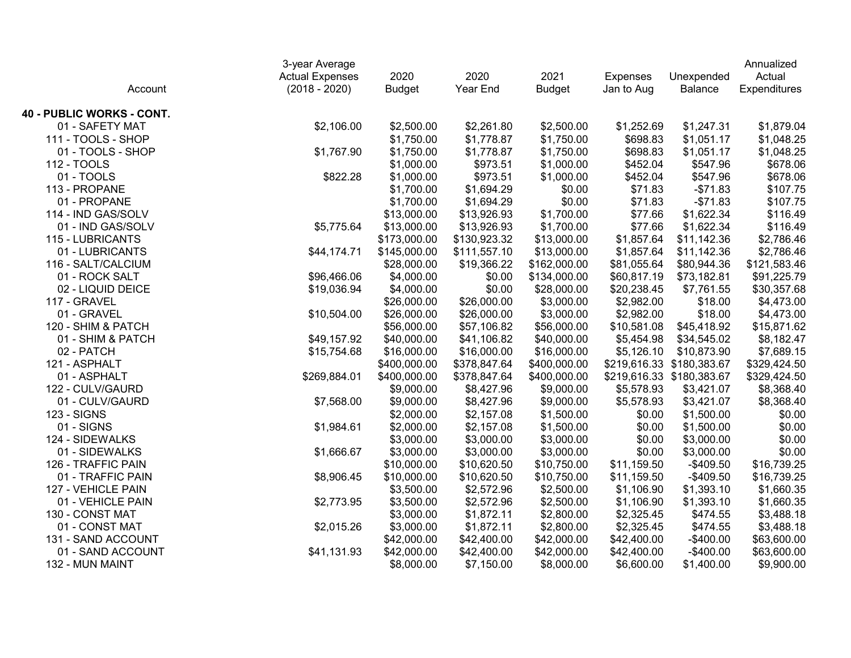|                           | 3-year Average         |               |              |               |                 |                           | Annualized   |
|---------------------------|------------------------|---------------|--------------|---------------|-----------------|---------------------------|--------------|
|                           | <b>Actual Expenses</b> | 2020          | 2020         | 2021          | <b>Expenses</b> | Unexpended                | Actual       |
| Account                   | $(2018 - 2020)$        | <b>Budget</b> | Year End     | <b>Budget</b> | Jan to Aug      | Balance                   | Expenditures |
| 40 - PUBLIC WORKS - CONT. |                        |               |              |               |                 |                           |              |
| 01 - SAFETY MAT           | \$2,106.00             | \$2,500.00    | \$2,261.80   | \$2,500.00    | \$1,252.69      | \$1,247.31                | \$1,879.04   |
| 111 - TOOLS - SHOP        |                        | \$1,750.00    | \$1,778.87   | \$1,750.00    | \$698.83        | \$1,051.17                | \$1,048.25   |
| 01 - TOOLS - SHOP         | \$1,767.90             | \$1,750.00    | \$1,778.87   | \$1,750.00    | \$698.83        | \$1,051.17                | \$1,048.25   |
| 112 - TOOLS               |                        | \$1,000.00    | \$973.51     | \$1,000.00    | \$452.04        | \$547.96                  | \$678.06     |
| 01 - TOOLS                | \$822.28               | \$1,000.00    | \$973.51     | \$1,000.00    | \$452.04        | \$547.96                  | \$678.06     |
| 113 - PROPANE             |                        | \$1,700.00    | \$1,694.29   | \$0.00        | \$71.83         | $-$71.83$                 | \$107.75     |
| 01 - PROPANE              |                        | \$1,700.00    | \$1,694.29   | \$0.00        | \$71.83         | $-$71.83$                 | \$107.75     |
| 114 - IND GAS/SOLV        |                        | \$13,000.00   | \$13,926.93  | \$1,700.00    | \$77.66         | \$1,622.34                | \$116.49     |
| 01 - IND GAS/SOLV         | \$5,775.64             | \$13,000.00   | \$13,926.93  | \$1,700.00    | \$77.66         | \$1,622.34                | \$116.49     |
| 115 - LUBRICANTS          |                        | \$173,000.00  | \$130,923.32 | \$13,000.00   | \$1,857.64      | \$11,142.36               | \$2,786.46   |
| 01 - LUBRICANTS           | \$44,174.71            | \$145,000.00  | \$111,557.10 | \$13,000.00   | \$1,857.64      | \$11,142.36               | \$2,786.46   |
| 116 - SALT/CALCIUM        |                        | \$28,000.00   | \$19,366.22  | \$162,000.00  | \$81,055.64     | \$80,944.36               | \$121,583.46 |
| 01 - ROCK SALT            | \$96,466.06            | \$4,000.00    | \$0.00       | \$134,000.00  | \$60,817.19     | \$73,182.81               | \$91,225.79  |
| 02 - LIQUID DEICE         | \$19,036.94            | \$4,000.00    | \$0.00       | \$28,000.00   | \$20,238.45     | \$7,761.55                | \$30,357.68  |
| 117 - GRAVEL              |                        | \$26,000.00   | \$26,000.00  | \$3,000.00    | \$2,982.00      | \$18.00                   | \$4,473.00   |
| 01 - GRAVEL               | \$10,504.00            | \$26,000.00   | \$26,000.00  | \$3,000.00    | \$2,982.00      | \$18.00                   | \$4,473.00   |
| 120 - SHIM & PATCH        |                        | \$56,000.00   | \$57,106.82  | \$56,000.00   | \$10,581.08     | \$45,418.92               | \$15,871.62  |
| 01 - SHIM & PATCH         | \$49,157.92            | \$40,000.00   | \$41,106.82  | \$40,000.00   | \$5,454.98      | \$34,545.02               | \$8,182.47   |
| 02 - PATCH                | \$15,754.68            | \$16,000.00   | \$16,000.00  | \$16,000.00   | \$5,126.10      | \$10,873.90               | \$7,689.15   |
| 121 - ASPHALT             |                        | \$400,000.00  | \$378,847.64 | \$400,000.00  |                 | \$219,616.33 \$180,383.67 | \$329,424.50 |
| 01 - ASPHALT              | \$269,884.01           | \$400,000.00  | \$378,847.64 | \$400,000.00  |                 | \$219,616.33 \$180,383.67 | \$329,424.50 |
| 122 - CULV/GAURD          |                        | \$9,000.00    | \$8,427.96   | \$9,000.00    | \$5,578.93      | \$3,421.07                | \$8,368.40   |
| 01 - CULV/GAURD           | \$7,568.00             | \$9,000.00    | \$8,427.96   | \$9,000.00    | \$5,578.93      | \$3,421.07                | \$8,368.40   |
| <b>123 - SIGNS</b>        |                        | \$2,000.00    | \$2,157.08   | \$1,500.00    | \$0.00          | \$1,500.00                | \$0.00       |
| 01 - SIGNS                | \$1,984.61             | \$2,000.00    | \$2,157.08   | \$1,500.00    | \$0.00          | \$1,500.00                | \$0.00       |
| 124 - SIDEWALKS           |                        | \$3,000.00    | \$3,000.00   | \$3,000.00    | \$0.00          | \$3,000.00                | \$0.00       |
| 01 - SIDEWALKS            | \$1,666.67             | \$3,000.00    | \$3,000.00   | \$3,000.00    | \$0.00          | \$3,000.00                | \$0.00       |
| 126 - TRAFFIC PAIN        |                        | \$10,000.00   | \$10,620.50  | \$10,750.00   | \$11,159.50     | $-$409.50$                | \$16,739.25  |
| 01 - TRAFFIC PAIN         | \$8,906.45             | \$10,000.00   | \$10,620.50  | \$10,750.00   | \$11,159.50     | $-$409.50$                | \$16,739.25  |
| 127 - VEHICLE PAIN        |                        | \$3,500.00    | \$2,572.96   | \$2,500.00    | \$1,106.90      | \$1,393.10                | \$1,660.35   |
| 01 - VEHICLE PAIN         | \$2,773.95             | \$3,500.00    | \$2,572.96   | \$2,500.00    | \$1,106.90      | \$1,393.10                | \$1,660.35   |
| 130 - CONST MAT           |                        | \$3,000.00    | \$1,872.11   | \$2,800.00    | \$2,325.45      | \$474.55                  | \$3,488.18   |
| 01 - CONST MAT            | \$2,015.26             | \$3,000.00    | \$1,872.11   | \$2,800.00    | \$2,325.45      | \$474.55                  | \$3,488.18   |
| 131 - SAND ACCOUNT        |                        | \$42,000.00   | \$42,400.00  | \$42,000.00   | \$42,400.00     | $-$400.00$                | \$63,600.00  |
| 01 - SAND ACCOUNT         | \$41,131.93            | \$42,000.00   | \$42,400.00  | \$42,000.00   | \$42,400.00     | $-$400.00$                | \$63,600.00  |
| 132 - MUN MAINT           |                        | \$8,000.00    | \$7,150.00   | \$8,000.00    | \$6,600.00      | \$1,400.00                | \$9,900.00   |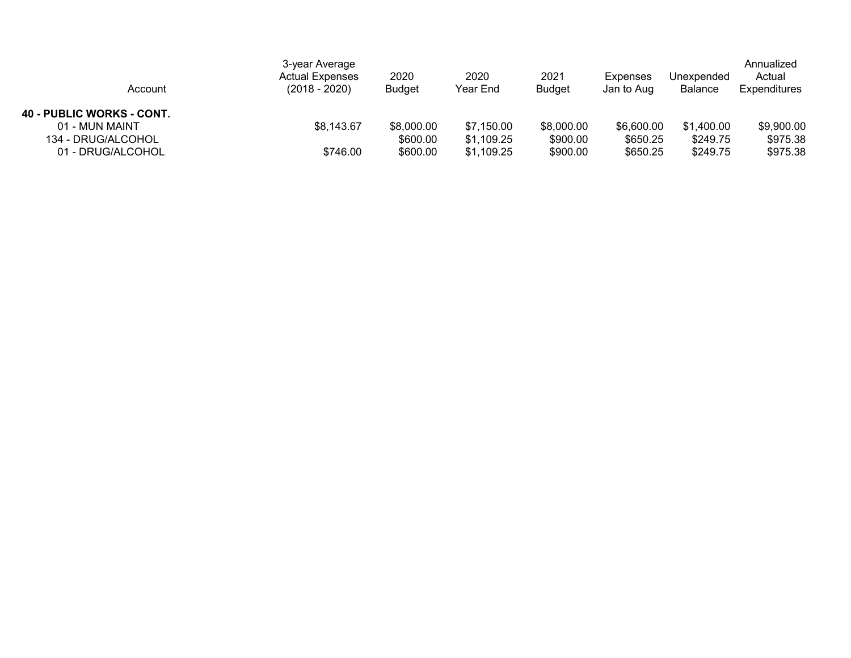| Account                   | 3-year Average<br><b>Actual Expenses</b><br>$(2018 - 2020)$ | 2020<br><b>Budget</b> | 2020<br>Year End | 2021<br><b>Budget</b> | Expenses<br>Jan to Aug | Unexpended<br>Balance | Annualized<br>Actual<br>Expenditures |
|---------------------------|-------------------------------------------------------------|-----------------------|------------------|-----------------------|------------------------|-----------------------|--------------------------------------|
| 40 - PUBLIC WORKS - CONT. |                                                             |                       |                  |                       |                        |                       |                                      |
| 01 - MUN MAINT            | \$8,143.67                                                  | \$8,000.00            | \$7,150.00       | \$8,000.00            | \$6,600.00             | \$1,400.00            | \$9,900.00                           |
| 134 - DRUG/ALCOHOL        |                                                             | \$600.00              | \$1,109.25       | \$900.00              | \$650.25               | \$249.75              | \$975.38                             |
| 01 - DRUG/ALCOHOL         | \$746.00                                                    | \$600.00              | \$1,109.25       | \$900.00              | \$650.25               | \$249.75              | \$975.38                             |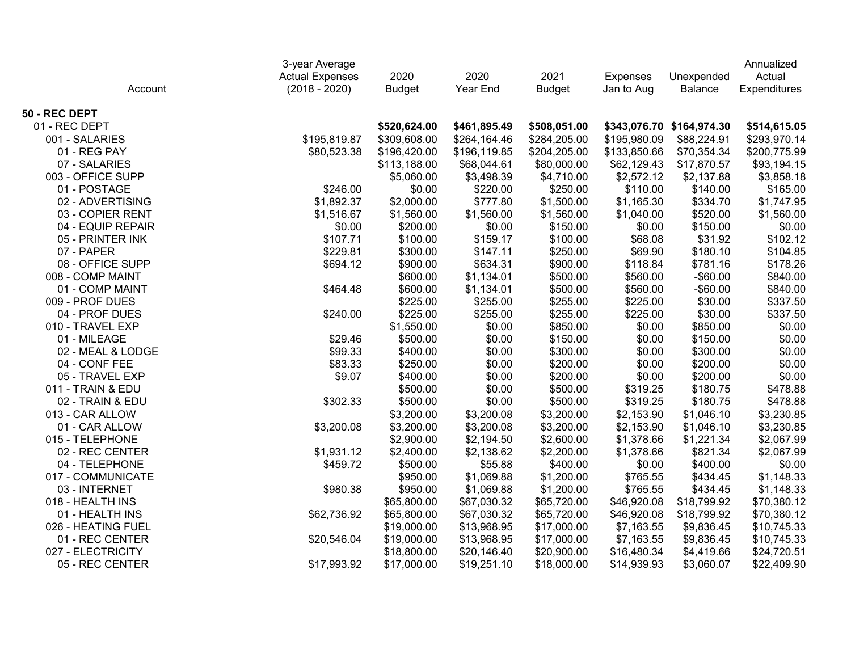|                    | 3-year Average         |               |              |               |                 |                           | Annualized   |
|--------------------|------------------------|---------------|--------------|---------------|-----------------|---------------------------|--------------|
|                    | <b>Actual Expenses</b> | 2020          | 2020         | 2021          | <b>Expenses</b> | Unexpended                | Actual       |
| Account            | $(2018 - 2020)$        | <b>Budget</b> | Year End     | <b>Budget</b> | Jan to Aug      | Balance                   | Expenditures |
| 50 - REC DEPT      |                        |               |              |               |                 |                           |              |
| 01 - REC DEPT      |                        | \$520,624.00  | \$461,895.49 | \$508,051.00  |                 | \$343,076.70 \$164,974.30 | \$514,615.05 |
| 001 - SALARIES     | \$195,819.87           | \$309,608.00  | \$264,164.46 | \$284,205.00  | \$195,980.09    | \$88,224.91               | \$293,970.14 |
| 01 - REG PAY       | \$80,523.38            | \$196,420.00  | \$196,119.85 | \$204,205.00  | \$133,850.66    | \$70,354.34               | \$200,775.99 |
| 07 - SALARIES      |                        | \$113,188.00  | \$68,044.61  | \$80,000.00   | \$62,129.43     | \$17,870.57               | \$93,194.15  |
| 003 - OFFICE SUPP  |                        | \$5,060.00    | \$3,498.39   | \$4,710.00    | \$2,572.12      | \$2,137.88                | \$3,858.18   |
| 01 - POSTAGE       | \$246.00               | \$0.00        | \$220.00     | \$250.00      | \$110.00        | \$140.00                  | \$165.00     |
| 02 - ADVERTISING   | \$1,892.37             | \$2,000.00    | \$777.80     | \$1,500.00    | \$1,165.30      | \$334.70                  | \$1,747.95   |
| 03 - COPIER RENT   | \$1,516.67             | \$1,560.00    | \$1,560.00   | \$1,560.00    | \$1,040.00      | \$520.00                  | \$1,560.00   |
| 04 - EQUIP REPAIR  | \$0.00                 | \$200.00      | \$0.00       | \$150.00      | \$0.00          | \$150.00                  | \$0.00       |
| 05 - PRINTER INK   | \$107.71               | \$100.00      | \$159.17     | \$100.00      | \$68.08         | \$31.92                   | \$102.12     |
| 07 - PAPER         | \$229.81               | \$300.00      | \$147.11     | \$250.00      | \$69.90         | \$180.10                  | \$104.85     |
| 08 - OFFICE SUPP   | \$694.12               | \$900.00      | \$634.31     | \$900.00      | \$118.84        | \$781.16                  | \$178.26     |
| 008 - COMP MAINT   |                        | \$600.00      | \$1,134.01   | \$500.00      | \$560.00        | $-$60.00$                 | \$840.00     |
| 01 - COMP MAINT    | \$464.48               | \$600.00      | \$1,134.01   | \$500.00      | \$560.00        | $-$ \$60.00               | \$840.00     |
| 009 - PROF DUES    |                        | \$225.00      | \$255.00     | \$255.00      | \$225.00        | \$30.00                   | \$337.50     |
| 04 - PROF DUES     | \$240.00               | \$225.00      | \$255.00     | \$255.00      | \$225.00        | \$30.00                   | \$337.50     |
| 010 - TRAVEL EXP   |                        | \$1,550.00    | \$0.00       | \$850.00      | \$0.00          | \$850.00                  | \$0.00       |
| 01 - MILEAGE       | \$29.46                | \$500.00      | \$0.00       | \$150.00      | \$0.00          | \$150.00                  | \$0.00       |
| 02 - MEAL & LODGE  | \$99.33                | \$400.00      | \$0.00       | \$300.00      | \$0.00          | \$300.00                  | \$0.00       |
| 04 - CONF FEE      | \$83.33                | \$250.00      | \$0.00       | \$200.00      | \$0.00          | \$200.00                  | \$0.00       |
| 05 - TRAVEL EXP    | \$9.07                 | \$400.00      | \$0.00       | \$200.00      | \$0.00          | \$200.00                  | \$0.00       |
| 011 - TRAIN & EDU  |                        | \$500.00      | \$0.00       | \$500.00      | \$319.25        | \$180.75                  | \$478.88     |
| 02 - TRAIN & EDU   | \$302.33               | \$500.00      | \$0.00       | \$500.00      | \$319.25        | \$180.75                  | \$478.88     |
| 013 - CAR ALLOW    |                        | \$3,200.00    | \$3,200.08   | \$3,200.00    | \$2,153.90      | \$1,046.10                | \$3,230.85   |
| 01 - CAR ALLOW     | \$3,200.08             | \$3,200.00    | \$3,200.08   | \$3,200.00    | \$2,153.90      | \$1,046.10                | \$3,230.85   |
| 015 - TELEPHONE    |                        | \$2,900.00    | \$2,194.50   | \$2,600.00    | \$1,378.66      | \$1,221.34                | \$2,067.99   |
| 02 - REC CENTER    | \$1,931.12             | \$2,400.00    | \$2,138.62   | \$2,200.00    | \$1,378.66      | \$821.34                  | \$2,067.99   |
| 04 - TELEPHONE     | \$459.72               | \$500.00      | \$55.88      | \$400.00      | \$0.00          | \$400.00                  | \$0.00       |
| 017 - COMMUNICATE  |                        | \$950.00      | \$1,069.88   | \$1,200.00    | \$765.55        | \$434.45                  | \$1,148.33   |
| 03 - INTERNET      | \$980.38               | \$950.00      | \$1,069.88   | \$1,200.00    | \$765.55        | \$434.45                  | \$1,148.33   |
| 018 - HEALTH INS   |                        | \$65,800.00   | \$67,030.32  | \$65,720.00   | \$46,920.08     | \$18,799.92               | \$70,380.12  |
| 01 - HEALTH INS    | \$62,736.92            | \$65,800.00   | \$67,030.32  | \$65,720.00   | \$46,920.08     | \$18,799.92               | \$70,380.12  |
| 026 - HEATING FUEL |                        | \$19,000.00   | \$13,968.95  | \$17,000.00   | \$7,163.55      | \$9,836.45                | \$10,745.33  |
| 01 - REC CENTER    | \$20,546.04            | \$19,000.00   | \$13,968.95  | \$17,000.00   | \$7,163.55      | \$9,836.45                | \$10,745.33  |
| 027 - ELECTRICITY  |                        | \$18,800.00   | \$20,146.40  | \$20,900.00   | \$16,480.34     | \$4,419.66                | \$24,720.51  |
| 05 - REC CENTER    | \$17,993.92            | \$17,000.00   | \$19,251.10  | \$18,000.00   | \$14,939.93     | \$3,060.07                | \$22,409.90  |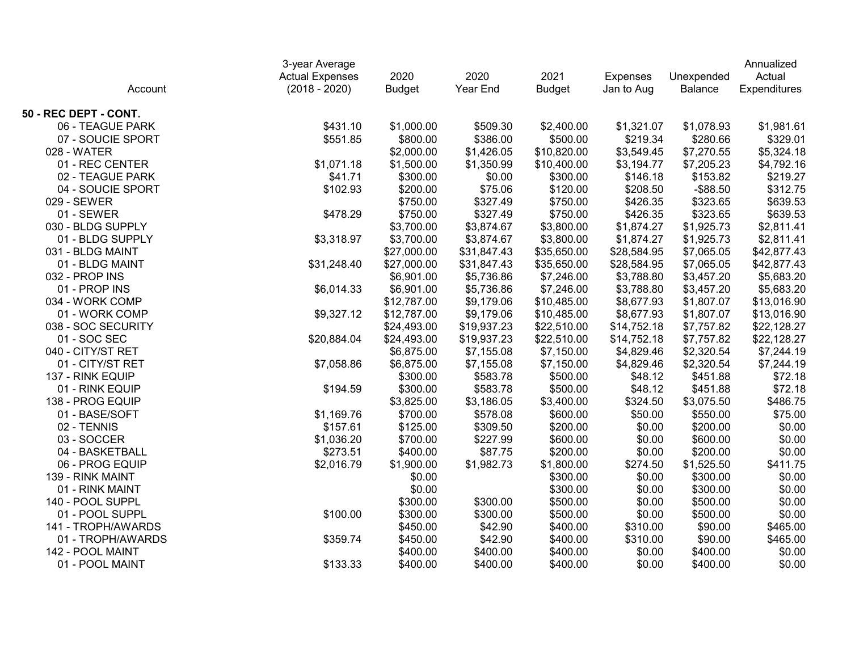|                       | 3-year Average         |               |             |               |                 |             | Annualized   |
|-----------------------|------------------------|---------------|-------------|---------------|-----------------|-------------|--------------|
|                       | <b>Actual Expenses</b> | 2020          | 2020        | 2021          | <b>Expenses</b> | Unexpended  | Actual       |
| Account               | $(2018 - 2020)$        | <b>Budget</b> | Year End    | <b>Budget</b> | Jan to Aug      | Balance     | Expenditures |
| 50 - REC DEPT - CONT. |                        |               |             |               |                 |             |              |
| 06 - TEAGUE PARK      | \$431.10               | \$1,000.00    | \$509.30    | \$2,400.00    | \$1,321.07      | \$1,078.93  | \$1,981.61   |
| 07 - SOUCIE SPORT     | \$551.85               | \$800.00      | \$386.00    | \$500.00      | \$219.34        | \$280.66    | \$329.01     |
| 028 - WATER           |                        | \$2,000.00    | \$1,426.05  | \$10,820.00   | \$3,549.45      | \$7,270.55  | \$5,324.18   |
| 01 - REC CENTER       | \$1,071.18             | \$1,500.00    | \$1,350.99  | \$10,400.00   | \$3,194.77      | \$7,205.23  | \$4,792.16   |
| 02 - TEAGUE PARK      | \$41.71                | \$300.00      | \$0.00      | \$300.00      | \$146.18        | \$153.82    | \$219.27     |
| 04 - SOUCIE SPORT     | \$102.93               | \$200.00      | \$75.06     | \$120.00      | \$208.50        | $-$ \$88.50 | \$312.75     |
| 029 - SEWER           |                        | \$750.00      | \$327.49    | \$750.00      | \$426.35        | \$323.65    | \$639.53     |
| 01 - SEWER            | \$478.29               | \$750.00      | \$327.49    | \$750.00      | \$426.35        | \$323.65    | \$639.53     |
| 030 - BLDG SUPPLY     |                        | \$3,700.00    | \$3,874.67  | \$3,800.00    | \$1,874.27      | \$1,925.73  | \$2,811.41   |
| 01 - BLDG SUPPLY      | \$3,318.97             | \$3,700.00    | \$3,874.67  | \$3,800.00    | \$1,874.27      | \$1,925.73  | \$2,811.41   |
| 031 - BLDG MAINT      |                        | \$27,000.00   | \$31,847.43 | \$35,650.00   | \$28,584.95     | \$7,065.05  | \$42,877.43  |
| 01 - BLDG MAINT       | \$31,248.40            | \$27,000.00   | \$31,847.43 | \$35,650.00   | \$28,584.95     | \$7,065.05  | \$42,877.43  |
| 032 - PROP INS        |                        | \$6,901.00    | \$5,736.86  | \$7,246.00    | \$3,788.80      | \$3,457.20  | \$5,683.20   |
| 01 - PROP INS         | \$6,014.33             | \$6,901.00    | \$5,736.86  | \$7,246.00    | \$3,788.80      | \$3,457.20  | \$5,683.20   |
| 034 - WORK COMP       |                        | \$12,787.00   | \$9,179.06  | \$10,485.00   | \$8,677.93      | \$1,807.07  | \$13,016.90  |
| 01 - WORK COMP        | \$9,327.12             | \$12,787.00   | \$9,179.06  | \$10,485.00   | \$8,677.93      | \$1,807.07  | \$13,016.90  |
| 038 - SOC SECURITY    |                        | \$24,493.00   | \$19,937.23 | \$22,510.00   | \$14,752.18     | \$7,757.82  | \$22,128.27  |
| 01 - SOC SEC          | \$20,884.04            | \$24,493.00   | \$19,937.23 | \$22,510.00   | \$14,752.18     | \$7,757.82  | \$22,128.27  |
| 040 - CITY/ST RET     |                        | \$6,875.00    | \$7,155.08  | \$7,150.00    | \$4,829.46      | \$2,320.54  | \$7,244.19   |
| 01 - CITY/ST RET      | \$7,058.86             | \$6,875.00    | \$7,155.08  | \$7,150.00    | \$4,829.46      | \$2,320.54  | \$7,244.19   |
| 137 - RINK EQUIP      |                        | \$300.00      | \$583.78    | \$500.00      | \$48.12         | \$451.88    | \$72.18      |
| 01 - RINK EQUIP       | \$194.59               | \$300.00      | \$583.78    | \$500.00      | \$48.12         | \$451.88    | \$72.18      |
| 138 - PROG EQUIP      |                        | \$3,825.00    | \$3,186.05  | \$3,400.00    | \$324.50        | \$3,075.50  | \$486.75     |
| 01 - BASE/SOFT        | \$1,169.76             | \$700.00      | \$578.08    | \$600.00      | \$50.00         | \$550.00    | \$75.00      |
| 02 - TENNIS           | \$157.61               | \$125.00      | \$309.50    | \$200.00      | \$0.00          | \$200.00    | \$0.00       |
| 03 - SOCCER           | \$1,036.20             | \$700.00      | \$227.99    | \$600.00      | \$0.00          | \$600.00    | \$0.00       |
| 04 - BASKETBALL       | \$273.51               | \$400.00      | \$87.75     | \$200.00      | \$0.00          | \$200.00    | \$0.00       |
| 06 - PROG EQUIP       | \$2,016.79             | \$1,900.00    | \$1,982.73  | \$1,800.00    | \$274.50        | \$1,525.50  | \$411.75     |
| 139 - RINK MAINT      |                        | \$0.00        |             | \$300.00      | \$0.00          | \$300.00    | \$0.00       |
| 01 - RINK MAINT       |                        | \$0.00        |             | \$300.00      | \$0.00          | \$300.00    | \$0.00       |
| 140 - POOL SUPPL      |                        | \$300.00      | \$300.00    | \$500.00      | \$0.00          | \$500.00    | \$0.00       |
| 01 - POOL SUPPL       | \$100.00               | \$300.00      | \$300.00    | \$500.00      | \$0.00          | \$500.00    | \$0.00       |
| 141 - TROPH/AWARDS    |                        | \$450.00      | \$42.90     | \$400.00      | \$310.00        | \$90.00     | \$465.00     |
| 01 - TROPH/AWARDS     | \$359.74               | \$450.00      | \$42.90     | \$400.00      | \$310.00        | \$90.00     | \$465.00     |
| 142 - POOL MAINT      |                        | \$400.00      | \$400.00    | \$400.00      | \$0.00          | \$400.00    | \$0.00       |
| 01 - POOL MAINT       | \$133.33               | \$400.00      | \$400.00    | \$400.00      | \$0.00          | \$400.00    | \$0.00       |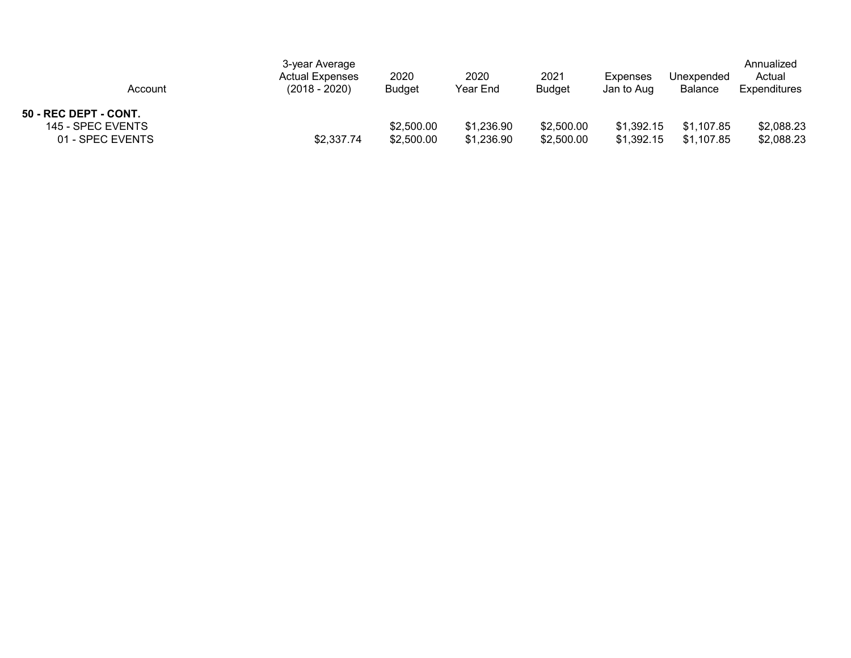| Account                                                        | 3-year Average<br><b>Actual Expenses</b><br>$(2018 - 2020)$ | 2020<br><b>Budget</b>    | 2020<br>Year End         | 2021<br><b>Budget</b>    | Expenses<br>Jan to Aug   | Unexpended<br><b>Balance</b> | Annualized<br>Actual<br>Expenditures |
|----------------------------------------------------------------|-------------------------------------------------------------|--------------------------|--------------------------|--------------------------|--------------------------|------------------------------|--------------------------------------|
| 50 - REC DEPT - CONT.<br>145 - SPEC EVENTS<br>01 - SPEC EVENTS | \$2,337.74                                                  | \$2,500.00<br>\$2,500.00 | \$1,236.90<br>\$1,236.90 | \$2,500.00<br>\$2,500.00 | \$1,392.15<br>\$1.392.15 | \$1,107.85<br>\$1,107.85     | \$2,088.23<br>\$2,088.23             |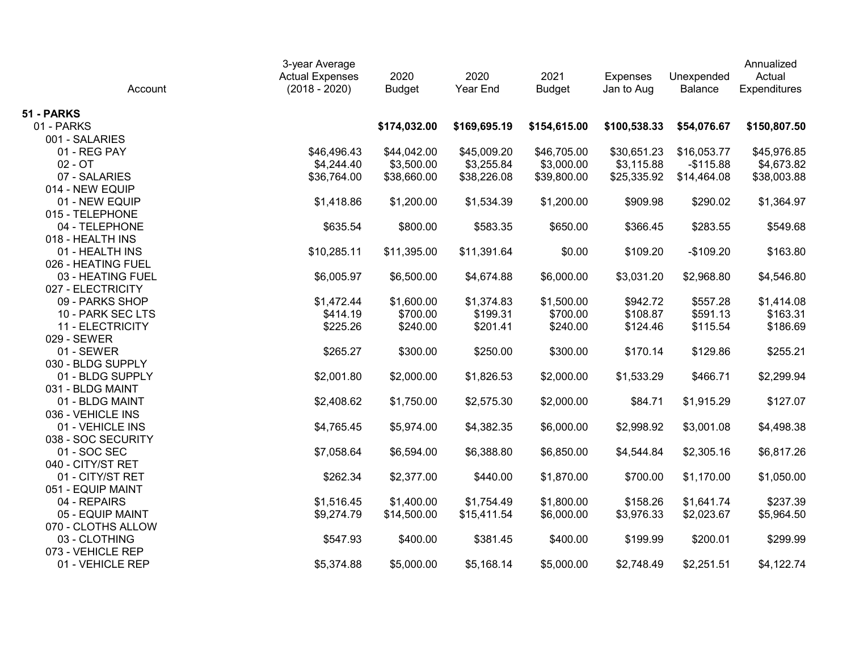| Account            | 3-year Average<br><b>Actual Expenses</b><br>$(2018 - 2020)$ | 2020<br><b>Budget</b> | 2020<br>Year End | 2021<br><b>Budget</b> | <b>Expenses</b><br>Jan to Aug | Unexpended<br>Balance | Annualized<br>Actual<br>Expenditures |
|--------------------|-------------------------------------------------------------|-----------------------|------------------|-----------------------|-------------------------------|-----------------------|--------------------------------------|
| 51 - PARKS         |                                                             |                       |                  |                       |                               |                       |                                      |
| 01 - PARKS         |                                                             | \$174,032.00          | \$169,695.19     | \$154,615.00          | \$100,538.33                  | \$54,076.67           | \$150,807.50                         |
| 001 - SALARIES     |                                                             |                       |                  |                       |                               |                       |                                      |
| 01 - REG PAY       | \$46,496.43                                                 | \$44,042.00           | \$45,009.20      | \$46,705.00           | \$30,651.23                   | \$16,053.77           | \$45,976.85                          |
| $02 - OT$          | \$4,244.40                                                  | \$3,500.00            | \$3,255.84       | \$3,000.00            | \$3,115.88                    | $-$115.88$            | \$4,673.82                           |
| 07 - SALARIES      | \$36,764.00                                                 | \$38,660.00           | \$38,226.08      | \$39,800.00           | \$25,335.92                   | \$14,464.08           | \$38,003.88                          |
| 014 - NEW EQUIP    |                                                             |                       |                  |                       |                               |                       |                                      |
| 01 - NEW EQUIP     | \$1,418.86                                                  | \$1,200.00            | \$1,534.39       | \$1,200.00            | \$909.98                      | \$290.02              | \$1,364.97                           |
| 015 - TELEPHONE    |                                                             |                       |                  |                       |                               |                       |                                      |
| 04 - TELEPHONE     | \$635.54                                                    | \$800.00              | \$583.35         | \$650.00              | \$366.45                      | \$283.55              | \$549.68                             |
| 018 - HEALTH INS   |                                                             |                       |                  |                       |                               |                       |                                      |
| 01 - HEALTH INS    | \$10,285.11                                                 | \$11,395.00           | \$11,391.64      | \$0.00                | \$109.20                      | $-$109.20$            | \$163.80                             |
| 026 - HEATING FUEL |                                                             |                       |                  |                       |                               |                       |                                      |
| 03 - HEATING FUEL  | \$6,005.97                                                  | \$6,500.00            | \$4,674.88       | \$6,000.00            | \$3,031.20                    | \$2,968.80            | \$4,546.80                           |
| 027 - ELECTRICITY  |                                                             |                       |                  |                       |                               |                       |                                      |
| 09 - PARKS SHOP    | \$1,472.44                                                  | \$1,600.00            | \$1,374.83       | \$1,500.00            | \$942.72                      | \$557.28              | \$1,414.08                           |
| 10 - PARK SEC LTS  | \$414.19                                                    | \$700.00              | \$199.31         | \$700.00              | \$108.87                      | \$591.13              | \$163.31                             |
| 11 - ELECTRICITY   | \$225.26                                                    | \$240.00              | \$201.41         | \$240.00              | \$124.46                      | \$115.54              | \$186.69                             |
| 029 - SEWER        |                                                             |                       |                  |                       |                               |                       |                                      |
| 01 - SEWER         | \$265.27                                                    | \$300.00              | \$250.00         | \$300.00              | \$170.14                      | \$129.86              | \$255.21                             |
| 030 - BLDG SUPPLY  |                                                             |                       |                  |                       |                               |                       |                                      |
| 01 - BLDG SUPPLY   | \$2,001.80                                                  | \$2,000.00            | \$1,826.53       | \$2,000.00            | \$1,533.29                    | \$466.71              | \$2,299.94                           |
| 031 - BLDG MAINT   |                                                             |                       |                  |                       |                               |                       |                                      |
| 01 - BLDG MAINT    | \$2,408.62                                                  | \$1,750.00            | \$2,575.30       | \$2,000.00            | \$84.71                       | \$1,915.29            | \$127.07                             |
| 036 - VEHICLE INS  |                                                             |                       |                  |                       |                               |                       |                                      |
| 01 - VEHICLE INS   | \$4,765.45                                                  | \$5,974.00            | \$4,382.35       | \$6,000.00            | \$2,998.92                    | \$3,001.08            | \$4,498.38                           |
| 038 - SOC SECURITY |                                                             |                       |                  |                       |                               |                       |                                      |
| 01 - SOC SEC       | \$7,058.64                                                  | \$6,594.00            | \$6,388.80       | \$6,850.00            | \$4,544.84                    | \$2,305.16            | \$6,817.26                           |
| 040 - CITY/ST RET  |                                                             |                       |                  |                       |                               |                       |                                      |
| 01 - CITY/ST RET   | \$262.34                                                    | \$2,377.00            | \$440.00         | \$1,870.00            | \$700.00                      | \$1,170.00            | \$1,050.00                           |
| 051 - EQUIP MAINT  |                                                             |                       |                  |                       |                               |                       |                                      |
| 04 - REPAIRS       | \$1,516.45                                                  | \$1,400.00            | \$1,754.49       | \$1,800.00            | \$158.26                      | \$1,641.74            | \$237.39                             |
| 05 - EQUIP MAINT   | \$9,274.79                                                  | \$14,500.00           | \$15,411.54      | \$6,000.00            | \$3,976.33                    | \$2,023.67            | \$5,964.50                           |
| 070 - CLOTHS ALLOW |                                                             |                       |                  |                       |                               |                       |                                      |
| 03 - CLOTHING      | \$547.93                                                    | \$400.00              | \$381.45         | \$400.00              | \$199.99                      | \$200.01              | \$299.99                             |
| 073 - VEHICLE REP  |                                                             |                       |                  |                       |                               |                       |                                      |
| 01 - VEHICLE REP   | \$5,374.88                                                  | \$5,000.00            | \$5,168.14       | \$5,000.00            | \$2,748.49                    | \$2,251.51            | \$4,122.74                           |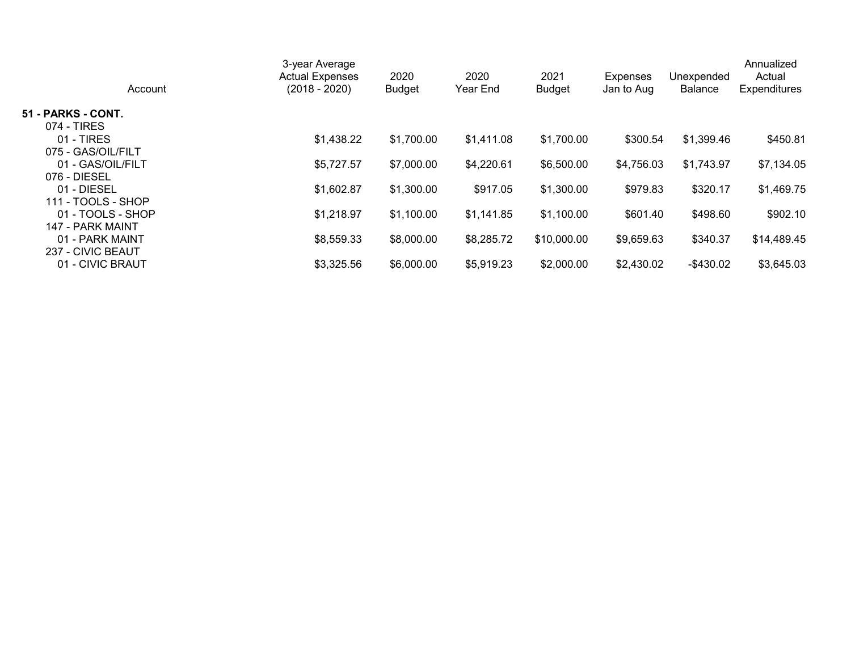| Account            | 3-year Average<br><b>Actual Expenses</b><br>(2018 - 2020) | 2020<br><b>Budget</b> | 2020<br>Year End | 2021<br><b>Budget</b> | <b>Expenses</b><br>Jan to Aug | Unexpended<br><b>Balance</b> | Annualized<br>Actual<br><b>Expenditures</b> |
|--------------------|-----------------------------------------------------------|-----------------------|------------------|-----------------------|-------------------------------|------------------------------|---------------------------------------------|
| 51 - PARKS - CONT. |                                                           |                       |                  |                       |                               |                              |                                             |
| 074 - TIRES        |                                                           |                       |                  |                       |                               |                              |                                             |
| $01 - TIRES$       | \$1,438.22                                                | \$1,700.00            | \$1,411.08       | \$1,700.00            | \$300.54                      | \$1,399.46                   | \$450.81                                    |
| 075 - GAS/OIL/FILT |                                                           |                       |                  |                       |                               |                              |                                             |
| 01 - GAS/OIL/FILT  | \$5,727.57                                                | \$7,000.00            | \$4,220.61       | \$6,500.00            | \$4,756.03                    | \$1,743.97                   | \$7,134.05                                  |
| 076 - DIESEL       |                                                           |                       |                  |                       |                               |                              |                                             |
| 01 - DIESEL        | \$1,602.87                                                | \$1,300.00            | \$917.05         | \$1,300.00            | \$979.83                      | \$320.17                     | \$1,469.75                                  |
| 111 - TOOLS - SHOP |                                                           |                       |                  |                       |                               |                              |                                             |
| 01 - TOOLS - SHOP  | \$1,218.97                                                | \$1,100.00            | \$1,141.85       | \$1,100.00            | \$601.40                      | \$498.60                     | \$902.10                                    |
| 147 - PARK MAINT   |                                                           |                       |                  |                       |                               |                              |                                             |
| 01 - PARK MAINT    | \$8,559.33                                                | \$8,000.00            | \$8,285.72       | \$10,000.00           | \$9,659.63                    | \$340.37                     | \$14,489.45                                 |
| 237 - CIVIC BEAUT  |                                                           |                       |                  |                       |                               |                              |                                             |
| 01 - CIVIC BRAUT   | \$3,325.56                                                | \$6,000.00            | \$5,919.23       | \$2,000.00            | \$2,430.02                    | -\$430.02                    | \$3,645.03                                  |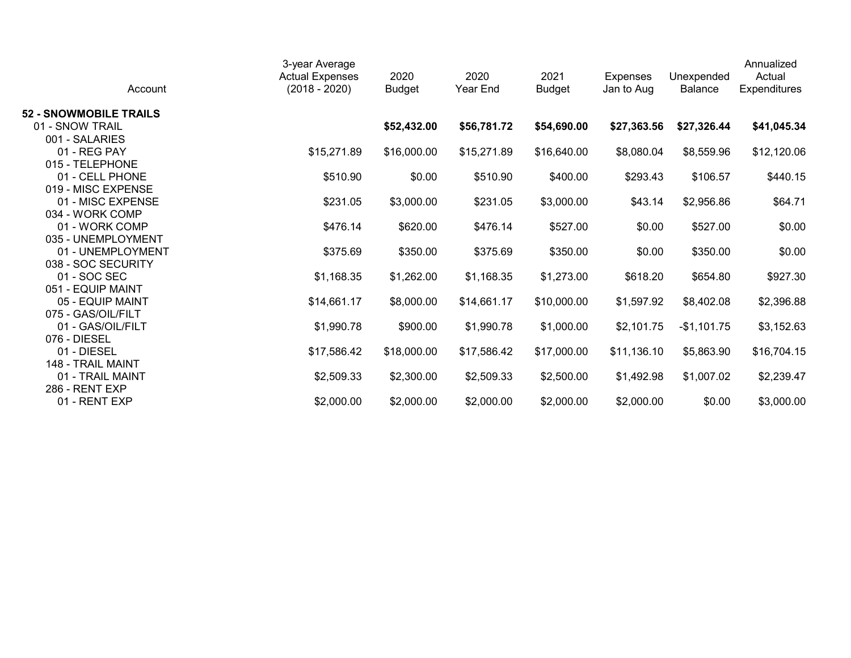| Account                       | 3-year Average<br><b>Actual Expenses</b><br>$(2018 - 2020)$ | 2020<br><b>Budget</b> | 2020<br>Year End | 2021<br><b>Budget</b> | <b>Expenses</b><br>Jan to Aug | Unexpended<br><b>Balance</b> | Annualized<br>Actual<br><b>Expenditures</b> |
|-------------------------------|-------------------------------------------------------------|-----------------------|------------------|-----------------------|-------------------------------|------------------------------|---------------------------------------------|
| <b>52 - SNOWMOBILE TRAILS</b> |                                                             |                       |                  |                       |                               |                              |                                             |
| 01 - SNOW TRAIL               |                                                             | \$52,432.00           | \$56,781.72      | \$54,690.00           | \$27,363.56                   | \$27,326.44                  | \$41,045.34                                 |
| 001 - SALARIES                |                                                             |                       |                  |                       |                               |                              |                                             |
| 01 - REG PAY                  | \$15,271.89                                                 | \$16,000.00           | \$15,271.89      | \$16,640.00           | \$8,080.04                    | \$8,559.96                   | \$12,120.06                                 |
| 015 - TELEPHONE               |                                                             |                       |                  |                       |                               |                              |                                             |
| 01 - CELL PHONE               | \$510.90                                                    | \$0.00                | \$510.90         | \$400.00              | \$293.43                      | \$106.57                     | \$440.15                                    |
| 019 - MISC EXPENSE            |                                                             |                       |                  |                       |                               |                              |                                             |
| 01 - MISC EXPENSE             | \$231.05                                                    | \$3,000.00            | \$231.05         | \$3,000.00            | \$43.14                       | \$2,956.86                   | \$64.71                                     |
| 034 - WORK COMP               |                                                             |                       |                  |                       |                               |                              |                                             |
| 01 - WORK COMP                | \$476.14                                                    | \$620.00              | \$476.14         | \$527.00              | \$0.00                        | \$527.00                     | \$0.00                                      |
| 035 - UNEMPLOYMENT            |                                                             |                       |                  |                       |                               |                              |                                             |
| 01 - UNEMPLOYMENT             | \$375.69                                                    | \$350.00              | \$375.69         | \$350.00              | \$0.00                        | \$350.00                     | \$0.00                                      |
| 038 - SOC SECURITY            |                                                             |                       |                  |                       |                               |                              |                                             |
| 01 - SOC SEC                  | \$1,168.35                                                  | \$1,262.00            | \$1,168.35       | \$1,273.00            | \$618.20                      | \$654.80                     | \$927.30                                    |
| 051 - EQUIP MAINT             |                                                             |                       |                  |                       |                               |                              |                                             |
| 05 - EQUIP MAINT              | \$14,661.17                                                 | \$8,000.00            | \$14,661.17      | \$10,000.00           | \$1,597.92                    | \$8,402.08                   | \$2,396.88                                  |
| 075 - GAS/OIL/FILT            |                                                             |                       |                  |                       |                               |                              |                                             |
| 01 - GAS/OIL/FILT             | \$1,990.78                                                  | \$900.00              | \$1,990.78       | \$1,000.00            | \$2,101.75                    | $-$1,101.75$                 | \$3,152.63                                  |
| 076 - DIESEL                  |                                                             |                       |                  |                       |                               |                              |                                             |
| 01 - DIESEL                   | \$17,586.42                                                 | \$18,000.00           | \$17,586.42      | \$17,000.00           | \$11,136.10                   | \$5,863.90                   | \$16,704.15                                 |
| 148 - TRAIL MAINT             |                                                             |                       |                  |                       |                               |                              |                                             |
| 01 - TRAIL MAINT              | \$2,509.33                                                  | \$2,300.00            | \$2,509.33       | \$2,500.00            | \$1,492.98                    | \$1,007.02                   | \$2,239.47                                  |
| 286 - RENT EXP                |                                                             |                       |                  |                       |                               |                              |                                             |
| 01 - RENT EXP                 | \$2,000.00                                                  | \$2,000.00            | \$2,000.00       | \$2,000.00            | \$2,000.00                    | \$0.00                       | \$3,000.00                                  |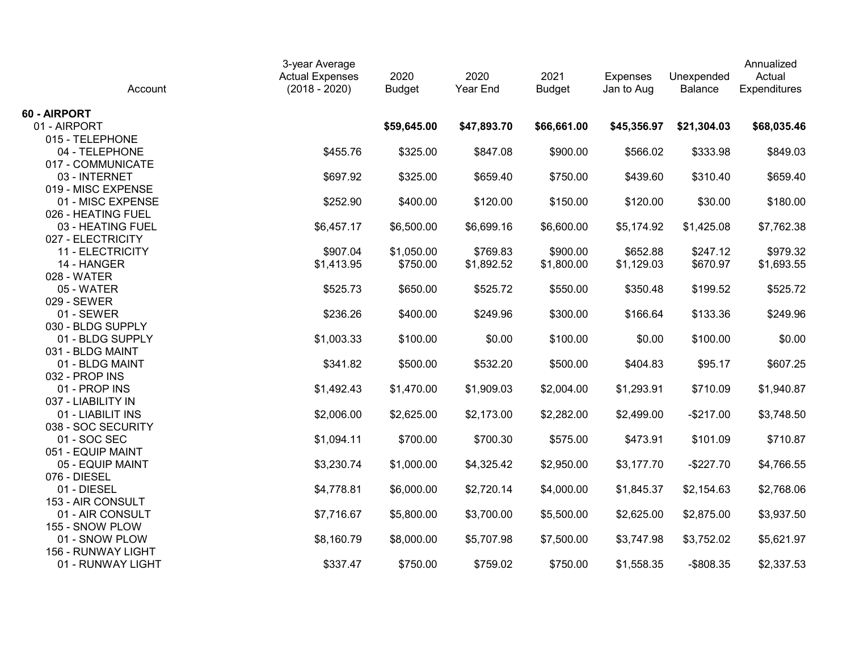| Account                                 | 3-year Average<br><b>Actual Expenses</b><br>$(2018 - 2020)$ | 2020<br><b>Budget</b> | 2020<br>Year End | 2021<br><b>Budget</b> | <b>Expenses</b><br>Jan to Aug | Unexpended<br><b>Balance</b> | Annualized<br>Actual<br>Expenditures |
|-----------------------------------------|-------------------------------------------------------------|-----------------------|------------------|-----------------------|-------------------------------|------------------------------|--------------------------------------|
| 60 - AIRPORT                            |                                                             |                       |                  |                       |                               |                              |                                      |
| 01 - AIRPORT                            |                                                             | \$59,645.00           | \$47,893.70      | \$66,661.00           | \$45,356.97                   | \$21,304.03                  | \$68,035.46                          |
| 015 - TELEPHONE                         |                                                             |                       |                  |                       |                               |                              |                                      |
| 04 - TELEPHONE                          | \$455.76                                                    | \$325.00              | \$847.08         | \$900.00              | \$566.02                      | \$333.98                     | \$849.03                             |
| 017 - COMMUNICATE                       |                                                             |                       |                  |                       |                               |                              |                                      |
| 03 - INTERNET                           | \$697.92                                                    | \$325.00              | \$659.40         | \$750.00              | \$439.60                      | \$310.40                     | \$659.40                             |
| 019 - MISC EXPENSE                      |                                                             |                       |                  |                       |                               |                              |                                      |
| 01 - MISC EXPENSE                       | \$252.90                                                    | \$400.00              | \$120.00         | \$150.00              | \$120.00                      | \$30.00                      | \$180.00                             |
| 026 - HEATING FUEL                      |                                                             |                       |                  |                       |                               |                              |                                      |
| 03 - HEATING FUEL                       | \$6,457.17                                                  | \$6,500.00            | \$6,699.16       | \$6,600.00            | \$5,174.92                    | \$1,425.08                   | \$7,762.38                           |
| 027 - ELECTRICITY                       |                                                             |                       |                  |                       |                               |                              |                                      |
| 11 - ELECTRICITY                        | \$907.04                                                    | \$1,050.00            | \$769.83         | \$900.00              | \$652.88                      | \$247.12                     | \$979.32                             |
| 14 - HANGER                             | \$1,413.95                                                  | \$750.00              | \$1,892.52       | \$1,800.00            | \$1,129.03                    | \$670.97                     | \$1,693.55                           |
| 028 - WATER                             |                                                             |                       |                  |                       |                               |                              |                                      |
| 05 - WATER                              | \$525.73                                                    | \$650.00              | \$525.72         | \$550.00              | \$350.48                      | \$199.52                     | \$525.72                             |
| 029 - SEWER                             |                                                             |                       |                  |                       |                               |                              |                                      |
| 01 - SEWER                              | \$236.26                                                    | \$400.00              | \$249.96         | \$300.00              | \$166.64                      | \$133.36                     | \$249.96                             |
| 030 - BLDG SUPPLY                       |                                                             |                       |                  |                       |                               |                              |                                      |
| 01 - BLDG SUPPLY                        | \$1,003.33                                                  | \$100.00              | \$0.00           | \$100.00              | \$0.00                        | \$100.00                     | \$0.00                               |
| 031 - BLDG MAINT                        |                                                             |                       |                  |                       |                               |                              |                                      |
| 01 - BLDG MAINT                         | \$341.82                                                    | \$500.00              | \$532.20         | \$500.00              | \$404.83                      | \$95.17                      | \$607.25                             |
| 032 - PROP INS                          |                                                             |                       |                  |                       |                               |                              |                                      |
| 01 - PROP INS                           | \$1,492.43                                                  | \$1,470.00            | \$1,909.03       | \$2,004.00            | \$1,293.91                    | \$710.09                     | \$1,940.87                           |
| 037 - LIABILITY IN<br>01 - LIABILIT INS |                                                             |                       |                  |                       |                               |                              |                                      |
| 038 - SOC SECURITY                      | \$2,006.00                                                  | \$2,625.00            | \$2,173.00       | \$2,282.00            | \$2,499.00                    | $-$217.00$                   | \$3,748.50                           |
| 01 - SOC SEC                            | \$1,094.11                                                  | \$700.00              | \$700.30         | \$575.00              | \$473.91                      | \$101.09                     | \$710.87                             |
| 051 - EQUIP MAINT                       |                                                             |                       |                  |                       |                               |                              |                                      |
| 05 - EQUIP MAINT                        | \$3,230.74                                                  | \$1,000.00            | \$4,325.42       | \$2,950.00            | \$3,177.70                    | $-$227.70$                   | \$4,766.55                           |
| 076 - DIESEL                            |                                                             |                       |                  |                       |                               |                              |                                      |
| 01 - DIESEL                             | \$4,778.81                                                  | \$6,000.00            | \$2,720.14       | \$4,000.00            | \$1,845.37                    | \$2,154.63                   | \$2,768.06                           |
| 153 - AIR CONSULT                       |                                                             |                       |                  |                       |                               |                              |                                      |
| 01 - AIR CONSULT                        | \$7,716.67                                                  | \$5,800.00            | \$3,700.00       | \$5,500.00            | \$2,625.00                    | \$2,875.00                   | \$3,937.50                           |
| 155 - SNOW PLOW                         |                                                             |                       |                  |                       |                               |                              |                                      |
| 01 - SNOW PLOW                          | \$8,160.79                                                  | \$8,000.00            | \$5,707.98       | \$7,500.00            | \$3,747.98                    | \$3,752.02                   | \$5,621.97                           |
| 156 - RUNWAY LIGHT                      |                                                             |                       |                  |                       |                               |                              |                                      |
| 01 - RUNWAY LIGHT                       | \$337.47                                                    | \$750.00              | \$759.02         | \$750.00              | \$1,558.35                    | $-$ \$808.35                 | \$2,337.53                           |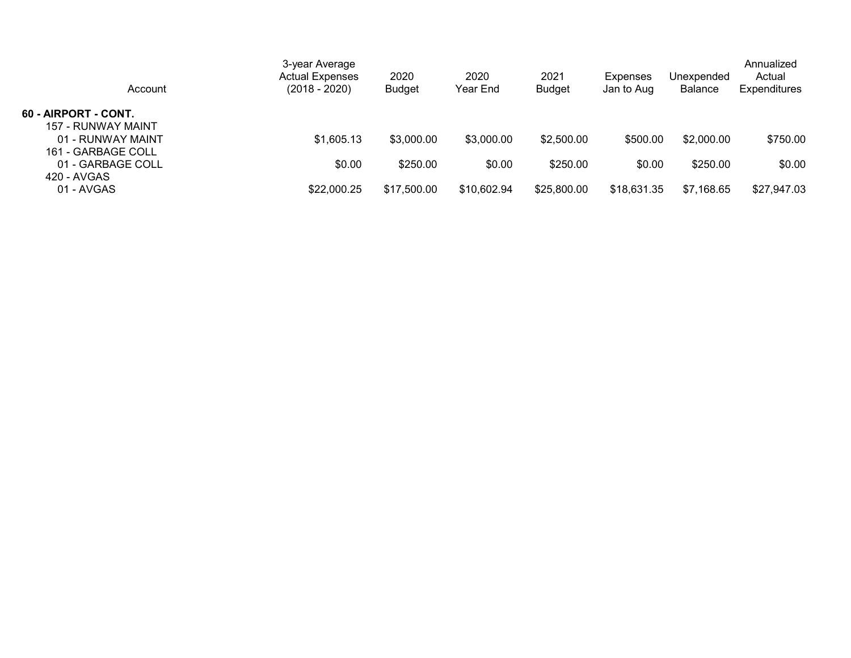| Account                                    | 3-year Average<br><b>Actual Expenses</b><br>(2018 - 2020) | 2020<br><b>Budget</b> | 2020<br>Year End | 2021<br><b>Budget</b> | <b>Expenses</b><br>Jan to Aug | Unexpended<br><b>Balance</b> | Annualized<br>Actual<br><b>Expenditures</b> |
|--------------------------------------------|-----------------------------------------------------------|-----------------------|------------------|-----------------------|-------------------------------|------------------------------|---------------------------------------------|
| 60 - AIRPORT - CONT.<br>157 - RUNWAY MAINT |                                                           |                       |                  |                       |                               |                              |                                             |
| 01 - RUNWAY MAINT<br>161 - GARBAGE COLL    | \$1,605.13                                                | \$3,000.00            | \$3,000.00       | \$2,500.00            | \$500.00                      | \$2,000.00                   | \$750.00                                    |
| 01 - GARBAGE COLL<br>420 - AVGAS           | \$0.00                                                    | \$250.00              | \$0.00           | \$250.00              | \$0.00                        | \$250.00                     | \$0.00                                      |
| 01 - AVGAS                                 | \$22,000.25                                               | \$17,500.00           | \$10,602.94      | \$25,800.00           | \$18,631.35                   | \$7,168.65                   | \$27,947.03                                 |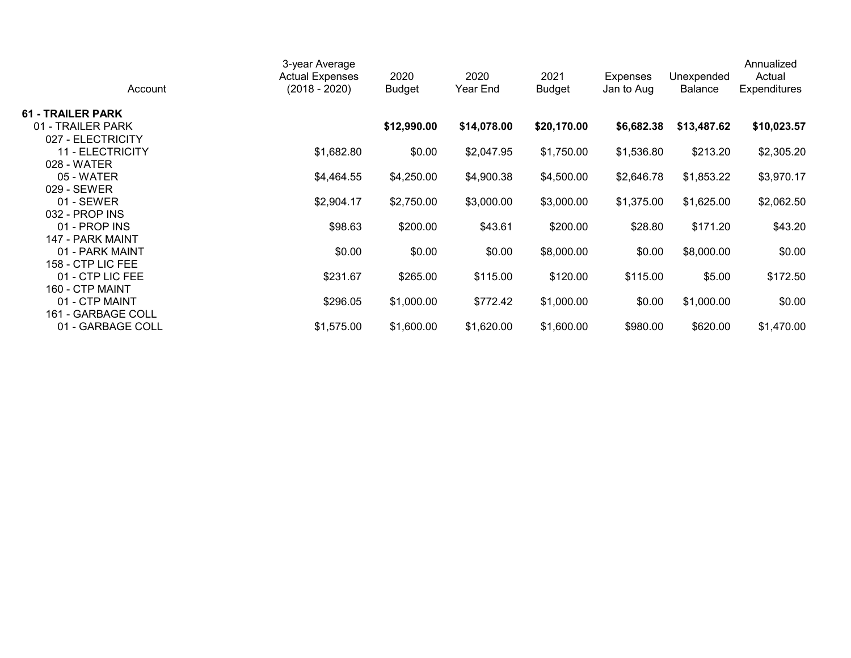| Account                  | 3-year Average<br><b>Actual Expenses</b><br>$(2018 - 2020)$ | 2020<br><b>Budget</b> | 2020<br>Year End | 2021<br><b>Budget</b> | Expenses<br>Jan to Aug | Unexpended<br><b>Balance</b> | Annualized<br>Actual<br><b>Expenditures</b> |
|--------------------------|-------------------------------------------------------------|-----------------------|------------------|-----------------------|------------------------|------------------------------|---------------------------------------------|
| <b>61 - TRAILER PARK</b> |                                                             |                       |                  |                       |                        |                              |                                             |
| 01 - TRAILER PARK        |                                                             | \$12,990.00           | \$14,078.00      | \$20,170.00           | \$6,682.38             | \$13,487.62                  | \$10,023.57                                 |
| 027 - ELECTRICITY        |                                                             |                       |                  |                       |                        |                              |                                             |
| 11 - ELECTRICITY         | \$1,682.80                                                  | \$0.00                | \$2,047.95       | \$1,750.00            | \$1,536.80             | \$213.20                     | \$2,305.20                                  |
| 028 - WATER              |                                                             |                       |                  |                       |                        |                              |                                             |
| 05 - WATER               | \$4,464.55                                                  | \$4,250.00            | \$4,900.38       | \$4,500.00            | \$2,646.78             | \$1,853.22                   | \$3,970.17                                  |
| 029 - SEWER              |                                                             |                       |                  |                       |                        |                              |                                             |
| $01 - SEWER$             | \$2,904.17                                                  | \$2,750.00            | \$3,000.00       | \$3,000.00            | \$1,375.00             | \$1,625.00                   | \$2,062.50                                  |
| $032 - PROP$ INS         |                                                             |                       |                  |                       |                        |                              |                                             |
| 01 - PROP INS            | \$98.63                                                     | \$200.00              | \$43.61          | \$200.00              | \$28.80                | \$171.20                     | \$43.20                                     |
| 147 - PARK MAINT         |                                                             |                       |                  |                       |                        |                              |                                             |
| 01 - PARK MAINT          | \$0.00                                                      | \$0.00                | \$0.00           | \$8,000.00            | \$0.00                 | \$8,000.00                   | \$0.00                                      |
| 158 - CTP LIC FEE        |                                                             |                       |                  |                       |                        |                              |                                             |
| 01 - CTP LIC FEE         | \$231.67                                                    | \$265.00              | \$115.00         | \$120.00              | \$115.00               | \$5.00                       | \$172.50                                    |
| 160 - CTP MAINT          |                                                             |                       |                  |                       |                        |                              |                                             |
| 01 - CTP MAINT           | \$296.05                                                    | \$1,000.00            | \$772.42         | \$1,000.00            | \$0.00                 | \$1,000.00                   | \$0.00                                      |
| 161 - GARBAGE COLL       |                                                             |                       |                  |                       |                        |                              |                                             |
| 01 - GARBAGE COLL        | \$1,575.00                                                  | \$1,600.00            | \$1,620.00       | \$1,600.00            | \$980.00               | \$620.00                     | \$1,470.00                                  |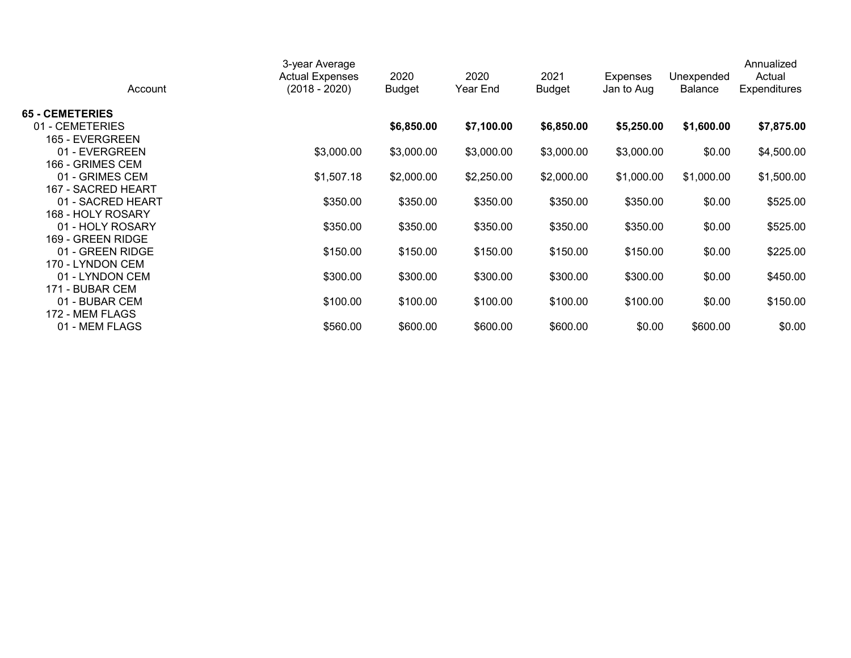| Account                | 3-year Average<br><b>Actual Expenses</b><br>(2018 - 2020) | 2020<br><b>Budget</b> | 2020<br>Year End | 2021<br><b>Budget</b> | Expenses<br>Jan to Aug | Unexpended<br><b>Balance</b> | Annualized<br>Actual<br><b>Expenditures</b> |
|------------------------|-----------------------------------------------------------|-----------------------|------------------|-----------------------|------------------------|------------------------------|---------------------------------------------|
| <b>65 - CEMETERIES</b> |                                                           |                       |                  |                       |                        |                              |                                             |
| 01 - CEMETERIES        |                                                           | \$6,850.00            | \$7,100.00       | \$6,850.00            | \$5,250.00             | \$1,600.00                   | \$7,875.00                                  |
| 165 - EVERGREEN        |                                                           |                       |                  |                       |                        |                              |                                             |
| 01 - EVERGREEN         | \$3,000.00                                                | \$3,000.00            | \$3,000.00       | \$3,000.00            | \$3,000.00             | \$0.00                       | \$4,500.00                                  |
| 166 - GRIMES CEM       |                                                           |                       |                  |                       |                        |                              |                                             |
| 01 - GRIMES CEM        | \$1,507.18                                                | \$2,000.00            | \$2,250.00       | \$2,000.00            | \$1,000.00             | \$1,000.00                   | \$1,500.00                                  |
| 167 - SACRED HEART     |                                                           |                       |                  |                       |                        |                              |                                             |
| 01 - SACRED HEART      | \$350.00                                                  | \$350.00              | \$350.00         | \$350.00              | \$350.00               | \$0.00                       | \$525.00                                    |
| 168 - HOLY ROSARY      |                                                           |                       |                  |                       |                        |                              |                                             |
| 01 - HOLY ROSARY       | \$350.00                                                  | \$350.00              | \$350.00         | \$350.00              | \$350.00               | \$0.00                       | \$525.00                                    |
| 169 - GREEN RIDGE      |                                                           |                       |                  |                       |                        |                              |                                             |
| 01 - GREEN RIDGE       | \$150.00                                                  | \$150.00              | \$150.00         | \$150.00              | \$150.00               | \$0.00                       | \$225.00                                    |
| 170 - LYNDON CEM       |                                                           |                       |                  |                       |                        |                              |                                             |
| 01 - LYNDON CEM        | \$300.00                                                  | \$300.00              | \$300.00         | \$300.00              | \$300.00               | \$0.00                       | \$450.00                                    |
| 171 - BUBAR CEM        |                                                           |                       |                  |                       |                        |                              |                                             |
| 01 - BUBAR CEM         | \$100.00                                                  | \$100.00              | \$100.00         | \$100.00              | \$100.00               | \$0.00                       | \$150.00                                    |
| 172 - MEM FLAGS        |                                                           |                       |                  |                       |                        |                              |                                             |
| 01 - MEM FLAGS         | \$560.00                                                  | \$600.00              | \$600.00         | \$600.00              | \$0.00                 | \$600.00                     | \$0.00                                      |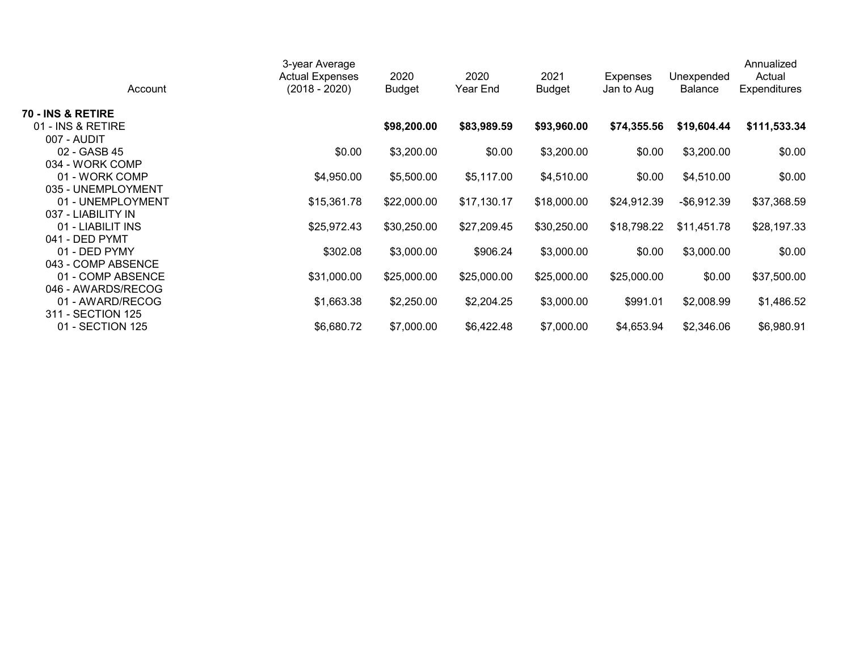| Account            | 3-year Average<br><b>Actual Expenses</b><br>$(2018 - 2020)$ | 2020<br><b>Budget</b> | 2020<br>Year End | 2021<br><b>Budget</b> | <b>Expenses</b><br>Jan to Aug | Unexpended<br><b>Balance</b> | Annualized<br>Actual<br><b>Expenditures</b> |
|--------------------|-------------------------------------------------------------|-----------------------|------------------|-----------------------|-------------------------------|------------------------------|---------------------------------------------|
| 70 - INS & RETIRE  |                                                             |                       |                  |                       |                               |                              |                                             |
| 01 - INS & RETIRE  |                                                             | \$98,200.00           | \$83,989.59      | \$93,960.00           | \$74,355.56                   | \$19,604.44                  | \$111,533.34                                |
| 007 - AUDIT        |                                                             |                       |                  |                       |                               |                              |                                             |
| 02 - GASB 45       | \$0.00                                                      | \$3,200.00            | \$0.00           | \$3,200.00            | \$0.00                        | \$3,200.00                   | \$0.00                                      |
| 034 - WORK COMP    |                                                             |                       |                  |                       |                               |                              |                                             |
| 01 - WORK COMP     | \$4,950.00                                                  | \$5,500.00            | \$5,117.00       | \$4,510.00            | \$0.00                        | \$4,510.00                   | \$0.00                                      |
| 035 - UNEMPLOYMENT |                                                             |                       |                  |                       |                               |                              |                                             |
| 01 - UNEMPLOYMENT  | \$15,361.78                                                 | \$22,000.00           | \$17,130.17      | \$18,000.00           | \$24,912.39                   | $-$ \$6,912.39               | \$37,368.59                                 |
| 037 - LIABILITY IN |                                                             |                       |                  |                       |                               |                              |                                             |
| 01 - LIABILIT INS  | \$25,972.43                                                 | \$30,250.00           | \$27,209.45      | \$30,250.00           | \$18,798.22                   | \$11,451.78                  | \$28,197.33                                 |
| 041 - DED PYMT     |                                                             |                       |                  |                       |                               |                              |                                             |
| 01 - DED PYMY      | \$302.08                                                    | \$3,000.00            | \$906.24         | \$3,000.00            | \$0.00                        | \$3,000.00                   | \$0.00                                      |
| 043 - COMP ABSENCE |                                                             |                       |                  |                       |                               |                              |                                             |
| 01 - COMP ABSENCE  | \$31,000.00                                                 | \$25,000.00           | \$25,000.00      | \$25,000.00           | \$25,000.00                   | \$0.00                       | \$37,500.00                                 |
| 046 - AWARDS/RECOG |                                                             |                       |                  |                       |                               |                              |                                             |
| 01 - AWARD/RECOG   | \$1,663.38                                                  | \$2,250.00            | \$2,204.25       | \$3,000.00            | \$991.01                      | \$2,008.99                   | \$1,486.52                                  |
| 311 - SECTION 125  |                                                             |                       |                  |                       |                               |                              |                                             |
| 01 - SECTION 125   | \$6,680.72                                                  | \$7,000.00            | \$6,422.48       | \$7,000.00            | \$4,653.94                    | \$2,346.06                   | \$6,980.91                                  |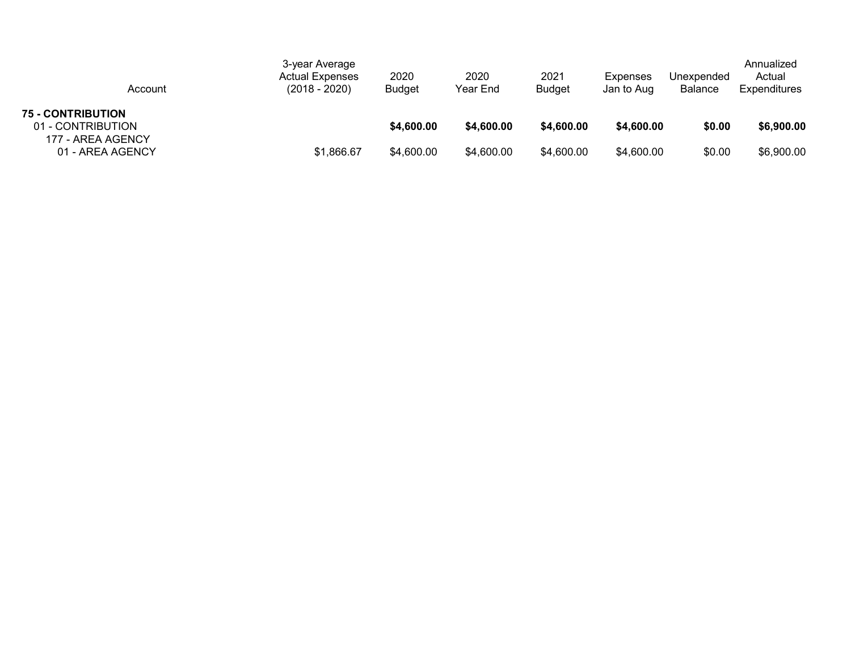| Account                                       | 3-year Average<br><b>Actual Expenses</b><br>(2018 - 2020) | 2020<br><b>Budget</b> | 2020<br>Year End | 2021<br><b>Budget</b> | Expenses<br>Jan to Aug | Unexpended<br><b>Balance</b> | Annualized<br>Actual<br><b>Expenditures</b> |
|-----------------------------------------------|-----------------------------------------------------------|-----------------------|------------------|-----------------------|------------------------|------------------------------|---------------------------------------------|
| <b>75 - CONTRIBUTION</b><br>01 - CONTRIBUTION |                                                           | \$4,600.00            | \$4,600.00       | \$4,600.00            | \$4,600.00             | \$0.00                       | \$6,900.00                                  |
| 177 - AREA AGENCY<br>01 - AREA AGENCY         | \$1,866.67                                                | \$4,600.00            | \$4,600.00       | \$4,600.00            | \$4,600.00             | \$0.00                       | \$6,900.00                                  |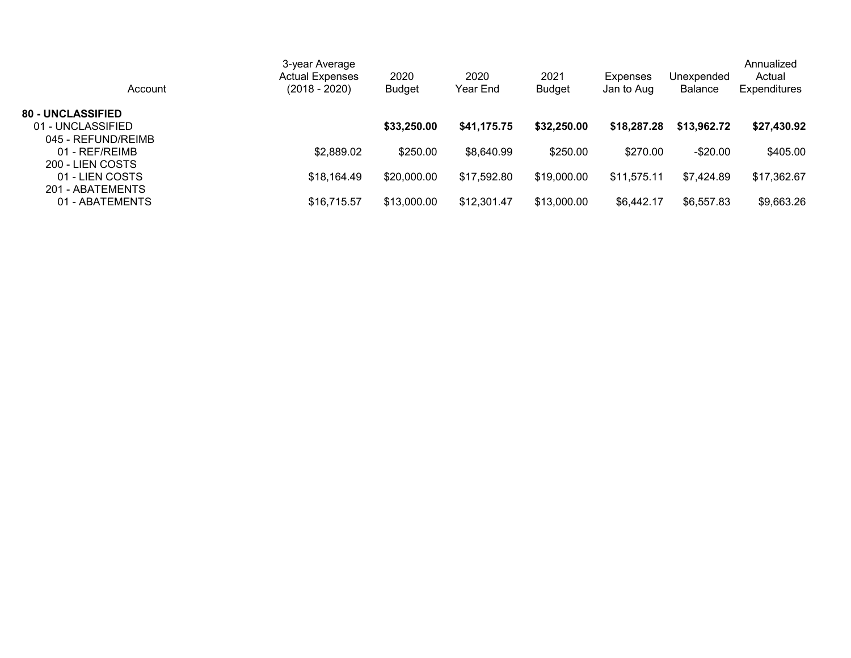| Account                  | 3-year Average<br><b>Actual Expenses</b><br>(2018 - 2020) | 2020<br><b>Budget</b> | 2020<br>Year End | 2021<br><b>Budget</b> | <b>Expenses</b><br>Jan to Aug | Unexpended<br><b>Balance</b> | Annualized<br>Actual<br><b>Expenditures</b> |
|--------------------------|-----------------------------------------------------------|-----------------------|------------------|-----------------------|-------------------------------|------------------------------|---------------------------------------------|
| <b>80 - UNCLASSIFIED</b> |                                                           |                       |                  |                       |                               |                              |                                             |
| 01 - UNCLASSIFIED        |                                                           | \$33,250.00           | \$41,175.75      | \$32,250.00           | \$18,287.28                   | \$13,962.72                  | \$27,430.92                                 |
| 045 - REFUND/REIMB       |                                                           |                       |                  |                       |                               |                              |                                             |
| 01 - REF/REIMB           | \$2,889.02                                                | \$250.00              | \$8,640.99       | \$250.00              | \$270.00                      | $-$20.00$                    | \$405.00                                    |
| 200 - LIEN COSTS         |                                                           |                       |                  |                       |                               |                              |                                             |
| 01 - LIEN COSTS          | \$18,164.49                                               | \$20,000.00           | \$17,592.80      | \$19,000.00           | \$11,575.11                   | \$7,424.89                   | \$17,362.67                                 |
| 201 - ABATEMENTS         |                                                           |                       |                  |                       |                               |                              |                                             |
| 01 - ABATEMENTS          | \$16,715.57                                               | \$13,000.00           | \$12,301.47      | \$13,000.00           | \$6,442.17                    | \$6,557.83                   | \$9,663.26                                  |
|                          |                                                           |                       |                  |                       |                               |                              |                                             |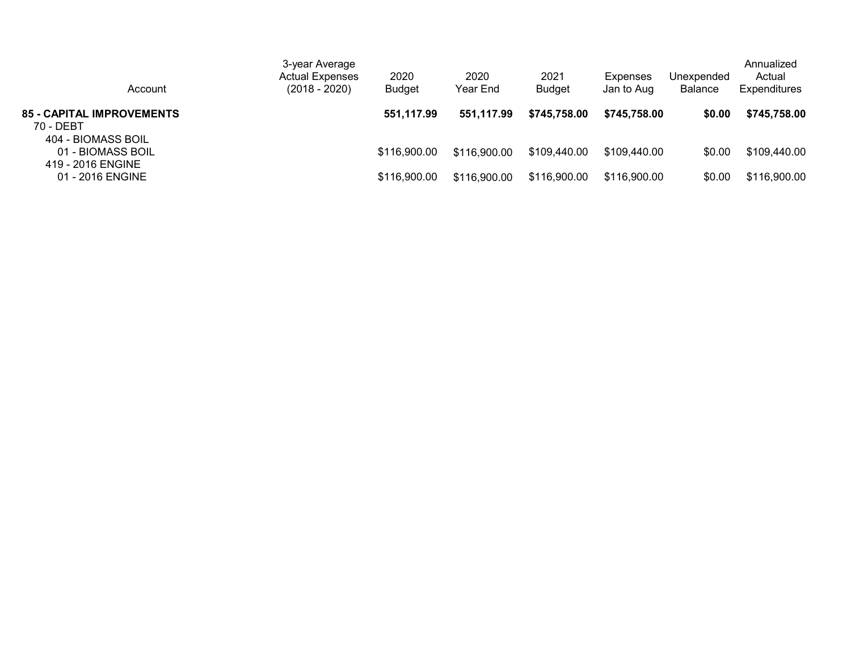| Account                                                      | 3-year Average<br><b>Actual Expenses</b><br>$(2018 - 2020)$ | 2020<br><b>Budget</b> | 2020<br>Year End | 2021<br><b>Budget</b> | <b>Expenses</b><br>Jan to Aug | Unexpended<br>Balance | Annualized<br>Actual<br><b>Expenditures</b> |
|--------------------------------------------------------------|-------------------------------------------------------------|-----------------------|------------------|-----------------------|-------------------------------|-----------------------|---------------------------------------------|
| <b>85 - CAPITAL IMPROVEMENTS</b><br>70 - DEBT                |                                                             | 551,117.99            | 551,117.99       | \$745,758.00          | \$745,758.00                  | \$0.00                | \$745,758.00                                |
| 404 - BIOMASS BOIL<br>01 - BIOMASS BOIL<br>419 - 2016 ENGINE |                                                             | \$116,900.00          | \$116,900.00     | \$109,440.00          | \$109,440.00                  | \$0.00                | \$109,440.00                                |
| 01 - 2016 ENGINE                                             |                                                             | \$116,900.00          | \$116,900.00     | \$116,900.00          | \$116,900.00                  | \$0.00                | \$116,900.00                                |